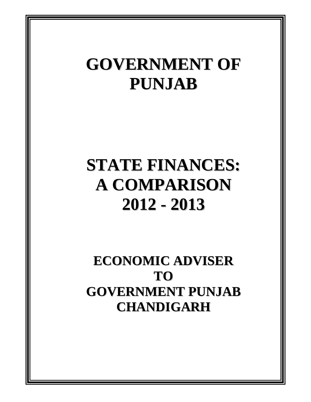# **GOVERNMENT OF PUNJAB**

# **STATE FINANCES: A COMPARISON 2012 - 2013**

**ECONOMIC ADVISER TO GOVERNMENT PUNJAB CHANDIGARH**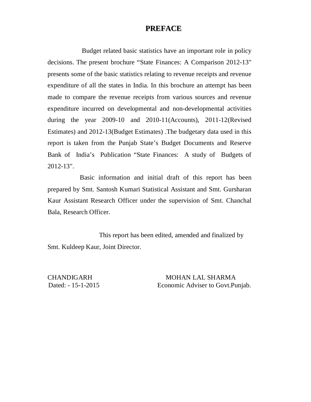#### **PREFACE**

Budget related basic statistics have an important role in policy decisions. The present brochure "State Finances: A Comparison 2012-13" presents some of the basic statistics relating to revenue receipts and revenue expenditure of all the states in India. In this brochure an attempt has been made to compare the revenue receipts from various sources and revenue expenditure incurred on developmental and non-developmental activities during the year 2009-10 and 2010-11(Accounts), 2011-12(Revised Estimates) and 2012-13(Budget Estimates) .The budgetary data used in this report is taken from the Punjab State's Budget Documents and Reserve Bank of India's Publication "State Finances: A study of Budgets of 2012-13".

 Basic information and initial draft of this report has been prepared by Smt. Santosh Kumari Statistical Assistant and Smt. Gursharan Kaur Assistant Research Officer under the supervision of Smt. Chanchal Bala, Research Officer.

 This report has been edited, amended and finalized by Smt. Kuldeep Kaur, Joint Director.

CHANDIGARH MOHAN LAL SHARMA Dated: - 15-1-2015 Economic Adviser to Govt.Punjab.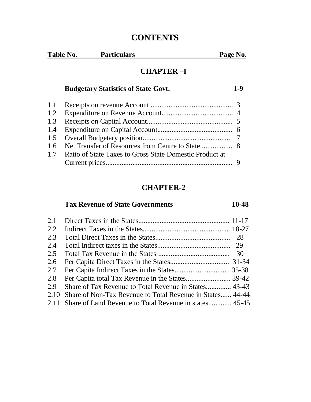# **CONTENTS**

| Table No. | Particulars | Page No. |
|-----------|-------------|----------|
|           |             |          |

# **CHAPTER –I**

# **Budgetary Statistics of State Govt. 1-9**

| 1.7 Ratio of State Taxes to Gross State Domestic Product at |  |
|-------------------------------------------------------------|--|
|                                                             |  |

# **CHAPTER-2**

# **Tax Revenue of State Governments 10-48**

| 2.1  |                                                             |  |
|------|-------------------------------------------------------------|--|
| 2.2  |                                                             |  |
| 2.3  |                                                             |  |
| 2.4  |                                                             |  |
| 2.5  |                                                             |  |
| 2.6  |                                                             |  |
| 2.7  |                                                             |  |
| 2.8  |                                                             |  |
| 2.9  | Share of Tax Revenue to Total Revenue in States 43-43       |  |
| 2.10 | Share of Non-Tax Revenue to Total Revenue in States 44-44   |  |
|      | 2.11 Share of Land Revenue to Total Revenue in states 45-45 |  |
|      |                                                             |  |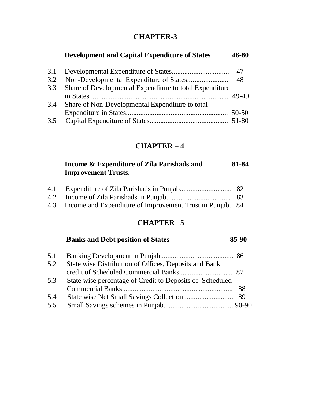# **CHAPTER-3**

# **Development and Capital Expenditure of States 46-80**

| 3.3 Share of Developmental Expenditure to total Expenditure |  |
|-------------------------------------------------------------|--|
|                                                             |  |
| 3.4 Share of Non-Developmental Expenditure to total         |  |
|                                                             |  |
|                                                             |  |

# **CHAPTER – 4**

#### **Income & Expenditure of Zila Parishads and 81-84 Improvement Trusts.**

| 4.3 Income and Expenditure of Improvement Trust in Punjab 84 |  |
|--------------------------------------------------------------|--|

# **CHAPTER 5**

#### **Banks and Debt position of States 85-90**

| 5.1 |                                                          |  |
|-----|----------------------------------------------------------|--|
| 5.2 | State wise Distribution of Offices, Deposits and Bank    |  |
|     |                                                          |  |
| 5.3 | State wise percentage of Credit to Deposits of Scheduled |  |
|     |                                                          |  |
| 5.4 |                                                          |  |
| 5.5 |                                                          |  |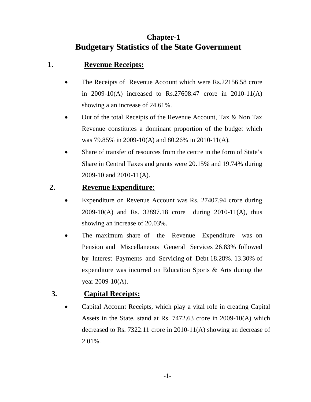# **Chapter-1 Budgetary Statistics of the State Government**

# **1. Revenue Receipts:**

- The Receipts of Revenue Account which were Rs.22156.58 crore in 2009-10(A) increased to Rs.27608.47 crore in 2010-11(A) showing a an increase of 24.61%.
- Out of the total Receipts of the Revenue Account, Tax & Non Tax Revenue constitutes a dominant proportion of the budget which was 79.85% in 2009-10(A) and 80.26% in 2010-11(A).
- Share of transfer of resources from the centre in the form of State's Share in Central Taxes and grants were 20.15% and 19.74% during 2009-10 and 2010-11(A).

# **2. Revenue Expenditure**:

- Expenditure on Revenue Account was Rs. 27407.94 crore during 2009-10(A) and Rs. 32897.18 crore during 2010-11(A), thus showing an increase of 20.03%.
- The maximum share of the Revenue Expenditure was on Pension and Miscellaneous General Services 26.83% followed by Interest Payments and Servicing of Debt 18.28%. 13.30% of expenditure was incurred on Education Sports & Arts during the year 2009-10(A).

# **3. Capital Receipts:**

 Capital Account Receipts, which play a vital role in creating Capital Assets in the State, stand at Rs. 7472.63 crore in 2009-10(A) which decreased to Rs. 7322.11 crore in 2010-11(A) showing an decrease of 2.01%.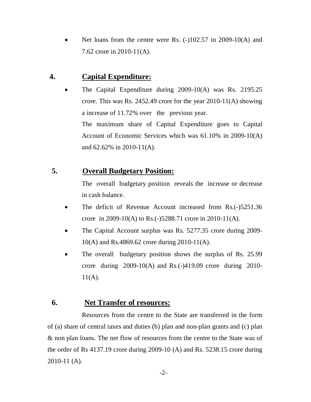Net loans from the centre were Rs. (-)102.57 in 2009-10(A) and 7.62 crore in 2010-11(A).

#### **4. Capital Expenditure:**

 The Capital Expenditure during 2009-10(A) was Rs. 2195.25 crore. This was Rs. 2452.49 crore for the year 2010-11(A) showing a increase of 11.72% over the previous year. The maximum share of Capital Expenditure goes to Capital Account of Economic Services which was 61.10% in 2009-10(A) and 62.62% in 2010-11(A).

### **5. Overall Budgetary Position:**

The overall budgetary position reveals the increase or decrease in cash balance.

- The deficit of Revenue Account increased from Rs.(-)5251.36 crore in 2009-10(A) to Rs.(-)5288.71 crore in 2010-11(A).
- The Capital Account surplus was Rs. 5277.35 crore during 2009- 10(A) and Rs.4869.62 crore during 2010-11(A).
- The overall budgetary position shows the surplus of Rs. 25.99 crore during 2009-10(A) and Rs.(-)419.09 crore during 2010-  $11(A)$ .

### **6. Net Transfer of resources:**

Resources from the centre to the State are transferred in the form of (a) share of central taxes and duties (b) plan and non-plan grants and (c) plan & non plan loans. The net flow of resources from the centre to the State was of the order of Rs 4137.19 crore during 2009-10 (A) and Rs. 5238.15 crore during 2010-11 (A).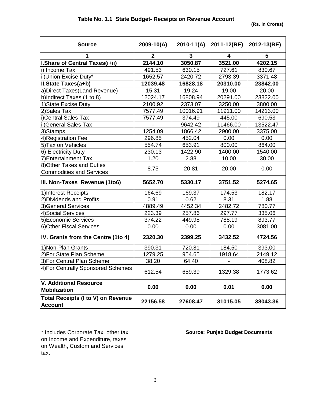| <b>Source</b>                                               | 2009-10(A)   | $2010-11(A)$ | 2011-12(RE) | 2012-13(BE) |
|-------------------------------------------------------------|--------------|--------------|-------------|-------------|
|                                                             |              |              |             |             |
| 1                                                           | $\mathbf{2}$ | 3            | 4           | 5           |
| I.Share of Central Taxes(i+ii)                              | 2144.10      | 3050.87      | 3521.00     | 4202.15     |
| i) Income Tax                                               | 491.53       | 630.15       | 727.61      | 830.67      |
| ii)Union Excise Duty*                                       | 1652.57      | 2420.72      | 2793.39     | 3371.48     |
| II.State Taxes(a+b)                                         | 12039.48     | 16828.18     | 20310.00    | 23842.00    |
| a) Direct Taxes (Land Revenue)                              | 15.31        | 19.24        | 19.00       | 20.00       |
| b)Indirect Taxes (1 to 8)                                   | 12024.17     | 16808.94     | 20291.00    | 23822.00    |
| 1) State Excise Duty                                        | 2100.92      | 2373.07      | 3250.00     | 3800.00     |
| 2) Sales Tax                                                | 7577.49      | 10016.91     | 11911.00    | 14213.00    |
| i)Central Sales Tax                                         | 7577.49      | 374.49       | 445.00      | 690.53      |
| ii) General Sales Tax                                       |              | 9642.42      | 11466.00    | 13522.47    |
| 3)Stamps                                                    | 1254.09      | 1866.42      | 2900.00     | 3375.00     |
| 4) Registration Fee                                         | 296.85       | 452.04       | 0.00        | 0.00        |
| 5) Tax on Vehicles                                          | 554.74       | 653.91       | 800.00      | 864.00      |
| 6) Electricity Duty                                         | 230.13       | 1422.90      | 1400.00     | 1540.00     |
| 7) Entertainment Tax                                        | 1.20         | 2.88         | 10.00       | 30.00       |
| 8) Other Taxes and Duties                                   | 8.75         | 20.81        | 20.00       | 0.00        |
| <b>Commodities and Services</b>                             |              |              |             |             |
| III. Non-Taxes Revenue (1to6)                               | 5652.70      | 5330.17      | 3751.52     | 5274.65     |
| 1) Interest Receipts                                        | 164.69       | 169.37       | 174.53      | 182.17      |
| 2) Dividends and Profits                                    | 0.91         | 0.62         | 8.31        | 1.88        |
| 3) General Services                                         | 4889.49      | 4452.34      | 2482.72     | 780.77      |
| 4) Social Services                                          | 223.39       | 257.86       | 297.77      | 335.06      |
| 5) Economic Services                                        | 374.22       | 449.98       | 788.19      | 893.77      |
| 6) Other Fiscal Services                                    | 0.00         | 0.00         | 0.00        | 3081.00     |
| IV. Grants from the Centre (1to 4)                          | 2320.30      | 2399.25      | 3432.52     | 4724.56     |
| 1) Non-Plan Grants                                          | 390.31       | 720.81       | 184.50      | 393.00      |
| 2) For State Plan Scheme                                    | 1279.25      | 954.65       | 1918.64     | 2149.12     |
| 3) For Central Plan Scheme                                  | 38.20        | 64.40        |             | 408.82      |
| 4) For Centrally Sponsored Schemes                          | 612.54       | 659.39       | 1329.38     | 1773.62     |
| V. Additional Resource<br><b>Mobilization</b>               | 0.00         | 0.00         | 0.01        | 0.00        |
| <b>Total Receipts (I to V) on Revenue</b><br><b>Account</b> | 22156.58     | 27608.47     | 31015.05    | 38043.36    |

\* Includes Corporate Tax, other tax **Source: Punjab Budget Documents** on Income and Expenditure, taxes on Wealth, Custom and Services tax.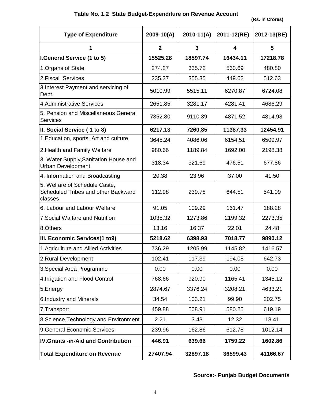#### **Table No. 1.2 State Budget-Expenditure on Revenue Account**

 **(Rs. in Crores)**

| <b>Type of Expenditure</b>                                                      | $2009 - 10(A)$ | 2010-11(A) | 2011-12(RE) | 2012-13(BE) |
|---------------------------------------------------------------------------------|----------------|------------|-------------|-------------|
| 1                                                                               | $\overline{2}$ | 3          | 4           | 5           |
| I.General Service (1 to 5)                                                      | 15525.28       | 18597.74   | 16434.11    | 17218.78    |
| 1. Organs of State                                                              | 274.27         | 335.72     | 560.69      | 480.80      |
| 2. Fiscal Services                                                              | 235.37         | 355.35     | 449.62      | 512.63      |
| 3. Interest Payment and servicing of<br>Debt.                                   | 5010.99        | 5515.11    | 6270.87     | 6724.08     |
| 4.Administrative Services                                                       | 2651.85        | 3281.17    | 4281.41     | 4686.29     |
| 5. Pension and Miscellaneous General<br><b>Services</b>                         | 7352.80        | 9110.39    | 4871.52     | 4814.98     |
| II. Social Service (1 to 8)                                                     | 6217.13        | 7260.85    | 11387.33    | 12454.91    |
| 1. Education, sports, Art and culture                                           | 3645.24        | 4086.06    | 6154.51     | 6509.97     |
| 2. Health and Family Welfare                                                    | 980.66         | 1189.84    | 1692.00     | 2198.38     |
| 3. Water Supply, Sanitation House and<br><b>Urban Development</b>               | 318.34         | 321.69     | 476.51      | 677.86      |
| 4. Information and Broadcasting                                                 | 20.38          | 23.96      | 37.00       | 41.50       |
| 5. Welfare of Schedule Caste,<br>Scheduled Tribes and other Backward<br>classes | 112.98         | 239.78     | 644.51      | 541.09      |
| 6. Labour and Labour Welfare                                                    | 91.05          | 109.29     | 161.47      | 188.28      |
| 7. Social Walfare and Nutrition                                                 | 1035.32        | 1273.86    | 2199.32     | 2273.35     |
| 8.Others                                                                        | 13.16          | 16.37      | 22.01       | 24.48       |
| III. Economic Services(1 to9)                                                   | 5218.62        | 6398.93    | 7018.77     | 9890.12     |
| 1. Agriculture and Allied Activities                                            | 736.29         | 1205.99    | 1145.82     | 1416.57     |
| 2. Rural Development                                                            | 102.41         | 117.39     | 194.08      | 642.73      |
| 3. Special Area Programme                                                       | 0.00           | 0.00       | 0.00        | 0.00        |
| 4. Irrigation and Flood Control                                                 | 768.66         | 920.90     | 1165.41     | 1345.12     |
| 5. Energy                                                                       | 2874.67        | 3376.24    | 3208.21     | 4633.21     |
| 6. Industry and Minerals                                                        | 34.54          | 103.21     | 99.90       | 202.75      |
| 7.Transport                                                                     | 459.88         | 508.91     | 580.25      | 619.19      |
| 8.Science, Technology and Environment                                           | 2.21           | 3.43       | 12.32       | 18.41       |
| 9. General Economic Services                                                    | 239.96         | 162.86     | 612.78      | 1012.14     |
| <b>IV.Grants -in-Aid and Contribution</b>                                       | 446.91         | 639.66     | 1759.22     | 1602.86     |
| <b>Total Expenditure on Revenue</b>                                             | 27407.94       | 32897.18   | 36599.43    | 41166.67    |

# **Source:- Punjab Budget Documents**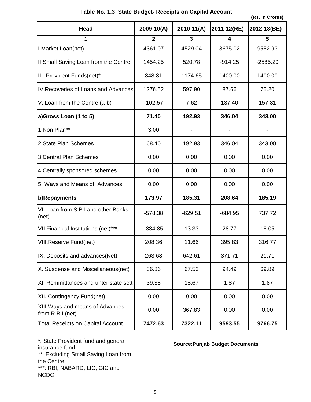|                                                      |                         |            |             | (RS. III Grores) |
|------------------------------------------------------|-------------------------|------------|-------------|------------------|
| <b>Head</b>                                          | $2009 - 10(A)$          | 2010-11(A) | 2011-12(RE) | 2012-13(BE)      |
|                                                      | $\overline{\mathbf{2}}$ | 3          | 4           | 5                |
| I. Market Loan(net)                                  | 4361.07                 | 4529.04    | 8675.02     | 9552.93          |
| II.Small Saving Loan from the Centre                 | 1454.25                 | 520.78     | $-914.25$   | $-2585.20$       |
| III. Provident Funds(net)*                           | 848.81                  | 1174.65    | 1400.00     | 1400.00          |
| IV. Recoveries of Loans and Advances                 | 1276.52                 | 597.90     | 87.66       | 75.20            |
| V. Loan from the Centre (a-b)                        | $-102.57$               | 7.62       | 137.40      | 157.81           |
| a)Gross Loan (1 to 5)                                | 71.40                   | 192.93     | 346.04      | 343.00           |
| 1.Non Plan**                                         | 3.00                    |            |             |                  |
| 2. State Plan Schemes                                | 68.40                   | 192.93     | 346.04      | 343.00           |
| <b>3. Central Plan Schemes</b>                       | 0.00                    | 0.00       | 0.00        | 0.00             |
| 4. Centrally sponsored schemes                       | 0.00                    | 0.00       | 0.00        | 0.00             |
| 5. Ways and Means of Advances                        | 0.00                    | 0.00       | 0.00        | 0.00             |
| b)Repayments                                         | 173.97                  | 185.31     | 208.64      | 185.19           |
| VI. Loan from S.B.I and other Banks<br>(net)         | $-578.38$               | $-629.51$  | $-684.95$   | 737.72           |
| VII. Financial Institutions (net)***                 | $-334.85$               | 13.33      | 28.77       | 18.05            |
| VIII.Reserve Fund(net)                               | 208.36                  | 11.66      | 395.83      | 316.77           |
| IX. Deposits and advances(Net)                       | 263.68                  | 642.61     | 371.71      | 21.71            |
| X. Suspense and Miscellaneous(net)                   | 36.36                   | 67.53      | 94.49       | 69.89            |
| XI Remmittanoes and unter state sett                 | 39.38                   | 18.67      | 1.87        | 1.87             |
| XII. Contingency Fund(net)                           | 0.00                    | 0.00       | 0.00        | 0.00             |
| XIII. Ways and means of Advances<br>from R.B.I.(net) | 0.00                    | 367.83     | 0.00        | 0.00             |
| <b>Total Receipts on Capital Account</b>             | 7472.63                 | 7322.11    | 9593.55     | 9766.75          |

#### **Table No. 1.3 State Budget- Receipts on Capital Account**

**(Rs. in Crores)**

\*: State Provident fund and general insurance fund \*\*: Excluding Small Saving Loan from the Centre \*\*\*: RBI, NABARD, LIC, GIC and NCDC

#### **Source:Punjab Budget Documents**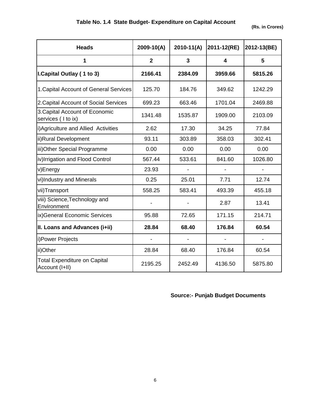| <b>Heads</b>                                          | 2009-10(A)     | $2010-11(A)$ | 2011-12(RE)             | 2012-13(BE) |
|-------------------------------------------------------|----------------|--------------|-------------------------|-------------|
| 1                                                     | $\overline{2}$ | 3            | $\overline{\mathbf{A}}$ | 5           |
| I. Capital Outlay (1 to 3)                            | 2166.41        | 2384.09      | 3959.66                 | 5815.26     |
| 1. Capital Account of General Services                | 125.70         | 184.76       | 349.62                  | 1242.29     |
| 2. Capital Account of Social Services                 | 699.23         | 663.46       | 1701.04                 | 2469.88     |
| 3. Capital Account of Economic<br>services (I to ix)  | 1341.48        | 1535.87      | 1909.00                 | 2103.09     |
| i) Agriculture and Allied Activities                  | 2.62           | 17.30        | 34.25                   | 77.84       |
| ii)Rural Development                                  | 93.11          | 303.89       | 358.03                  | 302.41      |
| iii) Other Special Programme                          | 0.00           | 0.00         | 0.00                    | 0.00        |
| iv)Irrigation and Flood Control                       | 567.44         | 533.61       | 841.60                  | 1026.80     |
| v)Energy                                              | 23.93          |              |                         |             |
| vi)Industry and Minerals                              | 0.25           | 25.01        | 7.71                    | 12.74       |
| vii)Transport                                         | 558.25         | 583.41       | 493.39                  | 455.18      |
| viii) Science, Technology and<br>Environment          |                |              | 2.87                    | 13.41       |
| ix)General Economic Services                          | 95.88          | 72.65        | 171.15                  | 214.71      |
| II. Loans and Advances (i+ii)                         | 28.84          | 68.40        | 176.84                  | 60.54       |
| i) Power Projects                                     |                |              |                         |             |
| ii)Other                                              | 28.84          | 68.40        | 176.84                  | 60.54       |
| <b>Total Expenditure on Capital</b><br>Account (I+II) | 2195.25        | 2452.49      | 4136.50                 | 5875.80     |

#### **Source:- Punjab Budget Documents**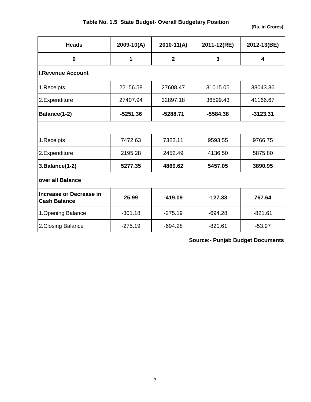|  |  | Table No. 1.5 State Budget- Overall Budgetary Position |  |
|--|--|--------------------------------------------------------|--|
|--|--|--------------------------------------------------------|--|

**(Rs. in Crores)**

| <b>Heads</b>                                   | $2009 - 10(A)$ | $2010-11(A)$ | 2011-12(RE) | 2012-13(BE) |
|------------------------------------------------|----------------|--------------|-------------|-------------|
| 0                                              | 1              | $\mathbf{2}$ | 3           | 4           |
| <b>I.Revenue Account</b>                       |                |              |             |             |
| 1. Receipts                                    | 22156.58       | 27608.47     | 31015.05    | 38043.36    |
| 2.Expenditure                                  | 27407.94       | 32897.18     | 36599.43    | 41166.67    |
| Balance(1-2)                                   | $-5251.36$     | $-5288.71$   | $-5584.38$  | $-3123.31$  |
|                                                |                |              |             |             |
| 1.Receipts                                     | 7472.63        | 7322.11      | 9593.55     | 9766.75     |
| 2.Expenditure                                  | 2195.28        | 2452.49      | 4136.50     | 5875.80     |
| 3. Balance(1-2)                                | 5277.35        | 4869.62      | 5457.05     | 3890.95     |
| over all Balance                               |                |              |             |             |
| Increase or Decrease in<br><b>Cash Balance</b> | 25.99          | $-419.09$    | $-127.33$   | 767.64      |
| 1. Opening Balance                             | $-301.18$      | $-275.19$    | $-694.28$   | $-821.61$   |
| 2. Closing Balance                             | $-275.19$      | $-694.28$    | $-821.61$   | $-53.97$    |

**Source:- Punjab Budget Documents**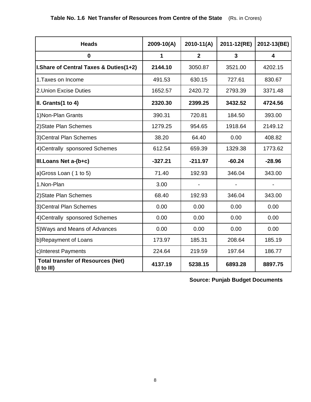| <b>Heads</b>                                                 | $2009 - 10(A)$ | $2010 - 11(A)$ | 2011-12(RE) | 2012-13(BE) |
|--------------------------------------------------------------|----------------|----------------|-------------|-------------|
| $\bf{0}$                                                     | 1              | $\overline{2}$ | 3           | 4           |
| I.Share of Central Taxes & Duties(1+2)                       | 2144.10        | 3050.87        | 3521.00     | 4202.15     |
| 1. Taxes on Income                                           | 491.53         | 630.15         | 727.61      | 830.67      |
| 2. Union Excise Duties                                       | 1652.57        | 2420.72        | 2793.39     | 3371.48     |
| II. Grants(1 to 4)                                           | 2320.30        | 2399.25        | 3432.52     | 4724.56     |
| 1) Non-Plan Grants                                           | 390.31         | 720.81         | 184.50      | 393.00      |
| 2) State Plan Schemes                                        | 1279.25        | 954.65         | 1918.64     | 2149.12     |
| 3) Central Plan Schemes                                      | 38.20          | 64.40          | 0.00        | 408.82      |
| 4) Centrally sponsored Schemes                               | 612.54         | 659.39         | 1329.38     | 1773.62     |
| III. Loans Net a-(b+c)                                       | $-327.21$      | $-211.97$      | $-60.24$    | $-28.96$    |
| a)Gross Loan (1 to 5)                                        | 71.40          | 192.93         | 346.04      | 343.00      |
| 1.Non-Plan                                                   | 3.00           |                |             |             |
| 2) State Plan Schemes                                        | 68.40          | 192.93         | 346.04      | 343.00      |
| 3) Central Plan Schemes                                      | 0.00           | 0.00           | 0.00        | 0.00        |
| 4) Centrally sponsored Schemes                               | 0.00           | 0.00           | 0.00        | 0.00        |
| 5) Ways and Means of Advances                                | 0.00           | 0.00           | 0.00        | 0.00        |
| b)Repayment of Loans                                         | 173.97         | 185.31         | 208.64      | 185.19      |
| c)Interest Payments                                          | 224.64         | 219.59         | 197.64      | 186.77      |
| <b>Total transfer of Resources (Net)</b><br>$($ I to III $)$ | 4137.19        | 5238.15        | 6893.28     | 8897.75     |

**Source: Punjab Budget Documents**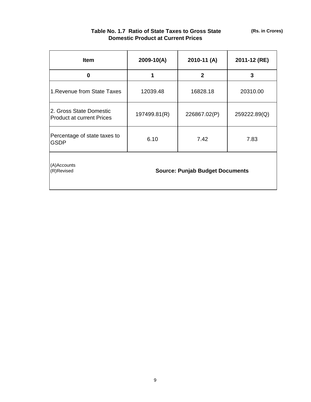| <b>Item</b>                                                         | 2009-10(A)   | 2010-11 (A)  | 2011-12 (RE) |
|---------------------------------------------------------------------|--------------|--------------|--------------|
| 0                                                                   |              | $\mathbf{2}$ | 3            |
| 1. Revenue from State Taxes                                         | 12039.48     | 16828.18     | 20310.00     |
| 2. Gross State Domestic<br><b>Product at current Prices</b>         | 197499.81(R) | 226867.02(P) | 259222.89(Q) |
| Percentage of state taxes to<br><b>GSDP</b>                         | 6.10         | 7.42         | 7.83         |
| (A)Accounts<br><b>Source: Punjab Budget Documents</b><br>(R)Revised |              |              |              |

#### **Table No. 1.7 Ratio of State Taxes to Gross State Domestic Product at Current Prices**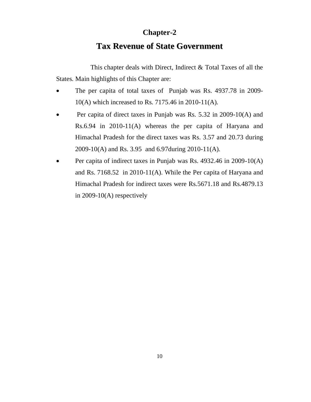### **Chapter-2**

# **Tax Revenue of State Government**

This chapter deals with Direct, Indirect & Total Taxes of all the States. Main highlights of this Chapter are:

- The per capita of total taxes of Punjab was Rs. 4937.78 in 2009-10(A) which increased to Rs. 7175.46 in 2010-11(A).
- Per capita of direct taxes in Punjab was Rs. 5.32 in 2009-10(A) and Rs.6.94 in 2010-11(A) whereas the per capita of Haryana and Himachal Pradesh for the direct taxes was Rs. 3.57 and 20.73 during 2009-10(A) and Rs. 3.95 and 6.97during 2010-11(A).
- Per capita of indirect taxes in Punjab was Rs. 4932.46 in 2009-10(A) and Rs. 7168.52 in 2010-11(A). While the Per capita of Haryana and Himachal Pradesh for indirect taxes were Rs.5671.18 and Rs.4879.13 in 2009-10(A) respectively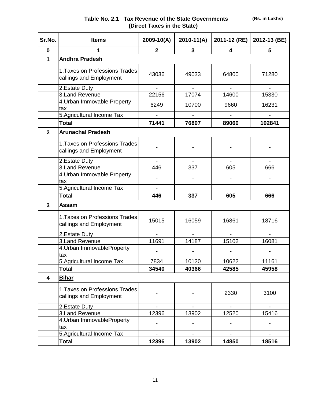**(Rs. in Lakhs)**

| Sr.No.                  | <b>Items</b>                                              | $2009 - 10(A)$           | $2010-11(A)$                 | 2011-12 (RE)             | 2012-13 (BE)             |
|-------------------------|-----------------------------------------------------------|--------------------------|------------------------------|--------------------------|--------------------------|
| $\mathbf 0$             | 1                                                         | $\overline{2}$           | 3                            | 4                        | 5                        |
| 1                       | <b>Andhra Pradesh</b>                                     |                          |                              |                          |                          |
|                         | 1. Taxes on Professions Trades<br>callings and Employment | 43036                    | 49033                        | 64800                    | 71280                    |
|                         | 2. Estate Duty                                            | L.                       | $\overline{a}$               | $\mathbf{r}$             | $\mathbf{r}$             |
|                         | 3.Land Revenue                                            | 22156                    | 17074                        | 14600                    | 15330                    |
|                         | 4. Urban Immovable Property<br>tax                        | 6249                     | 10700                        | 9660                     | 16231                    |
|                         | 5. Agricultural Income Tax                                |                          |                              |                          |                          |
|                         | <b>Total</b>                                              | 71441                    | 76807                        | 89060                    | 102841                   |
| $\overline{2}$          | <b>Arunachal Pradesh</b>                                  |                          |                              |                          |                          |
|                         | 1. Taxes on Professions Trades<br>callings and Employment |                          |                              |                          |                          |
|                         | 2. Estate Duty                                            | $\blacksquare$           | $\blacksquare$               | $\blacksquare$           | $\blacksquare$           |
|                         | 3.Land Revenue                                            | 446                      | 337                          | 605                      | 666                      |
|                         | 4. Urban Immovable Property                               |                          |                              |                          |                          |
|                         | tax<br>5. Agricultural Income Tax                         | $\blacksquare$           |                              |                          |                          |
|                         | <b>Total</b>                                              | 446                      | 337                          | 605                      | 666                      |
| 3                       | Assam                                                     |                          |                              |                          |                          |
|                         |                                                           |                          |                              |                          |                          |
|                         | 1. Taxes on Professions Trades<br>callings and Employment | 15015                    | 16059                        | 16861                    | 18716                    |
|                         | 2. Estate Duty                                            | $\blacksquare$           | $\overline{a}$               | $\blacksquare$           | $\blacksquare$           |
|                         | 3.Land Revenue                                            | 11691                    | 14187                        | 15102                    | 16081                    |
|                         | 4. Urban ImmovableProperty<br>tax                         |                          |                              |                          |                          |
|                         | 5. Agricultural Income Tax                                | 7834                     | 10120                        | 10622                    | 11161                    |
|                         | <b>Total</b>                                              | 34540                    | 40366                        | 42585                    | 45958                    |
| $\overline{\mathbf{4}}$ | <b>Bihar</b>                                              |                          |                              |                          |                          |
|                         | 1. Taxes on Professions Trades<br>callings and Employment |                          |                              | 2330                     | 3100                     |
|                         | 2. Estate Duty                                            |                          |                              |                          |                          |
|                         | 3. Land Revenue                                           | 12396                    | 13902                        | 12520                    | 15416                    |
|                         | 4. Urban ImmovableProperty<br>tax                         |                          |                              |                          |                          |
|                         | 5. Agricultural Income Tax                                | $\overline{\phantom{a}}$ | $\qquad \qquad \blacksquare$ | $\overline{\phantom{a}}$ | $\overline{\phantom{0}}$ |
|                         | <b>Total</b>                                              | 12396                    | 13902                        | 14850                    | 18516                    |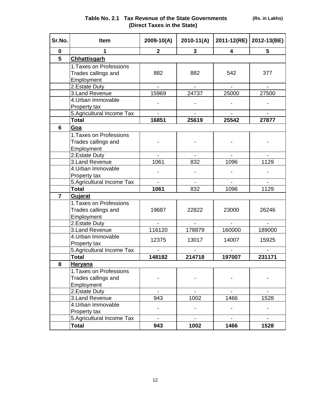| Sr.No.         | Item                                       | $2009 - 10(A)$           | $2010 - 11(A)$           | 2011-12(RE)              | 2012-13(BE)              |
|----------------|--------------------------------------------|--------------------------|--------------------------|--------------------------|--------------------------|
| $\bf{0}$       | 1                                          | $\mathbf{2}$             | 3                        | 4                        | 5                        |
| 5              | <b>Chhattisgarh</b>                        |                          |                          |                          |                          |
|                | 1. Taxes on Professions                    |                          |                          |                          |                          |
|                | Trades callings and                        | 882                      | 882                      | 542                      | 377                      |
|                | Employment                                 |                          |                          |                          |                          |
|                | 2. Estate Duty                             | $\overline{\phantom{a}}$ | $\overline{\phantom{0}}$ |                          | $\blacksquare$           |
|                | 3.Land Revenue                             | 15969                    | 24737                    | 25000                    | 27500                    |
|                | 4. Urban Immovable                         |                          |                          |                          |                          |
|                | Property tax                               |                          |                          |                          |                          |
|                | 5. Agricultural Income Tax                 | $\blacksquare$           | $\overline{\phantom{a}}$ | $\overline{\phantom{a}}$ | $\overline{\phantom{a}}$ |
|                | <b>Total</b>                               | 16851                    | 25619                    | 25542                    | 27877                    |
| 6              | Goa                                        |                          |                          |                          |                          |
|                | 1. Taxes on Professions                    |                          |                          |                          |                          |
|                | Trades callings and                        |                          |                          |                          |                          |
|                | Employment                                 |                          |                          |                          |                          |
|                | 2. Estate Duty                             | $\overline{a}$           |                          |                          |                          |
|                | 3. Land Revenue                            | 1061                     | 832                      | 1096                     | 1129                     |
|                | 4. Urban Immovable                         |                          |                          |                          |                          |
|                | Property tax                               |                          |                          |                          |                          |
|                | 5. Agricultural Income Tax                 |                          |                          |                          |                          |
|                | <b>Total</b>                               | 1061                     | 832                      | 1096                     | 1129                     |
| $\overline{7}$ | <b>Gujarat</b>                             |                          |                          |                          |                          |
|                | 1. Taxes on Professions                    |                          |                          |                          |                          |
|                | Trades callings and                        | 19687                    | 22822                    | 23000                    | 26246                    |
|                | Employment                                 |                          |                          |                          |                          |
|                | 2. Estate Duty                             | $\overline{a}$           | $\overline{\phantom{0}}$ | $\blacksquare$           | $\blacksquare$           |
|                | 3. Land Revenue<br>4. Urban Immovable      | 116120                   | 178879                   | 160000                   | 189000                   |
|                |                                            | 12375                    | 13017                    | 14007                    | 15925                    |
|                | Property tax<br>5. Agricultural Income Tax |                          |                          |                          |                          |
|                | <b>Total</b>                               | 148182                   | 214718                   | 197007                   | 231171                   |
| 8              | <b>Haryana</b>                             |                          |                          |                          |                          |
|                | 1. Taxes on Professions                    |                          |                          |                          |                          |
|                | Trades callings and                        |                          |                          |                          |                          |
|                | Employment                                 |                          |                          |                          |                          |
|                | 2. Estate Duty                             |                          |                          |                          |                          |
|                | 3. Land Revenue                            | 943                      | 1002                     | 1466                     | 1528                     |
|                | 4. Urban Immovable                         |                          |                          |                          |                          |
|                | Property tax                               |                          |                          |                          |                          |
|                | 5. Agricultural Income Tax                 | $\blacksquare$           | $\overline{a}$           | $\blacksquare$           | $\blacksquare$           |
|                | <b>Total</b>                               | 943                      | 1002                     | 1466                     | 1528                     |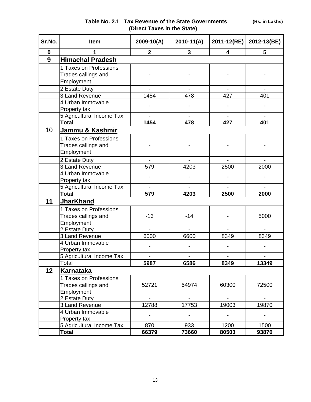| Sr.No.      | <b>Item</b>                      | 2009-10(A)               | $2010 - 11(A)$           | 2011-12(RE)              | 2012-13(BE)    |
|-------------|----------------------------------|--------------------------|--------------------------|--------------------------|----------------|
| $\mathbf 0$ |                                  | $\overline{2}$           | $\mathbf{3}$             | $\overline{\mathbf{4}}$  | 5              |
| 9           | <b>Himachal Pradesh</b>          |                          |                          |                          |                |
|             | 1. Taxes on Professions          |                          |                          |                          |                |
|             | Trades callings and              |                          |                          |                          |                |
|             | Employment                       |                          |                          |                          |                |
|             | 2. Estate Duty                   |                          |                          |                          |                |
|             | 3.Land Revenue                   | 1454                     | 478                      | 427                      | 401            |
|             | 4. Urban Immovable               |                          |                          |                          |                |
|             | Property tax                     |                          |                          |                          |                |
|             | 5. Agricultural Income Tax       |                          |                          |                          |                |
|             | <b>Total</b>                     | 1454                     | 478                      | 427                      | 401            |
| 10          | Jammu & Kashmir                  |                          |                          |                          |                |
|             | 1. Taxes on Professions          |                          |                          |                          |                |
|             | Trades callings and              |                          |                          |                          |                |
|             | Employment                       |                          |                          |                          |                |
|             | 2. Estate Duty                   |                          |                          |                          |                |
|             | 3.Land Revenue                   | 579                      | 4203                     | 2500                     | 2000           |
|             | 4. Urban Immovable               |                          |                          |                          |                |
|             | Property tax                     |                          |                          |                          |                |
|             | 5.Agricultural Income Tax        | $\blacksquare$           |                          | $\blacksquare$           | $\blacksquare$ |
|             | <b>Total</b>                     | 579                      | 4203                     | 2500                     | 2000           |
| 11          | <b>JharKhand</b>                 |                          |                          |                          |                |
|             | 1. Taxes on Professions          |                          |                          |                          |                |
|             | Trades callings and              | $-13$                    | $-14$                    |                          | 5000           |
|             | Employment                       |                          |                          |                          |                |
|             | 2. Estate Duty                   | $\overline{\phantom{a}}$ | $\overline{\phantom{a}}$ | $\overline{\phantom{a}}$ | $\blacksquare$ |
|             | 3. Land Revenue                  | 6000                     | 6600                     | 8349                     | 8349           |
|             | 4. Urban Immovable               |                          |                          |                          |                |
|             | Property tax                     |                          |                          |                          |                |
|             | 5. Agricultural Income Tax       |                          |                          |                          |                |
|             | Total                            | 5987                     | 6586                     | 8349                     | 13349          |
| 12          | <u>Karnataka</u>                 |                          |                          |                          |                |
|             | 1. Taxes on Professions          |                          |                          |                          |                |
|             | Trades callings and              | 52721                    | 54974                    | 60300                    | 72500          |
|             | Employment                       |                          |                          |                          |                |
|             | 2. Estate Duty<br>3.Land Revenue | 12788                    | 17753                    | 19003                    | 19870          |
|             | 4. Urban Immovable               |                          |                          |                          |                |
|             | Property tax                     |                          |                          |                          |                |
|             | 5. Agricultural Income Tax       | 870                      | 933                      | 1200                     | 1500           |
|             | <b>Total</b>                     | 66379                    | 73660                    | 80503                    | 93870          |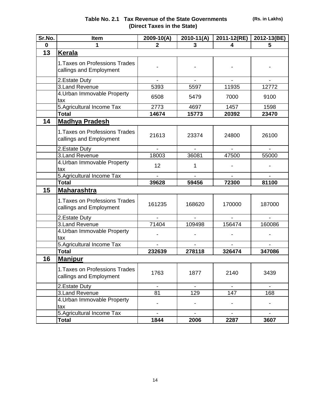| Sr.No. | Item                                                      | 2009-10(A)     | 2010-11(A)     | 2011-12(RE) | 2012-13(BE)    |
|--------|-----------------------------------------------------------|----------------|----------------|-------------|----------------|
| 0      | 1                                                         | $\overline{2}$ | 3              | 4           | 5              |
| 13     | <b>Kerala</b>                                             |                |                |             |                |
|        | 1. Taxes on Professions Trades<br>callings and Employment |                |                |             |                |
|        | 2. Estate Duty                                            |                |                |             |                |
|        | 3. Land Revenue                                           | 5393           | 5597           | 11935       | 12772          |
|        | 4. Urban Immovable Property<br>tax                        | 6508           | 5479           | 7000        | 9100           |
|        | 5. Agricultural Income Tax                                | 2773           | 4697           | 1457        | 1598           |
|        | <b>Total</b>                                              | 14674          | 15773          | 20392       | 23470          |
| 14     | <b>Madhya Pradesh</b>                                     |                |                |             |                |
|        | 1. Taxes on Professions Trades<br>callings and Employment | 21613          | 23374          | 24800       | 26100          |
|        | 2. Estate Duty                                            |                |                |             |                |
|        | 3. Land Revenue                                           | 18003          | 36081          | 47500       | 55000          |
|        | 4. Urban Immovable Property<br>tax                        | 12             | 1              |             |                |
|        | 5. Agricultural Income Tax                                |                |                |             |                |
|        | <b>Total</b>                                              | 39628          | 59456          | 72300       | 81100          |
| 15     | <b>Maharashtra</b>                                        |                |                |             |                |
|        | 1. Taxes on Professions Trades<br>callings and Employment | 161235         | 168620         | 170000      | 187000         |
|        | 2. Estate Duty                                            |                |                |             |                |
|        | 3.Land Revenue                                            | 71404          | 109498         | 156474      | 160086         |
|        | 4. Urban Immovable Property<br>tax                        |                |                |             |                |
|        | 5. Agricultural Income Tax                                |                |                |             |                |
|        | <b>Total</b>                                              | 232639         | 278118         | 326474      | 347086         |
| 16     | <b>Manipur</b>                                            |                |                |             |                |
|        | 1. Taxes on Professions Trades<br>callings and Employment | 1763           | 1877           | 2140        | 3439           |
|        | 2. Estate Duty                                            |                |                |             |                |
|        | 3. Land Revenue                                           | 81             | 129            | 147         | 168            |
|        | 4. Urban Immovable Property<br>tax                        |                |                |             |                |
|        | 5. Agricultural Income Tax                                |                | $\blacksquare$ |             | $\blacksquare$ |
|        | <b>Total</b>                                              | 1844           | 2006           | 2287        | 3607           |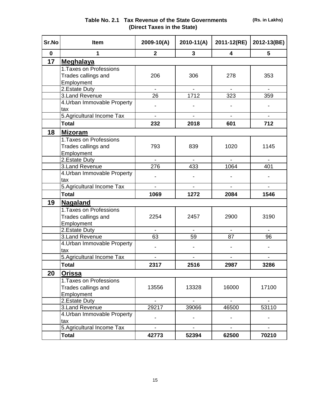| Sr.No       | <b>Item</b>                 | 2009-10(A)               | $2010 - 11(A)$           | 2011-12(RE)              | 2012-13(BE)              |
|-------------|-----------------------------|--------------------------|--------------------------|--------------------------|--------------------------|
| $\mathbf 0$ | 1                           | $\overline{2}$           | $\overline{\mathbf{3}}$  | 4                        | 5                        |
| 17          | <b>Meghalaya</b>            |                          |                          |                          |                          |
|             | 1. Taxes on Professions     |                          |                          |                          |                          |
|             | Trades callings and         | 206                      | 306                      | 278                      | 353                      |
|             | Employment                  |                          |                          |                          |                          |
|             | 2. Estate Duty              |                          |                          |                          |                          |
|             | 3. Land Revenue             | 26                       | 1712                     | 323                      | 359                      |
|             | 4. Urban Immovable Property |                          |                          |                          |                          |
|             | tax                         |                          |                          |                          |                          |
|             | 5. Agricultural Income Tax  | $\frac{1}{2}$            |                          |                          |                          |
|             | <b>Total</b>                | 232                      | 2018                     | 601                      | 712                      |
| 18          | <b>Mizoram</b>              |                          |                          |                          |                          |
|             | 1. Taxes on Professions     |                          |                          |                          |                          |
|             | Trades callings and         | 793                      | 839                      | 1020                     | 1145                     |
|             | Employment                  |                          |                          |                          |                          |
|             | 2. Estate Duty              | $\overline{\phantom{a}}$ | $\overline{\phantom{a}}$ |                          |                          |
|             | 3. Land Revenue             | 276                      | 433                      | 1064                     | 401                      |
|             | 4. Urban Immovable Property |                          |                          |                          |                          |
|             | tax                         |                          |                          |                          |                          |
|             | 5. Agricultural Income Tax  |                          |                          |                          |                          |
|             | <b>Total</b>                | 1069                     | 1272                     | 2084                     | 1546                     |
| 19          | <b>Nagaland</b>             |                          |                          |                          |                          |
|             | 1. Taxes on Professions     |                          |                          |                          |                          |
|             | Trades callings and         | 2254                     | 2457                     | 2900                     | 3190                     |
|             | Employment                  |                          |                          |                          |                          |
|             | 2. Estate Duty              | $\overline{\phantom{a}}$ | $\blacksquare$           | $\overline{\phantom{a}}$ | $\overline{\phantom{a}}$ |
|             | 3.Land Revenue              | 63                       | 59                       | 87                       | 96                       |
|             | 4. Urban Immovable Property |                          |                          |                          |                          |
|             | tax                         |                          |                          |                          |                          |
|             | 5. Agricultural Income Tax  | $\overline{\phantom{a}}$ |                          |                          |                          |
|             | <b>Total</b>                | 2317                     | 2516                     | 2987                     | 3286                     |
| 20          | Orissa                      |                          |                          |                          |                          |
|             | 1. Taxes on Professions     |                          |                          |                          |                          |
|             | Trades callings and         | 13556                    | 13328                    | 16000                    | 17100                    |
|             | Employment                  |                          |                          |                          |                          |
|             | 2. Estate Duty              |                          | $\blacksquare$           | $\blacksquare$           | $\overline{\phantom{a}}$ |
|             | 3. Land Revenue             | 29217                    | 39066                    | 46500                    | 53110                    |
|             | 4. Urban Immovable Property |                          |                          |                          |                          |
|             | tax                         |                          |                          |                          |                          |
|             | 5. Agricultural Income Tax  | $\blacksquare$           | $\blacksquare$           | $\blacksquare$           | $\blacksquare$           |
|             | <b>Total</b>                | 42773                    | 52394                    | 62500                    | 70210                    |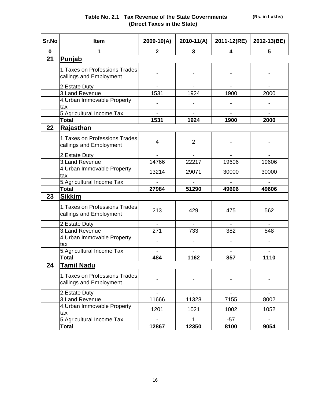**(Rs. in Lakhs)**

| Sr.No       | <b>Item</b>                                               | 2009-10(A)                   | $2010 - 11(A)$           | 2011-12(RE)                  | 2012-13(BE)              |
|-------------|-----------------------------------------------------------|------------------------------|--------------------------|------------------------------|--------------------------|
| $\mathbf 0$ | 1                                                         | $\mathbf{2}$                 | 3                        | 4                            | $5\phantom{.0}$          |
| 21          | Punjab                                                    |                              |                          |                              |                          |
|             | 1. Taxes on Professions Trades<br>callings and Employment |                              |                          |                              |                          |
|             | 2. Estate Duty                                            |                              |                          |                              |                          |
|             | 3. Land Revenue                                           | 1531                         | 1924                     | 1900                         | 2000                     |
|             | 4. Urban Immovable Property<br>tax                        |                              |                          |                              |                          |
|             | 5. Agricultural Income Tax                                | $\overline{\phantom{0}}$     | $\overline{\phantom{a}}$ | $\blacksquare$               | $\blacksquare$           |
|             | <b>Total</b>                                              | 1531                         | 1924                     | 1900                         | 2000                     |
| 22          | Rajasthan                                                 |                              |                          |                              |                          |
|             | 1. Taxes on Professions Trades<br>callings and Employment | 4                            | $\overline{2}$           |                              |                          |
|             | 2. Estate Duty                                            | $\qquad \qquad \blacksquare$ |                          | $\qquad \qquad \blacksquare$ |                          |
|             | 3. Land Revenue                                           | 14766                        | 22217                    | 19606                        | 19606                    |
|             | 4. Urban Immovable Property<br>tax                        | 13214                        | 29071                    | 30000                        | 30000                    |
|             | 5. Agricultural Income Tax                                |                              |                          |                              |                          |
|             | <b>Total</b>                                              | 27984                        | 51290                    | 49606                        | 49606                    |
| 23          | <b>Sikkim</b>                                             |                              |                          |                              |                          |
|             | 1. Taxes on Professions Trades<br>callings and Employment | 213                          | 429                      | 475                          | 562                      |
|             | 2. Estate Duty                                            | $\overline{a}$               |                          | $\overline{a}$               | $\overline{a}$           |
|             | 3. Land Revenue                                           | 271                          | 733                      | 382                          | 548                      |
|             | 4. Urban Immovable Property<br>tax                        |                              |                          |                              |                          |
|             | 5. Agricultural Income Tax                                |                              |                          |                              |                          |
|             | <b>Total</b>                                              | 484                          | 1162                     | 857                          | 1110                     |
| 24          | <b>Tamil Nadu</b>                                         |                              |                          |                              |                          |
|             | 1. Taxes on Professions Trades<br>callings and Employment |                              |                          |                              |                          |
|             | 2. Estate Duty                                            | $\blacksquare$               | $\overline{\phantom{a}}$ | $\overline{\phantom{a}}$     | $\overline{\phantom{a}}$ |
|             | 3. Land Revenue                                           | 11666                        | 11328                    | 7155                         | 8002                     |
|             | 4. Urban Immovable Property<br>tax                        | 1201                         | 1021                     | 1002                         | 1052                     |
|             | 5. Agricultural Income Tax                                |                              |                          | $-57$                        |                          |
|             | <b>Total</b>                                              | 12867                        | 12350                    | 8100                         | 9054                     |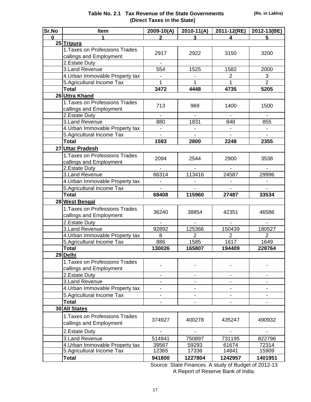| Sr.No    | <b>Item</b>                                               | 2009-10(A)              | $2010-11(A)$   | 2011-12(RE)    | 2012-13(BE)    |
|----------|-----------------------------------------------------------|-------------------------|----------------|----------------|----------------|
| $\Omega$ |                                                           |                         |                |                | 5              |
|          | 25 Tripura                                                |                         |                |                |                |
|          | 1. Taxes on Professions Trades<br>callings and Employment | 2917                    | 2922           | 3150           | 3200           |
|          | 2. Estate Duty                                            |                         |                |                |                |
|          | 3. Land Revenue                                           | 554                     | 1525           | 1582           | 2000           |
|          | 4. Urban Immovable Property tax                           | ä,                      | $\blacksquare$ | $\overline{2}$ | $\overline{3}$ |
|          | 5. Agricultural Income Tax                                | 1                       | $\mathbf{1}$   | 1              | $\overline{2}$ |
|          | <b>Total</b>                                              | 3472                    | 4448           | 4735           | 5205           |
|          | 26 Uttra Khand                                            |                         |                |                |                |
|          | 1. Taxes on Professions Trades                            |                         |                |                |                |
|          | callings and Employment                                   | 713                     | 969            | 1400           | 1500           |
|          | 2. Estate Duty                                            |                         |                |                |                |
|          | 3. Land Revenue                                           | 880                     | 1831           | 848            | 855            |
|          | 4. Urban Immovable Property tax                           |                         |                |                |                |
|          | 5. Agricultural Income Tax                                |                         |                |                |                |
|          | <b>Total</b>                                              | 1593                    | 2800           | 2248           | 2355           |
|          | 27 Uttar Pradesh                                          |                         |                |                |                |
|          | 1. Taxes on Professions Trades                            | 2094                    | 2544           | 2900           | 3538           |
|          | callings and Employment                                   |                         |                |                |                |
|          | 2. Estate Duty                                            |                         |                |                |                |
|          | 3. Land Revenue                                           | 66314                   | 113416         | 24587          | 29996          |
|          | 4. Urban Immovable Property tax                           |                         |                |                |                |
|          | 5. Agricultural Income Tax                                |                         |                |                |                |
|          | <b>Total</b>                                              | 68408                   | 115960         | 27487          | 33534          |
|          | 28 West Bengal                                            |                         |                |                |                |
|          | 1. Taxes on Professions Trades                            | 36240                   | 38854          | 42351          | 46586          |
|          | callings and Employment                                   |                         |                |                |                |
|          | 2. Estate Duty                                            |                         |                |                |                |
|          | 3.Land Revenue                                            | 92892                   | 125366         | 150439         | 180527         |
|          | 4. Urban Immovable Property tax                           | 8                       | $\overline{2}$ | 2              | $\overline{2}$ |
|          | 5. Agricultural Income Tax                                | 886                     | 1585           | 1617           | 1649           |
|          | Total                                                     | 130026                  | 165807         | 194409         | 228764         |
|          | 29 Delhi                                                  |                         |                |                |                |
|          | 1. Taxes on Professions Trades                            |                         |                |                |                |
|          | callings and Employment                                   |                         |                |                |                |
|          | 2. Estate Duty                                            |                         |                |                |                |
|          | 3. Land Revenue                                           |                         |                |                |                |
|          | 4. Urban Immovable Property tax                           | -                       |                |                | $\blacksquare$ |
|          | 5. Agricultural Income Tax                                |                         |                |                |                |
|          | <b>Total</b>                                              |                         |                |                |                |
|          | 30 All States                                             |                         |                |                |                |
|          | 1. Taxes on Professions Trades                            | 374927                  | 400278         | 435247         | 490932         |
|          | callings and Employment                                   |                         |                |                |                |
|          | 2. Estate Duty<br>3. Land Revenue                         | $\frac{1}{2}$<br>514941 | 750897         | 731195         | 822796         |
|          | 4. Urban Immovable Property tax                           | 39567                   | 59293          | 61674          | 72314          |
|          | 5. Agricultural Income Tax                                | 12365                   | 17336          | 14841          | 15909          |
|          | <b>Total</b>                                              | 941800                  | 1227804        | 1242957        | 1401951        |
|          |                                                           |                         |                |                |                |

Source: State Finances A study of Budget of 2012-13 A Report of Reserve Bank of India.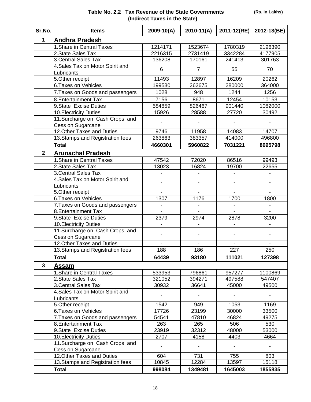| Table No. 2.2 Tax Revenue of the State Governments |
|----------------------------------------------------|
| (Indirect Taxes in the State)                      |

| Sr.No.       | <b>Items</b>                     | 2009-10(A)        | $2010-11(A)$   | 2011-12(RE) | 2012-13(BE) |
|--------------|----------------------------------|-------------------|----------------|-------------|-------------|
| $\mathbf{1}$ | <b>Andhra Pradesh</b>            |                   |                |             |             |
|              | 1. Share in Central Taxes        | 1214171           | 1523674        | 1780319     | 2196390     |
|              | 2. State Sales Tax               | 2216315           | 2731419        | 3342284     | 4177905     |
|              | 3. Central Sales Tax             | 136208            | 170161         | 241413      | 301763      |
|              | 4. Sales Tax on Motor Spirit and | 6                 | $\overline{7}$ | 55          | 70          |
|              | Lubricants                       |                   |                |             |             |
|              | 5. Other receipt                 | 11493             | 12897          | 16209       | 20262       |
|              | <b>6 Taxes on Vehicles</b>       | 199530            | 262675         | 280000      | 364000      |
|              | 7. Taxes on Goods and passengers | 1028              | 948            | 1244        | 1256        |
|              | 8. Entertainment Tax             | 7156              | 8671           | 12454       | 10153       |
|              | 9. State Excise Duties           | 584859            | 826467         | 901440      | 1082000     |
|              | 10. Electricity Duties           | 15926             | 28588          | 27720       | 30492       |
|              | 11. Surcharge on Cash Crops and  |                   |                |             |             |
|              | Cess on Sugarcane                |                   |                |             |             |
|              | 12. Other Taxes and Duties       | 9746              | 11958          | 14083       | 14707       |
|              | 13. Stamps and Registration fees | 263863            | 383357         | 414000      | 496800      |
|              | <b>Total</b>                     | 4660301           | 5960822        | 7031221     | 8695798     |
| $\mathbf{2}$ | <b>Arunachal Pradesh</b>         |                   |                |             |             |
|              | 1. Share in Central Taxes        | 47542             | 72020          | 86516       | 99493       |
|              | 2. State Sales Tax               | 13023             | 16824          | 19700       | 22655       |
|              | 3. Central Sales Tax             |                   |                |             |             |
|              | 4. Sales Tax on Motor Spirit and |                   |                |             |             |
|              | Lubricants                       |                   |                |             |             |
|              | 5. Other receipt                 |                   |                |             |             |
|              | 6. Taxes on Vehicles             | 1307              | 1176           | 1700        | 1800        |
|              | 7. Taxes on Goods and passengers |                   |                |             |             |
|              | 8. Entertainment Tax             |                   |                |             |             |
|              | 9. State Excise Duties           | 2379              | 2974           | 2878        | 3200        |
|              | 10. Electricity Duties           |                   |                |             |             |
|              | 11.Surcharge on Cash Crops and   |                   |                |             |             |
|              | Cess on Sugarcane                |                   |                |             |             |
|              | 12. Other Taxes and Duties       |                   |                |             |             |
|              | 13. Stamps and Registration fees | 188               | 186            | 227         | 250         |
|              | <b>Total</b>                     | 64439             | 93180          | 111021      | 127398      |
| 3            | Assam                            |                   |                |             |             |
|              | 1. Share in Central Taxes        | 533953            | 796861         | 957277      | 1100869     |
|              | 2. State Sales Tax               | 321052            | 394271         | 497588      | 547407      |
|              | 3 Central Sales Tax              | 30932             | 36641          | 45000       | 49500       |
|              | 4. Sales Tax on Motor Spirit and |                   |                |             |             |
|              | Lubricants                       |                   |                |             |             |
|              | 5. Other receipt                 | $\overline{1}542$ | 949            | 1053        | 1169        |
|              | 6. Taxes on Vehicles             | 17726             | 23199          | 30000       | 33500       |
|              | 7. Taxes on Goods and passengers | 54541             | 47810          | 46824       | 49275       |
|              | 8. Entertainment Tax             | 263               | 265            | 506         | 530         |
|              | 9. State Excise Duties           | 23919             | 32312          | 48000       | 53000       |
|              | 10. Electricity Duties           | 2707              | 4158           | 4403        | 4664        |
|              | 11. Surcharge on Cash Crops and  |                   |                |             |             |
|              | Cess on Sugarcane                |                   |                |             |             |
|              | 12. Other Taxes and Duties       | 604               | 731            | 755         | 803         |
|              | 13. Stamps and Registration fees | 10845             | 12284          | 13597       | 15118       |
|              | Total                            | 998084            | 1349481        | 1645003     | 1855835     |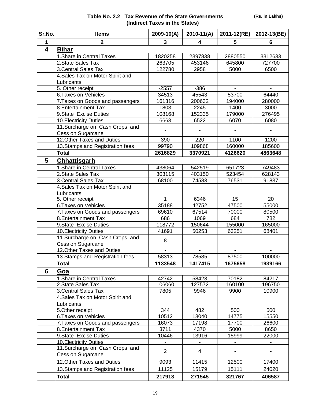| Table No. 2.2 Tax Revenue of the State Governments |
|----------------------------------------------------|
| (Indirect Taxes in the States)                     |

| Sr.No. | <b>Items</b>                                                     | $2009 - 10(A)$ | $2010 - 11(A)$ | 2011-12(RE)    | 2012-13(BE)    |
|--------|------------------------------------------------------------------|----------------|----------------|----------------|----------------|
| 1      | $\mathbf{2}$                                                     | 3              | 4              | 5              | 6              |
| 4      | <b>Bihar</b>                                                     |                |                |                |                |
|        | 1. Share in Central Taxes                                        | 1820258        | 2397838        | 2880550        | 3312633        |
|        | 2. State Sales Tax                                               | 263705         | 453146         | 645800         | 727700         |
|        | 3. Central Sales Tax                                             | 122780         | 2958           | 5000           | 6500           |
|        | 4. Sales Tax on Motor Spirit and                                 |                |                |                |                |
|        | Lubricants                                                       |                |                |                |                |
|        | 5. Other receipt                                                 | $-2557$        | $-386$         | $\blacksquare$ |                |
|        | 6. Taxes on Vehicles                                             | 34513          | 45543          | 53700          | 64440          |
|        | 7. Taxes on Goods and passengers                                 | 161316         | 200632         | 194000         | 280000         |
|        | 8. Entertainment Tax                                             | 1803           | 2245           | 1400           | 3000           |
|        | 9. State Excise Duties                                           | 108168         | 152335         | 179000         | 276495         |
|        | 10. Electricity Duties                                           | 6663           | 6522           | 6070           | 6080           |
|        | 11. Surcharge on Cash Crops and<br>Cess on Sugarcane             |                |                |                |                |
|        | 12. Other Taxes and Duties                                       | 390            | 220            | 1100           | 1200           |
|        | 13 Stamps and Registration fees                                  | 99790          | 109868         | 160000         | 185600         |
|        | <b>Total</b>                                                     | 2616829        | 3370921        | 4126620        | 4863648        |
| 5      | <b>Chhattisgarh</b>                                              |                |                |                |                |
|        | 1. Share in Central Taxes                                        | 438064         | 542519         | 651723         | 749483         |
|        | 2. State Sales Tax                                               | 303115         | 403150         | 523454         | 628143         |
|        | 3. Central Sales Tax                                             | 68100          | 74583          | 76531          | 91837          |
|        | 4. Sales Tax on Motor Spirit and                                 |                |                |                |                |
|        | Lubricants                                                       |                |                |                |                |
|        | 5. Other receipt                                                 | 1              | 6346           | 15             | 20             |
|        | 6. Taxes on Vehicles                                             | 35188          | 42752          | 47500          | 55000          |
|        | 7. Taxes on Goods and passengers                                 | 69610          | 67514          | 70000          | 80500          |
|        | 8. Entertainment Tax                                             | 686            | 1069           | 684            | 782            |
|        | 9. State Excise Duties                                           | 118772         | 150644         | 155000         | 165000         |
|        | 10. Electricity Duties                                           | 41691          | 50253          | 63251          | 68401          |
|        | 11. Surcharge on Cash Crops and<br>Cess on Sugarcane             | 8              |                |                |                |
|        | 12. Other Taxes and Duties                                       | $\blacksquare$ | $\blacksquare$ | $\blacksquare$ | $\blacksquare$ |
|        | 13. Stamps and Registration fees                                 | 58313          | 78585          | 87500          | 100000         |
|        | <b>Total</b>                                                     | 1133548        | 1417415        | 1675658        | 1939166        |
| 6      | Goa                                                              |                |                |                |                |
|        | 1. Share in Central Taxes                                        | 42742          | 58423          | 70182          | 84217          |
|        | 2. State Sales Tax                                               | 106060         | 127572         | 160100         | 196750         |
|        | 3. Central Sales Tax                                             | 7805           | 9946           | 9900           | 10900          |
|        | 4. Sales Tax on Motor Spirit and                                 |                |                |                |                |
|        | Lubricants                                                       |                |                |                |                |
|        | 5. Other receipt                                                 | 344            | 482            | 500            | 500            |
|        | 6. Taxes on Vehicles                                             | 10512          | 13040          | 14775          | 15550          |
|        | 7. Taxes on Goods and passengers                                 | 16073          | 17198          | 17700          | 26600          |
|        | 8. Entertainment Tax                                             | 3711           | 4370           | 5000           | 8650           |
|        | 9. State Excise Duties                                           | 10446          | 13916          | 15999          | 22000          |
|        | <b>10. Electricity Duties</b><br>11. Surcharge on Cash Crops and |                |                | ٠              |                |
|        | Cess on Sugarcane                                                | $\overline{2}$ | $\overline{4}$ |                |                |
|        | 12. Other Taxes and Duties                                       | 9093           | 11415          | 12500          | 17400          |
|        | 13. Stamps and Registration fees                                 | 11125          | 15179          | 15111          | 24020          |
|        | <b>Total</b>                                                     | 217913         | 271545         | 321767         | 406587         |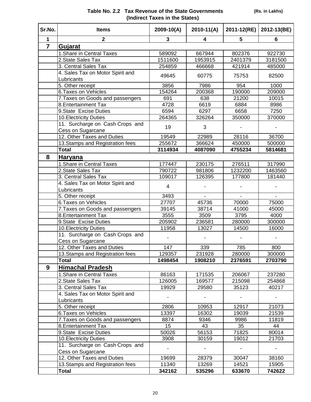| Sr.No.         | <b>Items</b>                     | $2009 - 10(A)$   | $2010-11(A)$             | 2011-12(RE) | 2012-13(BE) |
|----------------|----------------------------------|------------------|--------------------------|-------------|-------------|
| $\mathbf{1}$   | $\overline{2}$                   | 3                | 4                        | 5           | 6           |
| $\overline{7}$ | Gujarat                          |                  |                          |             |             |
|                | 1. Share in Central Taxes        | 589092           | 667944                   | 802376      | 922730      |
|                | 2. State Sales Tax               | 1511600          | 1953915                  | 2401379     | 3181500     |
|                | 3. Central Sales Tax             | 254859           | 466668                   | 421914      | 485000      |
|                | 4. Sales Tax on Motor Spirit and |                  |                          |             |             |
|                | Lubricants                       | 49645            | 60775                    | 75753       | 82500       |
|                | 5. Other receipt                 | 3856             | 7986                     | 954         | 1000        |
|                | 6. Taxes on Vehicles             | 154264           | 200368                   | 190000      | 209000      |
|                | 7. Taxes on Goods and passengers | 691              | 638                      | 21200       | 10015       |
|                | 8. Entertainment Tax             | 4728             | 6619                     | 6884        | 8986        |
|                | 9. State Excise Duties           | 6594             | 6297                     | 6658        | 7250        |
|                | 10. Electricity Duties           | 264365           | 326264                   | 350000      | 370000      |
|                | 11. Surcharge on Cash Crops and  | 19               | 3                        |             |             |
|                | Cess on Sugarcane                |                  |                          |             |             |
|                | 12. Other Taxes and Duties       | 19549            | 22989                    | 28116       | 36700       |
|                | 13. Stamps and Registration fees | 255672           | 366624                   | 450000      | 500000      |
|                | <b>Total</b>                     | 3114934          | 4087090                  | 4755234     | 5814681     |
| 8              | Haryana                          |                  |                          |             |             |
|                | 1. Share in Central Taxes        | 177447           | 230175                   | 276511      | 317990      |
|                | 2. State Sales Tax               | 790722           | 981806                   | 1232200     | 1463560     |
|                | 3. Central Sales Tax             | 109017           | 126395                   | 177800      | 181440      |
|                | 4. Sales Tax on Motor Spirit and | $\overline{4}$   |                          |             |             |
|                | Lubricants                       |                  |                          |             |             |
|                | 5. Other receipt                 | 3493             | $\overline{\phantom{a}}$ |             |             |
|                | 6. Taxes on Vehicles             | 27707            | 45736                    | 70000       | 75000       |
|                | 7. Taxes on Goods and passengers | 39145            | 38714                    | 41000       | 45000       |
|                | 8. Entertainment Tax             | 3555             | 3509                     | 3795        | 4000        |
|                | 9.State Excise Duties            | 205902           | 236581                   | 280000      | 300000      |
|                | 10. Electricity Duties           | 11958            | 13027                    | 14500       | 16000       |
|                | 11. Surcharge on Cash Crops and  |                  |                          |             |             |
|                | Cess on Sugarcane                |                  |                          |             |             |
|                | 12. Other Taxes and Duties       | 147              | 339                      | 785         | 800         |
|                | 13. Stamps and Registration fees | 129357           | 231928                   | 280000      | 300000      |
|                | Total                            | 1498454          | 1908210                  | 2376591     | 2703790     |
| 9              | <b>Himachal Pradesh</b>          |                  |                          |             |             |
|                | 1. Share in Central Taxes        | 86163            | 171535                   | 206067      | 237280      |
|                | 2. State Sales Tax               | 126005           | 169577                   | 215098      | 254868      |
|                | 3. Central Sales Tax             | 19929            | 29580                    | 35123       | 40217       |
|                | 4. Sales Tax on Motor Spirit and |                  |                          |             |             |
|                | Lubricants                       |                  |                          |             |             |
|                | 5. Other receipt                 | 2806             | 10953                    | 12917       | 21073       |
|                | 6. Taxes on Vehicles             | 13397            | 16302                    | 19039       | 21539       |
|                | 7. Taxes on Goods and passengers | 8874             | 9346                     | 9986        | 11819       |
|                | 8. Entertainment Tax             | 15 <sub>15</sub> | 43                       | 35          | 44          |
|                | 9. State Excise Duties           | 50026            | 56153                    | 71825       | 80014       |
|                | 10 Electricity Duties            | 3908             | 30159                    | 19012       | 21703       |
|                | 11. Surcharge on Cash Crops and  |                  |                          |             |             |
|                | Cess on Sugarcane                |                  |                          |             |             |
|                | 12. Other Taxes and Duties       | 19699            | 28379                    | 30047       | 38160       |
|                | 13 Stamps and Registration fees  | 11340            | 13269                    | 14521       | 15905       |
|                | <b>Total</b>                     | 342162           | 535296                   | 633670      | 742622      |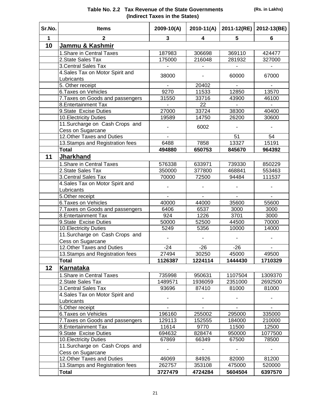| Sr.No.      | <b>Items</b>                                    | $2009 - 10(A)$ | $2010-11(A)$ | 2011-12(RE) | 2012-13(BE) |
|-------------|-------------------------------------------------|----------------|--------------|-------------|-------------|
| $\mathbf 1$ | 2                                               | 3              | 4            | 5           | 6           |
| 10          | <u>Jammu &amp; Kashmir</u>                      |                |              |             |             |
|             | 1. Share in Central Taxes                       | 187983         | 306698       | 369110      | 424477      |
|             | 2. State Sales Tax                              | 175000         | 216048       | 281932      | 327000      |
|             | 3. Central Sales Tax                            |                |              |             |             |
|             | 4. Sales Tax on Motor Spirit and                | 38000          |              |             |             |
|             | Lubricants                                      |                |              | 60000       | 67000       |
|             | 5. Other receipt                                |                | 20402        |             |             |
|             | 6. Taxes on Vehicles                            | 9270           | 11533        | 12850       | 13570       |
|             | 7. Taxes on Goods and passengers                | 31550          | 33716        | 43900       | 46100       |
|             | 8. Entertainment Tax                            |                | 22           |             |             |
|             | 9. State Excise Duties                          | 27000          | 33724        | 38300       | 40400       |
|             | 10. Electricity Duties                          | 19589          | 14750        | 26200       | 30600       |
|             | 11. Surcharge on Cash Crops and                 |                | 6002         |             |             |
|             | Cess on Sugarcane                               |                |              |             |             |
|             | 12. Other Taxes and Duties                      |                |              | 51          | 54          |
|             | 13. Stamps and Registration fees                | 6488           | 7858         | 13327       | 15191       |
|             | <b>Total</b>                                    | 494880         | 650753       | 845670      | 964392      |
| 11          | <b>Jharkhand</b>                                |                |              |             |             |
|             | 1. Share in Central Taxes                       | 576338         | 633971       | 739330      | 850229      |
|             | 2. State Sales Tax                              | 350000         | 377800       | 468841      | 553463      |
|             | 3. Central Sales Tax                            | 70000          | 72500        | 94484       | 111537      |
|             | 4. Sales Tax on Motor Spirit and                |                |              |             |             |
|             | Lubricants                                      |                |              |             |             |
|             | 5.Other receipt                                 |                |              |             |             |
|             | 6. Taxes on Vehicles                            | 40000          | 44000        | 35600       | 55600       |
|             | 7. Taxes on Goods and passengers                | 6406           | 6537         | 3000        | 3000        |
|             | 8. Entertainment Tax                            | 924            | 1226         | 3701        | 3000        |
|             | 9.State Excise Duties                           | 50000          | 52500        | 44500       | 70000       |
|             | 10. Electricity Duties                          | 5249           | 5356         | 10000       | 14000       |
|             | 11. Surcharge on Cash Crops and                 |                |              |             |             |
|             | Cess on Sugarcane                               |                |              |             |             |
|             | 12. Other Taxes and Duties                      | $-24$          | $-26$        | $-26$       |             |
|             | 13. Stamps and Registration fees                | 27494          | 30250        | 45000       | 49500       |
|             | <b>Total</b>                                    | 1126387        | 1224114      | 1444430     | 1710329     |
| 12          | <b>Karnataka</b>                                |                |              |             |             |
|             | 1. Share in Central Taxes                       | 735998         | 950631       | 1107504     | 1309370     |
|             | 2. State Sales Tax                              | 1489571        | 1936059      | 2351000     | 2692500     |
|             | 3. Central Sales Tax                            | 93696          | 87410        | 81000       | 81000       |
|             | 4. Sales Tax on Motor Spirit and                |                |              |             |             |
|             | Lubricants                                      |                |              |             |             |
|             | 5.Other receipt                                 |                |              |             |             |
|             | 6. Taxes on Vehicles                            | 196160         | 255002       | 295000      | 335000      |
|             | 7. Taxes on Goods and passengers                | 129113         | 152555       | 184000      | 210000      |
|             | 8. Entertainment Tax                            | 11614          | 9770         | 11500       | 12500       |
|             | 9. State Excise Duties                          | 694632         | 828474       | 950000      | 1077500     |
|             | 10. Electricity Duties                          | 67869          | 66349        | 67500       | 78500       |
|             | 11. Surcharge on Cash Crops and                 |                |              |             |             |
|             | Cess on Sugarcane<br>12. Other Taxes and Duties | 46069          | 84926        | 82000       | 81200       |
|             | 13. Stamps and Registration fees                | 262757         | 353108       | 475000      | 520000      |
|             | <b>Total</b>                                    | 3727479        | 4724284      | 5604504     | 6397570     |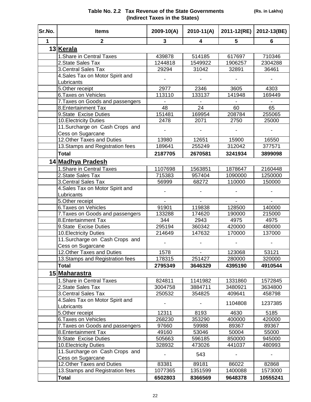| Sr.No.       | <b>Items</b>                     | 2009-10(A)       | $2010 - 11(A)$   | 2011-12(RE)      | 2012-13(BE)      |
|--------------|----------------------------------|------------------|------------------|------------------|------------------|
| $\mathbf{1}$ | $\overline{2}$                   | 3                | 4                | 5                | 6                |
|              | 13 Kerala                        |                  |                  |                  |                  |
|              | 1. Share in Central Taxes        | 439878           | 514185           | 617697           | 710346           |
|              | 2. State Sales Tax               | 1244818          | 1549922          | 1906257          | 2304288          |
|              | 3. Central Sales Tax             | 29294            | 31042            | 32891            | 36461            |
|              | 4. Sales Tax on Motor Spirit and |                  |                  |                  |                  |
|              | Lubricants                       |                  |                  |                  |                  |
|              | 5.Other receipt                  | 2977             | 2346             | 3605             | 4303             |
|              | 6. Taxes on Vehicles             | 113110           | 133137           | 141948           | 169449           |
|              | 7. Taxes on Goods and passengers |                  |                  |                  |                  |
|              | 8. Entertainment Tax             | 48               | $\overline{24}$  | 60               | 65               |
|              | 9. State Excise Duties           | 151481           | 169954           | 208784           | 255065           |
|              | 10. Electricity Duties           | 2478             | 2071             | 2750             | 25000            |
|              | 11. Surcharge on Cash Crops and  |                  |                  |                  |                  |
|              | Cess on Sugarcane                |                  |                  |                  |                  |
|              | 12. Other Taxes and Duties       | 13980            | 12651            | 15900            | 16550            |
|              | 13. Stamps and Registration fees | 189641           | 255249           | 312042           | 377571           |
|              | <b>Total</b>                     | 2187705          | 2670581          | 3241934          | 3899098          |
|              | 14 Madhya Pradesh                |                  |                  |                  |                  |
|              | 1. Share in Central Taxes        | 1107698          | 1563851          | 1878647          | 2160448          |
|              | 2. State Sales Tax               | 715383           | 957404           | 1090000          | 1250000          |
|              | 3. Central Sales Tax             | 56999            | 68272            | 110000           | 150000           |
|              | 4. Sales Tax on Motor Spirit and |                  |                  |                  |                  |
|              | Lubricants                       |                  |                  |                  |                  |
|              | 5.Other receipt                  |                  |                  |                  |                  |
|              | 6. Taxes on Vehicles             | 91901            | 119838           | 128500           | 140000           |
|              | 7. Taxes on Goods and passengers | 133288           | 174620           | 190000           | 215000           |
|              | 8. Entertainment Tax             | 344              | 2943             | 4975             | 4975             |
|              | 9. State Excise Duties           | 295194           | 360342           | 420000           | 480000           |
|              | 10. Electricity Duties           | 214649           | 147632           | 170000           | 137000           |
|              | 11. Surcharge on Cash Crops and  |                  |                  |                  |                  |
|              | Cess on Sugarcane                |                  |                  |                  |                  |
|              | 12.Other Taxes and Duties        | 1578             |                  | 123068           | 53121            |
|              | 13 Stamps and Registration fees  | 178315           | 251427           | 280000           | 320000           |
|              | <b>Total</b>                     | 2795349          | 3646329          | 4395190          | 4910544          |
|              | 15 Maharastra                    |                  |                  |                  |                  |
|              | 1. Share in Central Taxes        | 824811           | 1141982          | 1331860          | 1572845          |
|              | 2. State Sales Tax               | 3004758          | 3884711          | 3480921          | 3634800          |
|              | 3. Central Sales Tax             | 250532           | 354825           | 409641           | 458798           |
|              | 4. Sales Tax on Motor Spirit and |                  |                  | 1104808          | 1237385          |
|              | Lubricants                       |                  |                  |                  |                  |
|              | 5. Other receipt                 | 12311            | 8193             | 4630             | 5185             |
|              | 6. Taxes on Vehicles             | 268230           | 353290           | 400000           | 420000           |
|              | 7. Taxes on Goods and passengers | 97660            | 59988            | 89367            | 89367            |
|              | 8. Entertainment Tax             | 49160            | 53046            | 50004            | 55000            |
|              | 9. State Excise Duties           | 505663           | 596185           | 850000           | 945000           |
|              | <b>10. Electricity Duties</b>    | 328932           | 473026           | 441037           | 480993           |
|              | 11. Surcharge on Cash Crops and  |                  | 543              |                  |                  |
|              | Cess on Sugarcane                |                  |                  |                  |                  |
|              | 12. Other Taxes and Duties       | 83381<br>1077365 | 89181<br>1351599 | 86022<br>1400088 | 82868<br>1573000 |
|              | 13 Stamps and Registration fees  | 6502803          | 8366569          | 9648378          | 10555241         |
|              | <b>Total</b>                     |                  |                  |                  |                  |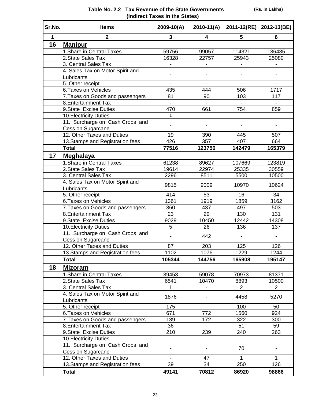|  | (Rs. in Lakhs) |  |
|--|----------------|--|
|--|----------------|--|

| Table No. 2.2 Tax Revenue of the State Governments |
|----------------------------------------------------|
| (Indirect Taxes in the States)                     |

| Sr.No. | <b>Items</b>                     | $2009 - 10(A)$  | $2010-11(A)$    | 2011-12(RE)    | 2012-13(BE)      |
|--------|----------------------------------|-----------------|-----------------|----------------|------------------|
| 1      | $\overline{2}$                   | 3               | 4               | 5              | 6                |
| 16     | <b>Manipur</b>                   |                 |                 |                |                  |
|        | 1. Share in Central Taxes        | 59756           | 99057           | 114321         | 136435           |
|        | 2. State Sales Tax               | 16328           | 22757           | 25943          | 25080            |
|        | 3. Central Sales Tax             |                 |                 |                |                  |
|        | 4. Sales Tax on Motor Spirit and |                 |                 |                |                  |
|        | Lubricants                       |                 |                 |                |                  |
|        | 5. Other receipt                 |                 |                 |                |                  |
|        | 6. Taxes on Vehicles             | 435             | 444             | 506            | 1717             |
|        | 7. Taxes on Goods and passengers | 81              | 90              | 103            | 117              |
|        | 8. Entertainment Tax             | $\blacksquare$  |                 |                |                  |
|        | 9.State Excise Duties            | 470             | 661             | 754            | 859              |
|        | 10. Electricity Duties           | 1               | ä,              | $\blacksquare$ | ÷.               |
|        | 11. Surcharge on Cash Crops and  |                 |                 |                |                  |
|        | Cess on Sugarcane                |                 |                 |                |                  |
|        | 12. Other Taxes and Duties       | 19              | 390             | 445            | 507              |
|        | 13. Stamps and Registration fees | 426             | 357             | 407            | 664              |
|        | <b>Total</b>                     | 77516           | 123756          | 142479         | 165379           |
| 17     | <b>Meghalaya</b>                 |                 |                 |                |                  |
|        | 1. Share in Central Taxes        | 61238           | 89627           | 107669         | 123819           |
|        | 2. State Sales Tax               | 19614           | 22974           | 25335          | 30559            |
|        | 3. Central Sales Tax             | 2296            | 8511            | 5500           | 10500            |
|        | 4. Sales Tax on Motor Spirit and |                 |                 |                |                  |
|        | Lubricants                       | 9815            | 9009            | 10970          | 10624            |
|        | 5. Other receipt                 | 414             | 53              | 16             | 34               |
|        | 6. Taxes on Vehicles             | 1361            | 1919            | 1859           | 3162             |
|        | 7. Taxes on Goods and passengers | 360             | 437             | 497            | 503              |
|        | 8. Entertainment Tax             | $\overline{23}$ | $\overline{29}$ | 130            | $\overline{131}$ |
|        | 9. State Excise Duties           | 9029            | 10450           | 12442          | 14308            |
|        | 10. Electricity Duties           | 5               | 26              | 136            | 137              |
|        | 11. Surcharge on Cash Crops and  |                 |                 |                |                  |
|        | Cess on Sugarcane                |                 | 442             |                |                  |
|        | 12. Other Taxes and Duties       | 87              | 203             | 125            | 126              |
|        | 13. Stamps and Registration fees | 1102            | 1076            | 1229           | 1244             |
|        | <b>Total</b>                     | 105344          | 144756          | 165908         | 195147           |
| 18     | <b>Mizoram</b>                   |                 |                 |                |                  |
|        | 1. Share in Central Taxes        | 39453           | 59078           | 70973          | 81371            |
|        | 2. State Sales Tax               | 6541            | 10470           | 8893           | 10500            |
|        | 3. Central Sales Tax             | 1               |                 | $\overline{2}$ | $\overline{2}$   |
|        | 4. Sales Tax on Motor Spirit and |                 |                 |                |                  |
|        | Lubricants                       | 1876            |                 | 4458           | 5270             |
|        | 5. Other receipt                 | 175             |                 | 100            | 50               |
|        | 6. Taxes on Vehicles             | 671             | 772             | 1560           | 924              |
|        | 7. Taxes on Goods and passengers | 139             | 172             | 322            | 300              |
|        | 8. Entertainment Tax             | 36              |                 | 51             | 59               |
|        | 9. State Excise Duties           | 210             | 239             | 240            | 263              |
|        | 10. Electricity Duties           |                 |                 |                |                  |
|        | 11. Surcharge on Cash Crops and  |                 |                 |                |                  |
|        | Cess on Sugarcane                |                 |                 | 70             |                  |
|        | 12. Other Taxes and Duties       |                 | 47              | $\mathbf{1}$   | $\mathbf{1}$     |
|        | 13. Stamps and Registration fees | 39              | 34              | 250            | 126              |
|        | <b>Total</b>                     | 49141           | 70812           | 86920          | 98866            |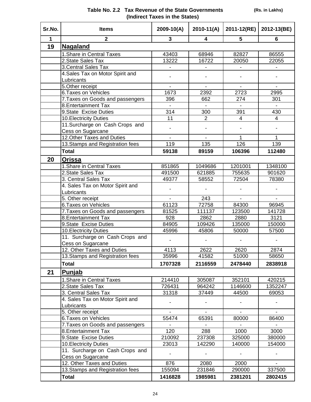| Table No. 2.2 Tax Revenue of the State Governments |
|----------------------------------------------------|
| (Indirect Taxes in the States)                     |

| Sr.No.       | <b>Items</b>                     | 2009-10(A)     | $2010-11(A)$   | 2011-12(RE)    | 2012-13(BE)    |
|--------------|----------------------------------|----------------|----------------|----------------|----------------|
| $\mathbf{1}$ | $\mathbf{2}$                     | 3              | 4              | 5              | 6              |
| 19           | <b>Nagaland</b>                  |                |                |                |                |
|              | 1. Share in Central Taxes        | 43403          | 68946          | 82827          | 86555          |
|              | 2. State Sales Tax               | 13222          | 16722          | 20050          | 22055          |
|              | 3. Central Sales Tax             |                |                |                |                |
|              | 4. Sales Tax on Motor Spirit and |                |                |                |                |
|              | Lubricants                       |                |                |                |                |
|              | 5. Other receipt                 | $\blacksquare$ | $\blacksquare$ | $\blacksquare$ |                |
|              | 6. Taxes on Vehicles             | 1673           | 2392           | 2723           | 2995           |
|              | 7. Taxes on Goods and passengers | 396            | 662            | 274            | 301            |
|              | 8. Entertainment Tax             |                |                |                |                |
|              | 9. State Excise Duties           | 314            | 300            | 391            | 430            |
|              | 10. Electricity Duties           | 11             | $\overline{2}$ | 4              | 4              |
|              | 11. Surcharge on Cash Crops and  |                |                |                |                |
|              | Cess on Sugarcane                |                |                |                |                |
|              | 12. Other Taxes and Duties       |                |                | 1              |                |
|              | 13. Stamps and Registration fees | 119            | 135            | 126            | 139            |
|              | <b>Total</b>                     | 59138          | 89159          | 106396         | 112480         |
| 20           | Orissa                           |                |                |                |                |
|              | 1. Share in Central Taxes        | 851865         | 1049686        | 1201001        | 1348100        |
|              | 2. State Sales Tax               | 491500         | 621885         | 755635         | 901620         |
|              | 3. Central Sales Tax             | 49377          | 58552          | 72504          | 78380          |
|              | 4. Sales Tax on Motor Spirit and |                |                |                |                |
|              | Lubricants                       |                |                |                |                |
|              | 5. Other receipt                 |                | 243            | $\blacksquare$ | $\blacksquare$ |
|              | 6. Taxes on Vehicles             | 61123          | 72758          | 84300          | 96945          |
|              | 7. Taxes on Goods and passengers | 81525          | 111137         | 123500         | 141728         |
|              | 8. Entertainment Tax             | 928            | 2862           | 2880           | 3121           |
|              | 9. State Excise Duties           | 84905          | 109426         | 135000         | 150000         |
|              | 10. Electricity Duties           | 45996          | 45806          | 50000          | 57500          |
|              | 11. Surcharge on Cash Crops and  |                |                |                |                |
|              | Cess on Sugarcane                |                |                |                |                |
|              | 12. Other Taxes and Duties       | 4113           | 2622           | 2620           | 2874           |
|              | 13. Stamps and Registration fees | 35996          | 41582          | 51000          | 58650          |
|              | <b>Total</b>                     | 1707328        | 2116559        | 2478440        | 2838918        |
| 21           | Punjab                           |                |                |                |                |
|              | 1. Share in Central Taxes        | 214410         | 305087         | 352101         | 420215         |
|              | 2. State Sales Tax               | 726431         | 964242         | 1146600        | 1352247        |
|              | 3. Central Sales Tax             | 31318          | 37449          | 44500          | 69053          |
|              | 4. Sales Tax on Motor Spirit and |                |                |                |                |
|              | Lubricants                       |                |                |                |                |
|              | 5. Other receipt                 | $\blacksquare$ | $\mathbf{r}$   | $\blacksquare$ | $\blacksquare$ |
|              | 6. Taxes on Vehicles             | 55474          | 65391          | 80000          | 86400          |
|              | 7. Taxes on Goods and passengers |                |                |                |                |
|              | 8. Entertainment Tax             | 120            | 288            | 1000           | 3000           |
|              | 9. State Excise Duties           | 210092         | 237308         | 325000         | 380000         |
|              | 10. Electricity Duties           | 23013          | 142290         | 140000         | 154000         |
|              | 11. Surcharge on Cash Crops and  |                |                |                |                |
|              | Cess on Sugarcane                |                |                |                |                |
|              | 12. Other Taxes and Duties       | 876            | 2080           | 2000           |                |
|              | 13. Stamps and Registration fees | 155094         | 231846         | 290000         | 337500         |
|              | <b>Total</b>                     | 1416828        | 1985981        | 2381201        | 2802415        |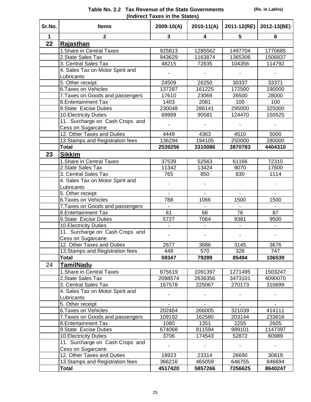| Sr.No. | <b>Items</b>                     | $2009 - 10(A)$ | $2010 - 11(A)$ | 2011-12(RE) | 2012-13(BE) |
|--------|----------------------------------|----------------|----------------|-------------|-------------|
| 1      | $\overline{2}$                   | 3              | 4              | 5           | 6           |
| 22     | Rajasthan                        |                |                |             |             |
|        | 1. Share in Central Taxes        | 925813         | 1285562        | 1497704     | 1770685     |
|        | 2. State Sales Tax               | 943629         | 1163874        | 1365306     | 1506837     |
|        | 3. Central Sales Tax             | 48215          | 72835          | 104356      | 114792      |
|        | 4. Sales Tax on Motor Spirit and |                |                |             |             |
|        | Lubricants                       |                |                |             |             |
|        | 5. Other receipt                 | 24509          | 26250          | 30337       | 33371       |
|        | 6. Taxes on Vehicles             | 137287         | 161225         | 172500      | 190000      |
|        | 7. Taxes on Goods and passengers | 17610          | 23069          | 26500       | 28000       |
|        | 8. Entertainment Tax             | 1403           | 2081           | 100         | 100         |
|        | 9. State Excise Duties           | 230048         | 286141         | 295000      | 325000      |
|        | 10. Electricity Duties           | 69999          | 90581          | 124470      | 150525      |
|        | 11. Surcharge on Cash Crops and  |                |                |             |             |
|        | Cess on Sugarcane                |                |                |             |             |
|        | 12. Other Taxes and Duties       | 4449           | 4363           | 4510        | 5000        |
|        | 13. Stamps and Registration fees | 136294         | 194105         | 250000      | 280000      |
|        | <b>Total</b>                     | 2539256        | 3310086        | 3870783     | 4404310     |
| 23     | <b>Sikkim</b>                    |                |                |             |             |
|        | 1. Share in Central Taxes        | 37539          | 52563          | 61166       | 72315       |
|        | 2.State Sales Tax                | 11342          | 13424          | 9070        | 17600       |
|        | 3. Central Sales Tax             | 765            | 850            | 830         | 1114        |
|        | 4. Sales Tax on Motor Spirit and |                |                |             |             |
|        | Lubricants                       |                |                |             |             |
|        | 5. Other receipt                 |                |                |             |             |
|        | 6. Taxes on Vehicles             | 788            | 1066           | 1500        | 1500        |
|        | 7. Taxes on Goods and passengers |                |                |             |             |
|        | 8. Entertainment Tax             | 61             | 66             | 76          | 87          |
|        | 9. State Excise Duties           | 5727           | 7064           | 9381        | 9500        |
|        | 10. Electricity Duties           |                |                |             |             |
|        | 11. Surcharge on Cash Crops and  |                |                |             |             |
|        | Cess on Sugarcane                |                |                |             |             |
|        | 12. Other Taxes and Duties       | 2677           | 3686           | 3145        | 3676        |
|        | 13. Stamps and Registration fees | 448            | 570            | 326         | 747         |
|        | Total                            | 59347          | 79289          | 85494       | 106539      |
| 24     | TamilNadu                        |                |                |             |             |
|        | 1. Share in Central Taxes        | 875619         | 1091397        | 1271495     | 1503247     |
|        | 2. State Sales Tax               | 2098574        | 2636356        | 3473101     | 4090070     |
|        | 3. Central Sales Tax             | 167578         | 225067         | 270173      | 310699      |
|        | 4. Sales Tax on Motor Spirit and |                |                |             |             |
|        | Lubricants                       |                |                |             |             |
|        | 5. Other receipt                 |                |                |             |             |
|        | 6. Taxes on Vehicles             | 202464         | 266005         | 321039      | 414111      |
|        | 7. Taxes on Goods and passengers | 109192         | 162580         | 203144      | 233616      |
|        | 8. Entertainment Tax             | 1080           | 1351           | 2255        | 2605        |
|        | 9. State Excise Duties           | 674068         | 811594         | 989101      | 1147397     |
|        | 10. Electricity Duties           | 3706           | 174543         | 52872       | 60989       |
|        | 11. Surcharge on Cash Crops and  |                |                |             |             |
|        | Cess on Sugarcane                |                |                |             |             |
|        | 12. Other Taxes and Duties       | 18923          | 23314          | 26690       | 30819       |
|        | 13. Stamps and Registration fees | 366216         | 465059         | 646755      | 846694      |
|        | Total                            | 4517420        | 5857266        | 7256625     | 8640247     |

 **Table No. 2.2 Tax Revenue of the State Governments (Indirect Taxes in the States)**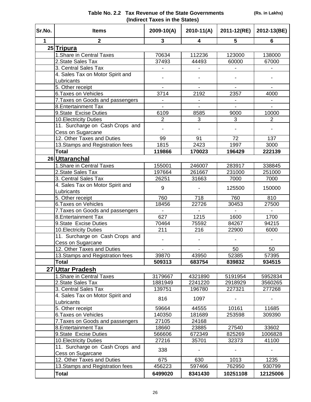#### **(Rs. in Lakhs)**

| Table No. 2.2 Tax Revenue of the State Governments |
|----------------------------------------------------|
| (Indirect Taxes in the States)                     |

**Sr.No. Items 2009-10(A) 2010-11(A) 2011-12(RE) 2012-13(BE)**

| 31.IVU.         | nems                                            | 2009-TU(A)     | ZUIU-II(A)     | ZUI I-IZ(RE)   | $2012 - 13(DE)$ |
|-----------------|-------------------------------------------------|----------------|----------------|----------------|-----------------|
| 1               | $\mathbf{2}$                                    | 3              | 4              | 5              | 6               |
|                 | 25 Tripura                                      |                |                |                |                 |
|                 | 1. Share in Central Taxes                       | 70634          | 112236         | 123000         | 138000          |
|                 | 2. State Sales Tax                              | 37493          | 44493          | 60000          | 67000           |
|                 | 3. Central Sales Tax                            |                |                |                |                 |
|                 | 4. Sales Tax on Motor Spirit and                |                |                |                |                 |
|                 | Lubricants                                      |                |                |                |                 |
|                 | 5. Other receipt                                | $\blacksquare$ |                |                | $\blacksquare$  |
|                 | 6. Taxes on Vehicles                            | 3714           | 2192           | 2357           | 4000            |
|                 | 7. Taxes on Goods and passengers                |                |                |                |                 |
|                 | 8. Entertainment Tax                            |                | $\overline{a}$ | $\overline{a}$ | $\overline{a}$  |
|                 | 9. State Excise Duties                          | 6109           | 8585           | 9000           | 10000           |
|                 | 10. Electricity Duties                          | $\overline{2}$ | 3              | 3              | $\overline{2}$  |
|                 | 11. Surcharge on Cash Crops and                 |                |                |                |                 |
|                 | Cess on Sugarcane                               |                |                |                |                 |
|                 | 12. Other Taxes and Duties                      | 99             | 91             | 72             | 137             |
|                 | 13. Stamps and Registration fees                | 1815           | 2423           | 1997           | 3000            |
|                 | <b>Total</b>                                    | 119866         | 170023         | 196429         | 222139          |
|                 | 26 Uttaranchal                                  |                |                |                |                 |
|                 | 1. Share in Central Taxes                       | 155001         | 246007         | 283917         | 338845          |
|                 | 2. State Sales Tax                              | 197664         | 261667         | 231000         | 251000          |
|                 | 3. Central Sales Tax                            | 26251          | 31663          | 7000           | 7000            |
|                 | 4. Sales Tax on Motor Spirit and                | 9              |                | 125500         | 150000          |
|                 | Lubricants                                      |                |                |                |                 |
|                 | 5. Other receipt                                | 760            | 718            | 760            | 810             |
|                 | 6. Taxes on Vehicles                            | 18456          | 22726          | 30453          | 27500           |
|                 | 7. Taxes on Goods and passengers                |                |                |                |                 |
|                 | 8. Entertainment Tax                            | 627            | 1215           | 1600           | 1700            |
|                 | 9. State Excise Duties                          | 70464          | 75592          | 84267          | 94215           |
|                 | 10. Electricity Duties                          | 211            | 216            | 22900          | 6000            |
|                 | 11. Surcharge on Cash Crops and                 |                |                |                |                 |
|                 | Cess on Sugarcane                               |                |                |                |                 |
|                 | 12. Other Taxes and Duties                      | $\overline{a}$ |                | 50             | 50              |
|                 | 13. Stamps and Registration fees                | 39870          | 43950          | 52385          | 57395           |
|                 | <b>Total</b>                                    | 509313         | 683754         | 839832         | 934515          |
| 27 <sub>l</sub> | <b>Uttar Pradesh</b>                            |                |                |                |                 |
|                 | 1. Share in Central Taxes                       | 3179667        | 4321890        | 5191954        | 5952834         |
|                 | 2. State Sales Tax                              | 1881949        | 2241220        | 2918929        | 3560265         |
|                 | 3. Central Sales Tax                            | 139751         | 196780         | 227321         | 277268          |
|                 | 4. Sales Tax on Motor Spirit and                | 816            | 1097           |                |                 |
|                 | Lubricants                                      |                |                |                |                 |
|                 | 5. Other receipt                                | 59664          | 44555          | 10161          | 11685           |
|                 | 6. Taxes on Vehicles                            | 140350         | 181689         | 253598         | 309390          |
|                 | 7. Taxes on Goods and passengers                | 27105          | 24168          |                |                 |
|                 | 8. Entertainment Tax                            | 18660          | 23885          | 27540          | 33602           |
|                 | 9. State Excise Duties                          | 566606         | 672349         | 825269         | 1006828         |
|                 | 10. Electricity Duties                          | 27216          | 35701          | 32373          | 41100           |
|                 | 11. Surcharge on Cash Crops and                 | 338            |                |                |                 |
|                 | Cess on Sugarcane<br>12. Other Taxes and Duties | 675            | 630            | 1013           | 1235            |
|                 | 13 Stamps and Registration fees                 | 456223         | 597466         | 762950         | 930799          |
|                 |                                                 |                |                |                |                 |
|                 | <b>Total</b>                                    | 6499020        | 8341430        | 10251108       | 12125006        |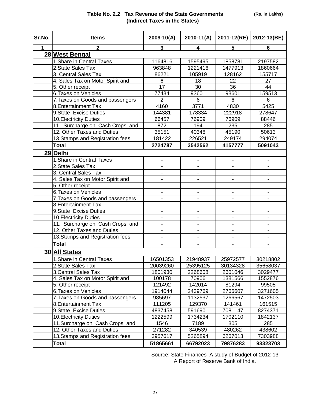| Sr.No. | <b>Items</b>                     | 2009-10(A)     | $2010-11(A)$                 | 2011-12(RE)                  | 2012-13(BE)              |
|--------|----------------------------------|----------------|------------------------------|------------------------------|--------------------------|
| 1      | $\mathbf{2}$                     | 3              | 4                            | 5                            | 6                        |
|        | 28 West Bengal                   |                |                              |                              |                          |
|        | 1. Share in Central Taxes        | 1164816        | 1595495                      | 1858781                      | 2197582                  |
|        | 2. State Sales Tax               | 963848         | 1221416                      | 1477913                      | 1860664                  |
|        | 3. Central Sales Tax             | 86221          | 105919                       | 128162                       | 155717                   |
|        | 4. Sales Tax on Motor Spirit and | 6              | 18                           | 22                           | 27                       |
|        | 5. Other receipt                 | 17             | 30                           | 36                           | 44                       |
|        | <b>6. Taxes on Vehicles</b>      | 77434          | 93601                        | 93601                        | 159513                   |
|        | 7. Taxes on Goods and passengers | $\overline{2}$ | 6                            | 6                            | 6                        |
|        | 8. Entertainment Tax             | 4160           | 3771                         | 4830                         | 5425                     |
|        | 9. State Excise Duties           | 144381         | 178334                       | 222918                       | 278647                   |
|        | 10. Electricity Duties           | 66457          | 76909                        | 76909                        | 88446                    |
|        | 11. Surcharge on Cash Crops and  | 872            | 194                          | 235                          | 285                      |
|        | 12. Other Taxes and Duties       | 35151          | 40348                        | 45190                        | 50613                    |
|        | 13. Stamps and Registration fees | 181422         | 226521                       | 249174                       | 294074                   |
|        | <b>Total</b>                     | 2724787        | 3542562                      | 4157777                      | 5091043                  |
|        | 29 Delhi                         |                |                              |                              |                          |
|        | 1. Share in Central Taxes        |                | -                            |                              |                          |
|        | 2. State Sales Tax               |                | $\frac{1}{2}$                |                              | $\overline{\phantom{0}}$ |
|        | 3. Central Sales Tax             | ÷              | $\blacksquare$               | $\blacksquare$               | $\overline{\phantom{a}}$ |
|        | 4. Sales Tax on Motor Spirit and | ٠              | $\overline{\phantom{0}}$     | $\blacksquare$               | $\blacksquare$           |
|        | 5. Other receipt                 |                |                              |                              | ÷,                       |
|        | <b>6 Taxes on Vehicles</b>       |                |                              |                              |                          |
|        | 7. Taxes on Goods and passengers |                |                              |                              | ۰                        |
|        | 8. Entertainment Tax             | ä,             | $\blacksquare$               | $\blacksquare$               | $\blacksquare$           |
|        | 9. State Excise Duties           |                | $\blacksquare$               | ä,                           | $\blacksquare$           |
|        | <b>10. Electricity Duties</b>    |                | $\blacksquare$               |                              |                          |
|        | 11. Surcharge on Cash Crops and  |                | $\qquad \qquad \blacksquare$ | $\blacksquare$               | -                        |
|        | 12. Other Taxes and Duties       | -              | $\qquad \qquad \blacksquare$ | $\qquad \qquad \blacksquare$ | $\overline{\phantom{0}}$ |
|        | 13. Stamps and Registration fees | $\blacksquare$ | $\blacksquare$               | $\blacksquare$               | $\blacksquare$           |
|        | <b>Total</b>                     |                |                              |                              |                          |
|        | 30 All States                    |                |                              |                              |                          |
|        | 1. Share in Central Taxes        | 16501353       | 21948937                     | 25972577                     | 30218802                 |
|        | 2. State Sales Tax               | 20039260       | 25395125                     | 30134328                     | 35658037                 |
|        | 3. Central Sales Tax             | 1801930        | 2268608                      | 2601046                      | 3029477                  |
|        | 4. Sales Tax on Motor Spirit and | 100178         | 70906                        | 1381566                      | 1552876                  |
|        | 5. Other receipt                 | 121492         | 142014                       | 81294                        | 99505                    |
|        | 6. Taxes on Vehicles             | 1914044        | 2439769                      | 2766607                      | 3271605                  |
|        | 7. Taxes on Goods and passengers | 985697         | 1132537                      | 1266567                      | 1472503                  |
|        | 8. Entertainment Tax             | 111205         | 129370                       | 141461                       | 161515                   |
|        | 9. State Excise Duties           | 4837458        | 5916901                      | 7081147                      | 8274371                  |
|        | <b>10. Electricity Duties</b>    | 1222599        | 1734234                      | 1702110                      | 1842137                  |
|        | 11. Surcharge on Cash Crops and  | 1546           | 7189                         | 305                          | 285                      |
|        | 12. Other Taxes and Duties       | 271282         | 340539                       | 480262                       | 438602                   |
|        | 13. Stamps and Registration fees | 3957617        | 5265894                      | 6267013                      | 7303988                  |
|        | Total                            | 51865661       | 66792023                     | 79876283                     | 93323703                 |

Source: State Finances A study of Budget of 2012-13 A Report of Reserve Bank of India.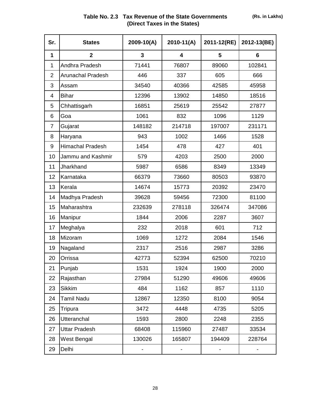| Table No. 2.3 Tax Revenue of the State Governments |
|----------------------------------------------------|
| (Direct Taxes in the States)                       |

| Sr.            | <b>States</b>            | 2009-10(A) | 2010-11(A) | 2011-12(RE) | 2012-13(BE) |
|----------------|--------------------------|------------|------------|-------------|-------------|
| 1              | $\overline{2}$           | 3          | 4          | 5           | 6           |
| 1              | Andhra Pradesh           | 71441      | 76807      | 89060       | 102841      |
| $\overline{2}$ | <b>Arunachal Pradesh</b> | 446        | 337        | 605         | 666         |
| 3              | Assam                    | 34540      | 40366      | 42585       | 45958       |
| 4              | <b>Bihar</b>             | 12396      | 13902      | 14850       | 18516       |
| 5              | Chhattisgarh             | 16851      | 25619      | 25542       | 27877       |
| 6              | Goa                      | 1061       | 832        | 1096        | 1129        |
| $\overline{7}$ | Gujarat                  | 148182     | 214718     | 197007      | 231171      |
| 8              | Haryana                  | 943        | 1002       | 1466        | 1528        |
| 9              | <b>Himachal Pradesh</b>  | 1454       | 478        | 427         | 401         |
| 10             | Jammu and Kashmir        | 579        | 4203       | 2500        | 2000        |
| 11             | Jharkhand                | 5987       | 6586       | 8349        | 13349       |
| 12             | Karnataka                | 66379      | 73660      | 80503       | 93870       |
| 13             | Kerala                   | 14674      | 15773      | 20392       | 23470       |
| 14             | Madhya Pradesh           | 39628      | 59456      | 72300       | 81100       |
| 15             | Maharashtra              | 232639     | 278118     | 326474      | 347086      |
| 16             | Manipur                  | 1844       | 2006       | 2287        | 3607        |
| 17             | Meghalya                 | 232        | 2018       | 601         | 712         |
| 18             | Mizoram                  | 1069       | 1272       | 2084        | 1546        |
| 19             | Nagaland                 | 2317       | 2516       | 2987        | 3286        |
| 20             | Orrissa                  | 42773      | 52394      | 62500       | 70210       |
| 21             | Punjab                   | 1531       | 1924       | 1900        | 2000        |
| 22             | Rajasthan                | 27984      | 51290      | 49606       | 49606       |
| 23             | <b>Sikkim</b>            | 484        | 1162       | 857         | 1110        |
| 24             | <b>Tamil Nadu</b>        | 12867      | 12350      | 8100        | 9054        |
| 25             | Tripura                  | 3472       | 4448       | 4735        | 5205        |
| 26             | <b>Utteranchal</b>       | 1593       | 2800       | 2248        | 2355        |
| 27             | <b>Uttar Pradesh</b>     | 68408      | 115960     | 27487       | 33534       |
| 28             | West Bengal              | 130026     | 165807     | 194409      | 228764      |
| 29             | Delhi                    |            |            |             |             |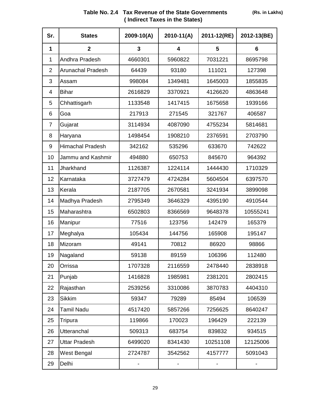| Sr.             | <b>States</b>            | $2009 - 10(A)$ | 2010-11(A) | 2011-12(RE) | 2012-13(BE) |
|-----------------|--------------------------|----------------|------------|-------------|-------------|
| 1               | $\mathbf{2}$             | 3              | 4          | 5           | 6           |
| 1               | Andhra Pradesh           | 4660301        | 5960822    | 7031221     | 8695798     |
| $\overline{2}$  | <b>Arunachal Pradesh</b> | 64439          | 93180      | 111021      | 127398      |
| 3               | Assam                    | 998084         | 1349481    | 1645003     | 1855835     |
| 4               | <b>Bihar</b>             | 2616829        | 3370921    | 4126620     | 4863648     |
| 5               | Chhattisgarh             | 1133548        | 1417415    | 1675658     | 1939166     |
| 6               | Goa                      | 217913         | 271545     | 321767      | 406587      |
| 7               | Gujarat                  | 3114934        | 4087090    | 4755234     | 5814681     |
| 8               | Haryana                  | 1498454        | 1908210    | 2376591     | 2703790     |
| 9               | <b>Himachal Pradesh</b>  | 342162         | 535296     | 633670      | 742622      |
| 10              | Jammu and Kashmir        | 494880         | 650753     | 845670      | 964392      |
| 11              | Jharkhand                | 1126387        | 1224114    | 1444430     | 1710329     |
| 12 <sup>2</sup> | Karnataka                | 3727479        | 4724284    | 5604504     | 6397570     |
| 13              | Kerala                   | 2187705        | 2670581    | 3241934     | 3899098     |
| 14              | Madhya Pradesh           | 2795349        | 3646329    | 4395190     | 4910544     |
| 15              | Maharashtra              | 6502803        | 8366569    | 9648378     | 10555241    |
| 16              | Manipur                  | 77516          | 123756     | 142479      | 165379      |
| 17              | Meghalya                 | 105434         | 144756     | 165908      | 195147      |
| 18              | Mizoram                  | 49141          | 70812      | 86920       | 98866       |
| 19              | Nagaland                 | 59138          | 89159      | 106396      | 112480      |
| 20              | Orrissa                  | 1707328        | 2116559    | 2478440     | 2838918     |
| 21              | Punjab                   | 1416828        | 1985981    | 2381201     | 2802415     |
| 22              | Rajasthan                | 2539256        | 3310086    | 3870783     | 4404310     |
| 23              | <b>Sikkim</b>            | 59347          | 79289      | 85494       | 106539      |
| 24              | <b>Tamil Nadu</b>        | 4517420        | 5857266    | 7256625     | 8640247     |
| 25              | Tripura                  | 119866         | 170023     | 196429      | 222139      |
| 26              | <b>Utteranchal</b>       | 509313         | 683754     | 839832      | 934515      |
| 27              | <b>Uttar Pradesh</b>     | 6499020        | 8341430    | 10251108    | 12125006    |
| 28              | West Bengal              | 2724787        | 3542562    | 4157777     | 5091043     |
| 29              | Delhi                    |                |            |             |             |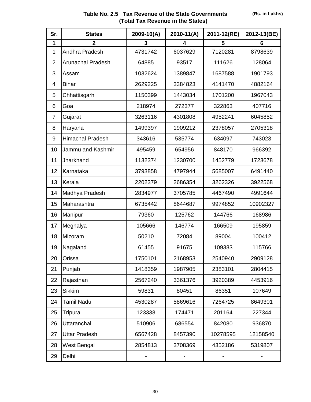|                                   | Table No. 2.5 Tax Revenue of the State Governments |  |  |
|-----------------------------------|----------------------------------------------------|--|--|
| (Total Tax Revenue in the States) |                                                    |  |  |

| Sr.            | <b>States</b>            | $2009 - 10(A)$ | 2010-11(A) | 2011-12(RE) | 2012-13(BE) |
|----------------|--------------------------|----------------|------------|-------------|-------------|
| 1              | $\overline{2}$           | 3              | 4          | 5           | 6           |
| 1              | Andhra Pradesh           | 4731742        | 6037629    | 7120281     | 8798639     |
| $\overline{2}$ | <b>Arunachal Pradesh</b> | 64885          | 93517      | 111626      | 128064      |
| 3              | Assam                    | 1032624        | 1389847    | 1687588     | 1901793     |
| 4              | <b>Bihar</b>             | 2629225        | 3384823    | 4141470     | 4882164     |
| 5              | Chhattisgarh             | 1150399        | 1443034    | 1701200     | 1967043     |
| 6              | Goa                      | 218974         | 272377     | 322863      | 407716      |
| $\overline{7}$ | Gujarat                  | 3263116        | 4301808    | 4952241     | 6045852     |
| 8              | Haryana                  | 1499397        | 1909212    | 2378057     | 2705318     |
| 9              | <b>Himachal Pradesh</b>  | 343616         | 535774     | 634097      | 743023      |
| 10             | Jammu and Kashmir        | 495459         | 654956     | 848170      | 966392      |
| 11             | Jharkhand                | 1132374        | 1230700    | 1452779     | 1723678     |
| 12             | Karnataka                | 3793858        | 4797944    | 5685007     | 6491440     |
| 13             | Kerala                   | 2202379        | 2686354    | 3262326     | 3922568     |
| 14             | Madhya Pradesh           | 2834977        | 3705785    | 4467490     | 4991644     |
| 15             | Maharashtra              | 6735442        | 8644687    | 9974852     | 10902327    |
| 16             | Manipur                  | 79360          | 125762     | 144766      | 168986      |
| 17             | Meghalya                 | 105666         | 146774     | 166509      | 195859      |
| 18             | Mizoram                  | 50210          | 72084      | 89004       | 100412      |
| 19             | Nagaland                 | 61455          | 91675      | 109383      | 115766      |
| 20             | Orissa                   | 1750101        | 2168953    | 2540940     | 2909128     |
| 21             | Punjab                   | 1418359        | 1987905    | 2383101     | 2804415     |
| 22             | Rajasthan                | 2567240        | 3361376    | 3920389     | 4453916     |
| 23             | <b>Sikkim</b>            | 59831          | 80451      | 86351       | 107649      |
| 24             | <b>Tamil Nadu</b>        | 4530287        | 5869616    | 7264725     | 8649301     |
| 25             | Tripura                  | 123338         | 174471     | 201164      | 227344      |
| 26             | <b>Uttaranchal</b>       | 510906         | 686554     | 842080      | 936870      |
| 27             | <b>Uttar Pradesh</b>     | 6567428        | 8457390    | 10278595    | 12158540    |
| 28             | West Bengal              | 2854813        | 3708369    | 4352186     | 5319807     |
| 29             | Delhi                    |                |            |             |             |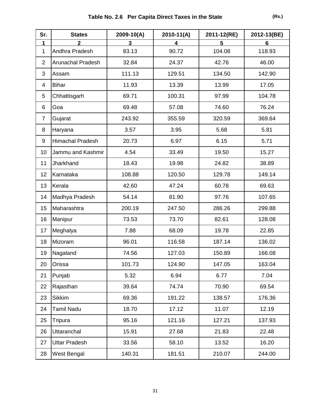| Sr.            | <b>States</b>            | 2009-10(A) | $2010 - 11(A)$ | 2011-12(RE) | 2012-13(BE) |
|----------------|--------------------------|------------|----------------|-------------|-------------|
| 1              |                          | 3          | 4              | 5           | 6           |
| 1              | Andhra Pradesh           | 83.13      | 90.72          | 104.08      | 118.93      |
| $\overline{2}$ | <b>Arunachal Pradesh</b> | 32.84      | 24.37          | 42.76       | 46.00       |
| 3              | Assam                    | 111.13     | 129.51         | 134.50      | 142.90      |
| 4              | <b>Bihar</b>             | 11.93      | 13.39          | 13.99       | 17.05       |
| 5              | Chhattisgarh             | 69.71      | 100.31         | 97.99       | 104.78      |
| 6              | Goa                      | 69.48      | 57.08          | 74.60       | 76.24       |
| $\overline{7}$ | Gujarat                  | 243.92     | 355.59         | 320.59      | 369.64      |
| 8              | Haryana                  | 3.57       | 3.95           | 5.68        | 5.81        |
| 9              | <b>Himachal Pradesh</b>  | 20.73      | 6.97           | 6.15        | 5.71        |
| 10             | Jammu and Kashmir        | 4.54       | 33.49          | 19.50       | 15.27       |
| 11             | Jharkhand                | 18.43      | 19.98          | 24.82       | 38.89       |
| 12             | Karnataka                | 108.88     | 120.50         | 129.78      | 149.14      |
| 13             | Kerala                   | 42.60      | 47.24          | 60.78       | 69.63       |
| 14             | Madhya Pradesh           | 54.14      | 81.90          | 97.76       | 107.65      |
| 15             | Maharashtra              | 200.19     | 247.50         | 286.26      | 299.88      |
| 16             | Manipur                  | 73.53      | 73.70          | 82.61       | 128.08      |
| 17             | Meghalya                 | 7.88       | 68.09          | 19.78       | 22.85       |
| 18             | Mizoram                  | 96.01      | 116.58         | 187.14      | 136.02      |
| 19             | Nagaland                 | 74.56      | 127.03         | 150.89      | 166.08      |
| 20             | Orissa                   | 101.73     | 124.90         | 147.05      | 163.04      |
| 21             | Punjab                   | 5.32       | 6.94           | 6.77        | 7.04        |
| 22             | Rajasthan                | 39.64      | 74.74          | 70.90       | 69.54       |
| 23             | Sikkim                   | 69.36      | 191.22         | 138.57      | 176.36      |
| 24             | Tamil Nadu               | 18.70      | 17.12          | 11.07       | 12.19       |
| 25             | Tripura                  | 95.16      | 121.16         | 127.21      | 137.93      |
| 26             | Uttaranchal              | 15.91      | 27.68          | 21.83       | 22.48       |
| 27             | <b>Uttar Pradesh</b>     | 33.56      | 58.10          | 13.52       | 16.20       |
| 28             | West Bengal              | 140.31     | 181.51         | 210.07      | 244.00      |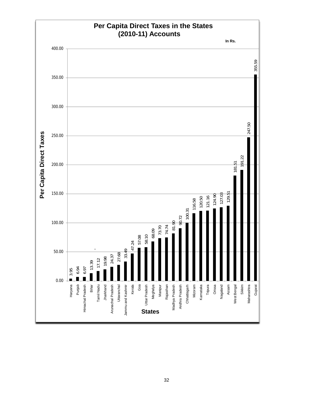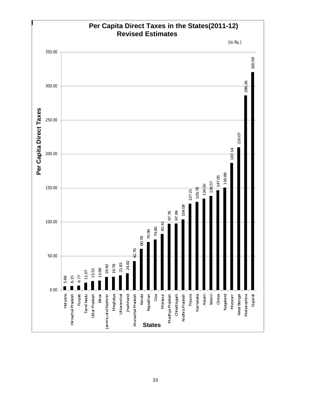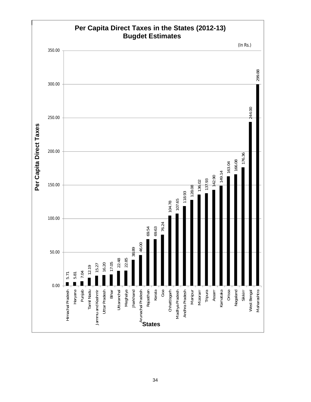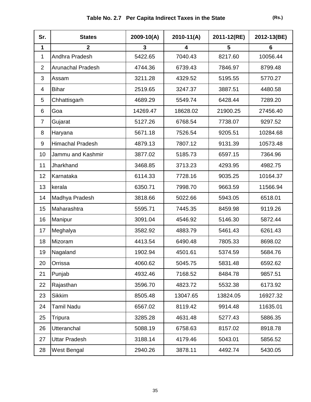| Sr.            | <b>States</b>            | 2009-10(A) | $2010 - 11(A)$ | 2011-12(RE) | 2012-13(BE) |
|----------------|--------------------------|------------|----------------|-------------|-------------|
| 1              | $\overline{2}$           | 3          | 4              | 5           | 6           |
| 1              | Andhra Pradesh           | 5422.65    | 7040.43        | 8217.60     | 10056.44    |
| $\overline{2}$ | <b>Arunachal Pradesh</b> | 4744.36    | 6739.43        | 7846.97     | 8799.48     |
| 3              | Assam                    | 3211.28    | 4329.52        | 5195.55     | 5770.27     |
| 4              | <b>Bihar</b>             | 2519.65    | 3247.37        | 3887.51     | 4480.58     |
| 5              | Chhattisgarh             | 4689.29    | 5549.74        | 6428.44     | 7289.20     |
| 6              | Goa                      | 14269.47   | 18628.02       | 21900.25    | 27456.40    |
| $\overline{7}$ | Gujarat                  | 5127.26    | 6768.54        | 7738.07     | 9297.52     |
| 8              | Haryana                  | 5671.18    | 7526.54        | 9205.51     | 10284.68    |
| 9              | Himachal Pradesh         | 4879.13    | 7807.12        | 9131.39     | 10573.48    |
| 10             | Jammu and Kashmir        | 3877.02    | 5185.73        | 6597.15     | 7364.96     |
| 11             | Jharkhand                | 3468.85    | 3713.23        | 4293.95     | 4982.75     |
| 12             | Karnataka                | 6114.33    | 7728.16        | 9035.25     | 10164.37    |
| 13             | kerala                   | 6350.71    | 7998.70        | 9663.59     | 11566.94    |
| 14             | Madhya Pradesh           | 3818.66    | 5022.66        | 5943.05     | 6518.01     |
| 15             | Maharashtra              | 5595.71    | 7445.35        | 8459.98     | 9119.26     |
| 16             | Manipur                  | 3091.04    | 4546.92        | 5146.30     | 5872.44     |
| 17             | Meghalya                 | 3582.92    | 4883.79        | 5461.43     | 6261.43     |
| 18             | Mizoram                  | 4413.54    | 6490.48        | 7805.33     | 8698.02     |
| 19             | Nagaland                 | 1902.94    | 4501.61        | 5374.59     | 5684.76     |
| 20             | Orrissa                  | 4060.62    | 5045.75        | 5831.48     | 6592.62     |
| 21             | Punjab                   | 4932.46    | 7168.52        | 8484.78     | 9857.51     |
| 22             | Rajasthan                | 3596.70    | 4823.72        | 5532.38     | 6173.92     |
| 23             | <b>Sikkim</b>            | 8505.48    | 13047.65       | 13824.05    | 16927.32    |
| 24             | <b>Tamil Nadu</b>        | 6567.02    | 8119.42        | 9914.48     | 11635.01    |
| 25             | Tripura                  | 3285.28    | 4631.48        | 5277.43     | 5886.35     |
| 26             | Utteranchal              | 5088.19    | 6758.63        | 8157.02     | 8918.78     |
| 27             | <b>Uttar Pradesh</b>     | 3188.14    | 4179.46        | 5043.01     | 5856.52     |
| 28             | West Bengal              | 2940.26    | 3878.11        | 4492.74     | 5430.05     |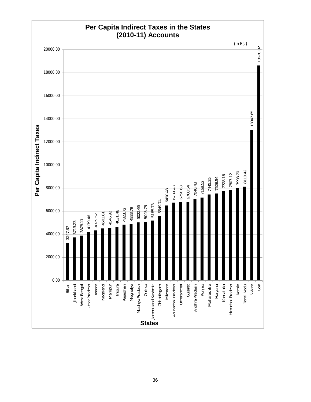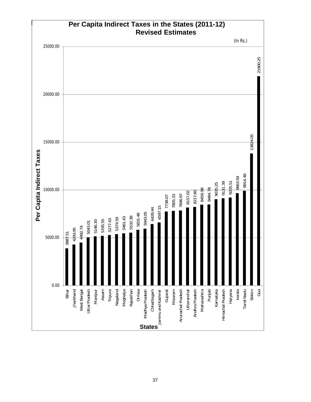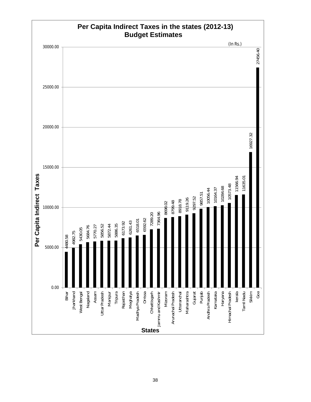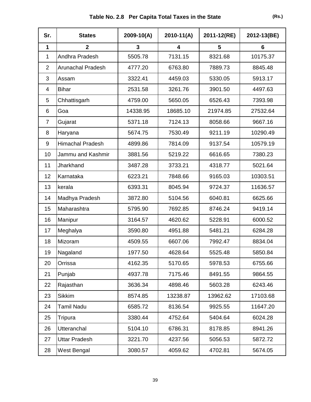| Sr.            | <b>States</b>            | $2009 - 10(A)$ | $2010 - 11(A)$ | 2011-12(RE) | 2012-13(BE) |
|----------------|--------------------------|----------------|----------------|-------------|-------------|
| 1              | $\overline{\mathbf{2}}$  | 3              | 4              | 5           | 6           |
| 1              | Andhra Pradesh           | 5505.78        | 7131.15        | 8321.68     | 10175.37    |
| $\overline{2}$ | <b>Arunachal Pradesh</b> | 4777.20        | 6763.80        | 7889.73     | 8845.48     |
| 3              | Assam                    | 3322.41        | 4459.03        | 5330.05     | 5913.17     |
| $\overline{4}$ | <b>Bihar</b>             | 2531.58        | 3261.76        | 3901.50     | 4497.63     |
| 5              | Chhattisgarh             | 4759.00        | 5650.05        | 6526.43     | 7393.98     |
| 6              | Goa                      | 14338.95       | 18685.10       | 21974.85    | 27532.64    |
| $\overline{7}$ | Gujarat                  | 5371.18        | 7124.13        | 8058.66     | 9667.16     |
| 8              | Haryana                  | 5674.75        | 7530.49        | 9211.19     | 10290.49    |
| 9              | <b>Himachal Pradesh</b>  | 4899.86        | 7814.09        | 9137.54     | 10579.19    |
| 10             | Jammu and Kashmir        | 3881.56        | 5219.22        | 6616.65     | 7380.23     |
| 11             | Jharkhand                | 3487.28        | 3733.21        | 4318.77     | 5021.64     |
| 12             | Karnataka                | 6223.21        | 7848.66        | 9165.03     | 10303.51    |
| 13             | kerala                   | 6393.31        | 8045.94        | 9724.37     | 11636.57    |
| 14             | Madhya Pradesh           | 3872.80        | 5104.56        | 6040.81     | 6625.66     |
| 15             | Maharashtra              | 5795.90        | 7692.85        | 8746.24     | 9419.14     |
| 16             | Manipur                  | 3164.57        | 4620.62        | 5228.91     | 6000.52     |
| 17             | Meghalya                 | 3590.80        | 4951.88        | 5481.21     | 6284.28     |
| 18             | Mizoram                  | 4509.55        | 6607.06        | 7992.47     | 8834.04     |
| 19             | Nagaland                 | 1977.50        | 4628.64        | 5525.48     | 5850.84     |
| 20             | Orrissa                  | 4162.35        | 5170.65        | 5978.53     | 6755.66     |
| 21             | Punjab                   | 4937.78        | 7175.46        | 8491.55     | 9864.55     |
| 22             | Rajasthan                | 3636.34        | 4898.46        | 5603.28     | 6243.46     |
| 23             | <b>Sikkim</b>            | 8574.85        | 13238.87       | 13962.62    | 17103.68    |
| 24             | <b>Tamil Nadu</b>        | 6585.72        | 8136.54        | 9925.55     | 11647.20    |
| 25             | Tripura                  | 3380.44        | 4752.64        | 5404.64     | 6024.28     |
| 26             | <b>Utteranchal</b>       | 5104.10        | 6786.31        | 8178.85     | 8941.26     |
| 27             | <b>Uttar Pradesh</b>     | 3221.70        | 4237.56        | 5056.53     | 5872.72     |
| 28             | West Bengal              | 3080.57        | 4059.62        | 4702.81     | 5674.05     |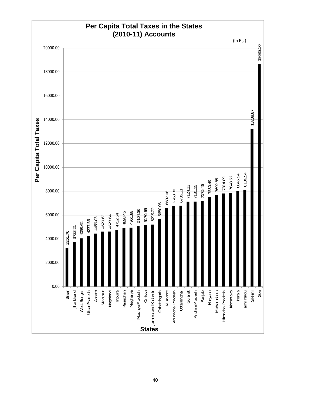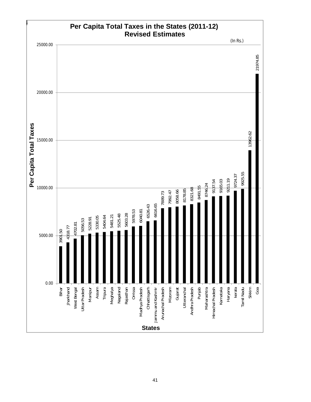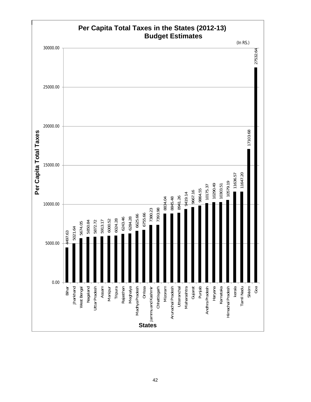

42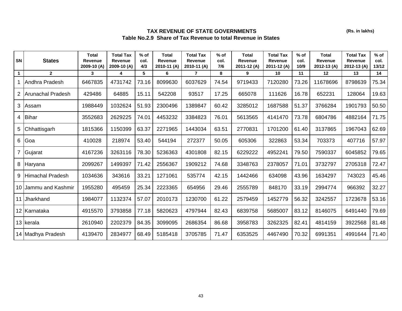## **TAX REVENUE OF STATE GOVERNMENTS Table No.2.9 Share of Tax Revenue to total Revenue in States**

| SN              | <b>States</b>            | <b>Total</b><br><b>Revenue</b><br>2009-10 (A) | <b>Total Tax</b><br>Revenue<br>2009-10 (A) | $%$ of<br>col.<br>4/3 | <b>Total</b><br>Revenue<br>2010-11 (A) | <b>Total Tax</b><br><b>Revenue</b><br>2010-11 (A) | $%$ of<br>col.<br>7/6 | <b>Total</b><br>Revenue<br>2011-12 (A) | <b>Total Tax</b><br>Revenue<br>2011-12(A) | $%$ of<br>col.<br>10/9 | <b>Total</b><br>Revenue<br>2012-13 (A) | <b>Total Tax</b><br>Revenue<br>2012-13 (A) | $%$ of<br>col.<br>13/12 |
|-----------------|--------------------------|-----------------------------------------------|--------------------------------------------|-----------------------|----------------------------------------|---------------------------------------------------|-----------------------|----------------------------------------|-------------------------------------------|------------------------|----------------------------------------|--------------------------------------------|-------------------------|
| $\mathbf{1}$    | $\overline{2}$           | 3                                             | 4                                          | 5                     | 6                                      | $\overline{7}$                                    | 8                     | 9                                      | 10                                        | 11                     | 12                                     | 13                                         | 14                      |
|                 | Andhra Pradesh           | 6467835                                       | 4731742                                    | 73.16                 | 8099630                                | 6037629                                           | 74.54                 | 9719433                                | 7120280                                   | 73.26                  | 11678696                               | 8798639                                    | 75.34                   |
|                 | <b>Arunachal Pradesh</b> | 429486                                        | 64885                                      | 15.11                 | 542208                                 | 93517                                             | 17.25                 | 665078                                 | 111626                                    | 16.78                  | 652231                                 | 128064                                     | 19.63                   |
| 3               | Assam                    | 1988449                                       | 1032624                                    | 51.93                 | 2300496                                | 1389847                                           | 60.42                 | 3285012                                | 1687588                                   | 51.37                  | 3766284                                | 1901793                                    | 50.50                   |
| 4               | <b>Bihar</b>             | 3552683                                       | 2629225                                    | 74.01                 | 4453232                                | 3384823                                           | 76.01                 | 5613565                                | 4141470                                   | 73.78                  | 6804786                                | 4882164                                    | 71.75                   |
| 5               | Chhattisgarh             | 1815366                                       | 1150399                                    | 63.37                 | 2271965                                | 1443034                                           | 63.51                 | 2770831                                | 1701200                                   | 61.40                  | 3137865                                | 1967043                                    | 62.69                   |
| 6               | Goa                      | 410028                                        | 218974                                     | 53.40                 | 544194                                 | 272377                                            | 50.05                 | 605306                                 | 322863                                    | 53.34                  | 703373                                 | 407716                                     | 57.97                   |
|                 | Gujarat                  | 4167236                                       | 3263116                                    | 78.30                 | 5236363                                | 4301808                                           | 82.15                 | 6229222                                | 4952241                                   | 79.50                  | 7590337                                | 6045852                                    | 79.65                   |
| 8               | Haryana                  | 2099267                                       | 1499397                                    | 71.42                 | 2556367                                | 1909212                                           | 74.68                 | 3348763                                | 2378057                                   | 71.01                  | 3732797                                | 2705318                                    | 72.47                   |
| 9               | Himachal Pradesh         | 1034636                                       | 343616                                     | 33.21                 | 1271061                                | 535774                                            | 42.15                 | 1442466                                | 634098                                    | 43.96                  | 1634297                                | 743023                                     | 45.46                   |
| 10 <sup>°</sup> | Jammu and Kashmir        | 1955280                                       | 495459                                     | 25.34                 | 2223365                                | 654956                                            | 29.46                 | 2555789                                | 848170                                    | 33.19                  | 2994774                                | 966392                                     | 32.27                   |
| 11              | Jharkhand                | 1984077                                       | 1132374                                    | 57.07                 | 2010173                                | 1230700                                           | 61.22                 | 2579459                                | 1452779                                   | 56.32                  | 3242557                                | 1723678                                    | 53.16                   |
|                 | 12 Karnataka             | 4915570                                       | 3793858                                    | 77.18                 | 5820623                                | 4797944                                           | 82.43                 | 6839758                                | 5685007                                   | 83.12                  | 8146075                                | 6491440                                    | 79.69                   |
|                 | 13 kerala                | 2610940                                       | 2202379                                    | 84.35                 | 3099095                                | 2686354                                           | 86.68                 | 3958783                                | 3262325                                   | 82.41                  | 4814159                                | 3922568                                    | 81.48                   |
|                 | 14 Madhya Pradesh        | 4139470                                       | 2834977                                    | 68.49                 | 5185418                                | 3705785                                           | 71.47                 | 6353525                                | 4467490                                   | 70.32                  | 6991351                                | 4991644                                    | 71.40                   |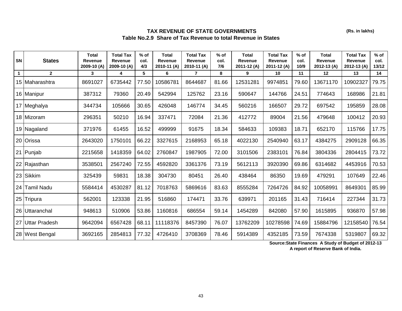### **TAX REVENUE OF STATE GOVERNMENTS Table No.2.9 Share of Tax Revenue to total Revenue in States**

| SN           | <b>States</b>    | <b>Total</b><br><b>Revenue</b><br>2009-10 (A) | <b>Total Tax</b><br>Revenue<br>2009-10 (A) | $%$ of<br>col.<br>4/3 | <b>Total</b><br>Revenue<br>2010-11 (A) | <b>Total Tax</b><br><b>Revenue</b><br>2010-11 (A) | $%$ of<br>col.<br>7/6 | <b>Total</b><br><b>Revenue</b><br>2011-12 (A) | <b>Total Tax</b><br>Revenue<br>2011-12(A) | $%$ of<br>col.<br>10/9 | <b>Total</b><br>Revenue<br>2012-13 (A) | <b>Total Tax</b><br>Revenue<br>2012-13 (A) | $%$ of<br>col.<br>13/12 |
|--------------|------------------|-----------------------------------------------|--------------------------------------------|-----------------------|----------------------------------------|---------------------------------------------------|-----------------------|-----------------------------------------------|-------------------------------------------|------------------------|----------------------------------------|--------------------------------------------|-------------------------|
| $\mathbf{1}$ | $\mathbf{2}$     | 3                                             | 4                                          | 5                     | 6                                      | $\overline{7}$                                    | 8                     | 9                                             | 10                                        | 11                     | 12                                     | 13                                         | 14                      |
|              | 15 Maharashtra   | 8691027                                       | 6735442                                    | 77.50                 | 10586781                               | 8644687                                           | 81.66                 | 12531281                                      | 9974851                                   | 79.60                  | 13671170                               | 10902327                                   | 79.75                   |
|              | 16 Manipur       | 387312                                        | 79360                                      | 20.49                 | 542994                                 | 125762                                            | 23.16                 | 590647                                        | 144766                                    | 24.51                  | 774643                                 | 168986                                     | 21.81                   |
|              | 17 Meghalya      | 344734                                        | 105666                                     | 30.65                 | 426048                                 | 146774                                            | 34.45                 | 560216                                        | 166507                                    | 29.72                  | 697542                                 | 195859                                     | 28.08                   |
|              | 18 Mizoram       | 296351                                        | 50210                                      | 16.94                 | 337471                                 | 72084                                             | 21.36                 | 412772                                        | 89004                                     | 21.56                  | 479648                                 | 100412                                     | 20.93                   |
|              | 19 Nagaland      | 371976                                        | 61455                                      | 16.52                 | 499999                                 | 91675                                             | 18.34                 | 584633                                        | 109383                                    | 18.71                  | 652170                                 | 115766                                     | 17.75                   |
|              | 20 Orissa        | 2643020                                       | 1750101                                    | 66.22                 | 3327615                                | 2168953                                           | 65.18                 | 4022130                                       | 2540940                                   | 63.17                  | 4384275                                | 2909128                                    | 66.35                   |
|              | 21 Punjab        | 2215658                                       | 1418359                                    | 64.02                 | 2760847                                | 1987905                                           | 72.00                 | 3101506                                       | 2383101                                   | 76.84                  | 3804336                                | 2804415                                    | 73.72                   |
|              | 22 Rajasthan     | 3538501                                       | 2567240                                    | 72.55                 | 4592820                                | 3361376                                           | 73.19                 | 5612113                                       | 3920390                                   | 69.86                  | 6314682                                | 4453916                                    | 70.53                   |
|              | 23 Sikkim        | 325439                                        | 59831                                      | 18.38                 | 304730                                 | 80451                                             | 26.40                 | 438464                                        | 86350                                     | 19.69                  | 479291                                 | 107649                                     | 22.46                   |
|              | 24 Tamil Nadu    | 5584414                                       | 4530287                                    | 81.12                 | 7018763                                | 5869616                                           | 83.63                 | 8555284                                       | 7264726                                   | 84.92                  | 10058991                               | 8649301                                    | 85.99                   |
|              | 25 Tripura       | 562001                                        | 123338                                     | 21.95                 | 516860                                 | 174471                                            | 33.76                 | 639971                                        | 201165                                    | 31.43                  | 716414                                 | 227344                                     | 31.73                   |
|              | 26 Uttaranchal   | 948613                                        | 510906                                     | 53.86                 | 1160816                                | 686554                                            | 59.14                 | 1454289                                       | 842080                                    | 57.90                  | 1615895                                | 936870                                     | 57.98                   |
|              | 27 Uttar Pradesh | 9642094                                       | 6567428                                    | 68.11                 | 11118376                               | 8457390                                           | 76.07                 | 13762209                                      | 10278598                                  | 74.69                  | 15884796                               | 12158540                                   | 76.54                   |
|              | 28 West Bengal   | 3692165                                       | 2854813                                    | 77.32                 | 4726410                                | 3708369                                           | 78.46                 | 5914389                                       | 4352185                                   | 73.59                  | 7674338                                | 5319807                                    | 69.32                   |

**Source:State Finances A Study of Budget of 2012-13 A report of Reserve Bank of India.**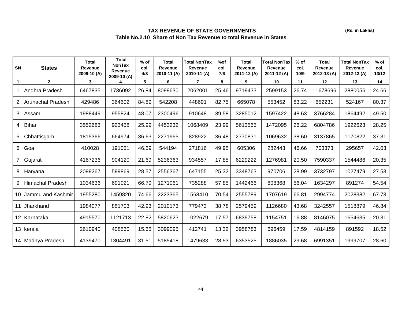# **TAX REVENUE OF STATE GOVERNMENTS Table No.2.10 Share of Non Tax Revenue to total Revenue in States**

| <b>SN</b>      | <b>States</b>            | Total<br>Revenue<br>2009-10 (A) | <b>Total</b><br><b>NonTax</b><br><b>Revenue</b><br>2009-10 (A) | $%$ of<br>col.<br>4/3 | Total<br>Revenue<br>2010-11 (A) | <b>Total NonTax</b><br><b>Revenue</b><br>2010-11 (A) | %of<br>col.<br>7/6 | <b>Total</b><br>Revenue<br>2011-12 (A) | <b>Total NonTax</b><br>Revenue<br>2011-12 (A) | $%$ of<br>col.<br>10/9 | <b>Total</b><br>Revenue<br>2012-13 (A) | <b>Total NonTax</b><br><b>Revenue</b><br>2012-13 (A) | $%$ of<br>col.<br>13/12 |
|----------------|--------------------------|---------------------------------|----------------------------------------------------------------|-----------------------|---------------------------------|------------------------------------------------------|--------------------|----------------------------------------|-----------------------------------------------|------------------------|----------------------------------------|------------------------------------------------------|-------------------------|
| $\mathbf{1}$   | $\overline{2}$           | 3                               | 4                                                              | 5                     | 6                               | $\overline{7}$                                       | 8                  | 9                                      | 10                                            | 11                     | 12                                     | 13                                                   | 14                      |
|                | Andhra Pradesh           | 6467835                         | 1736092                                                        | 26.84                 | 8099630                         | 2062001                                              | 25.46              | 9719433                                | 2599153                                       | 26.74                  | 11678696                               | 2880056                                              | 24.66                   |
| 2              | <b>Arunachal Pradesh</b> | 429486                          | 364602                                                         | 84.89                 | 542208                          | 448691                                               | 82.75              | 665078                                 | 553452                                        | 83.22                  | 652231                                 | 524167                                               | 80.37                   |
| 3              | Assam                    | 1988449                         | 955824                                                         | 48.07                 | 2300496                         | 910648                                               | 39.58              | 3285012                                | 1597422                                       | 48.63                  | 3766284                                | 1864492                                              | 49.50                   |
| 4              | Bihar                    | 3552683                         | 923458                                                         | 25.99                 | 4453232                         | 1068409                                              | 23.99              | 5613565                                | 1472095                                       | 26.22                  | 6804786                                | 1922623                                              | 28.25                   |
| 5              | Chhattisgarh             | 1815366                         | 664974                                                         | 36.63                 | 2271965                         | 828922                                               | 36.48              | 2770831                                | 1069632                                       | 38.60                  | 3137865                                | 1170822                                              | 37.31                   |
| 6              | <b>Goa</b>               | 410028                          | 191051                                                         | 46.59                 | 544194                          | 271816                                               | 49.95              | 605306                                 | 282443                                        | 46.66                  | 703373                                 | 295657                                               | 42.03                   |
| $\overline{7}$ | Gujarat                  | 4167236                         | 904120                                                         | 21.69                 | 5236363                         | 934557                                               | 17.85              | 6229222                                | 1276981                                       | 20.50                  | 7590337                                | 1544486                                              | 20.35                   |
| 8              | Haryana                  | 2099267                         | 599869                                                         | 28.57                 | 2556367                         | 647155                                               | 25.32              | 3348763                                | 970706                                        | 28.99                  | 3732797                                | 1027479                                              | 27.53                   |
| 9              | <b>Himachal Pradesh</b>  | 1034636                         | 691021                                                         | 66.79                 | 1271061                         | 735288                                               | 57.85              | 1442466                                | 808368                                        | 56.04                  | 1634297                                | 891274                                               | 54.54                   |
| 10             | Jammu and Kashmir        | 1955280                         | 1459820                                                        | 74.66                 | 2223365                         | 1568410                                              | 70.54              | 2555789                                | 1707619                                       | 66.81                  | 2994774                                | 2028382                                              | 67.73                   |
| 11 I           | Jharkhand                | 1984077                         | 851703                                                         | 42.93                 | 2010173                         | 779473                                               | 38.78              | 2579459                                | 1126680                                       | 43.68                  | 3242557                                | 1518879                                              | 46.84                   |
|                | 12 Karnataka             | 4915570                         | 1121713                                                        | 22.82                 | 5820623                         | 1022679                                              | 17.57              | 6839758                                | 1154751                                       | 16.88                  | 8146075                                | 1654635                                              | 20.31                   |
|                | 13 kerala                | 2610940                         | 408560                                                         | 15.65                 | 3099095                         | 412741                                               | 13.32              | 3958783                                | 696459                                        | 17.59                  | 4814159                                | 891592                                               | 18.52                   |
|                | 14 Madhya Pradesh        | 4139470                         | 1304491                                                        | 31.51                 | 5185418                         | 1479633                                              | 28.53              | 6353525                                | 1886035                                       | 29.68                  | 6991351                                | 1999707                                              | 28.60                   |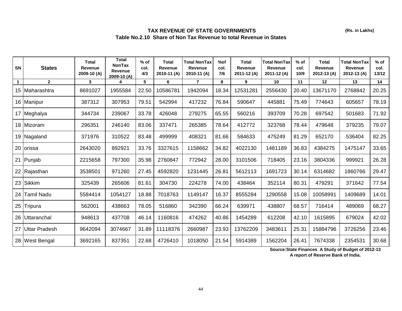## **TAX REVENUE OF STATE GOVERNMENTS Table No.2.10 Share of Non Tax Revenue to total Revenue in States**

| <b>SN</b>    | <b>States</b>        | Total<br>Revenue<br>2009-10 (A) | <b>Total</b><br><b>NonTax</b><br>Revenue<br>2009-10 (A) | $%$ of<br>col.<br>4/3 | Total<br>Revenue<br>2010-11 (A) | <b>Total NonTax</b><br>Revenue<br>2010-11 (A) | %of<br>col.<br>7/6 | Total<br>Revenue<br>2011-12 (A) | Total NonTax<br>Revenue<br>2011-12 (A) | % of<br>col.<br>10/9 | Total<br>Revenue<br>2012-13 (A) | <b>Total NonTax</b><br><b>Revenue</b><br>2012-13 (A) | $%$ of<br>col.<br>13/12 |
|--------------|----------------------|---------------------------------|---------------------------------------------------------|-----------------------|---------------------------------|-----------------------------------------------|--------------------|---------------------------------|----------------------------------------|----------------------|---------------------------------|------------------------------------------------------|-------------------------|
| $\mathbf{1}$ | $\overline{2}$       | 3                               | 4                                                       | 5                     | 6                               | $\overline{7}$                                | 8                  | 9                               | 10                                     | 11                   | 12                              | 13                                                   | 14                      |
|              | 15 Maharashtra       | 8691027                         | 1955584                                                 | 22.50                 | 10586781                        | 1942094                                       | 18.34              | 12531281                        | 2556430                                | 20.40                | 13671170                        | 2768842                                              | 20.25                   |
|              | 16 Manipur           | 387312                          | 307953                                                  | 79.51                 | 542994                          | 417232                                        | 76.84              | 590647                          | 445881                                 | 75.49                | 774643                          | 605657                                               | 78.19                   |
|              | 17 Meghalya          | 344734                          | 239067                                                  | 33.78                 | 426048                          | 279275                                        | 65.55              | 560216                          | 393709                                 | 70.28                | 697542                          | 501683                                               | 71.92                   |
|              | 18 Mizoram           | 296351                          | 246140                                                  | 83.06                 | 337471                          | 265385                                        | 78.64              | 412772                          | 323768                                 | 78.44                | 479648                          | 379235                                               | 79.07                   |
|              | 19 Nagaland          | 371976                          | 310522                                                  | 83.48                 | 499999                          | 408321                                        | 81.66              | 584633                          | 475249                                 | 81.29                | 652170                          | 536404                                               | 82.25                   |
|              | 20 orissa            | 2643020                         | 892921                                                  | 33.76                 | 3327615                         | 1158662                                       | 34.82              | 4022130                         | 1481189                                | 36.83                | 4384275                         | 1475147                                              | 33.65                   |
|              | 21 Punjab            | 2215658                         | 797300                                                  | 35.98                 | 2760847                         | 772942                                        | 28.00              | 3101506                         | 718405                                 | 23.16                | 3804336                         | 999921                                               | 26.28                   |
|              | 22 Rajasthan         | 3538501                         | 971260                                                  | 27.45                 | 4592820                         | 1231445                                       | 26.81              | 5612113                         | 1691723                                | 30.14                | 6314682                         | 1860766                                              | 29.47                   |
|              | 23 Sikkim            | 325439                          | 265606                                                  | 81.61                 | 304730                          | 224278                                        | 74.00              | 438464                          | 352114                                 | 80.31                | 479291                          | 371642                                               | 77.54                   |
|              | 24 Tamil Nadu        | 5584414                         | 1054127                                                 | 18.88                 | 7018763                         | 1149147                                       | 16.37              | 8555284                         | 1290558                                | 15.08                | 10058991                        | 1409689                                              | 14.01                   |
|              | 25 Tripura           | 562001                          | 438663                                                  | 78.05                 | 516860                          | 342390                                        | 66.24              | 639971                          | 438807                                 | 68.57                | 716414                          | 489069                                               | 68.27                   |
|              | 26 Uttaranchal       | 948613                          | 437708                                                  | 46.14                 | 1160816                         | 474262                                        | 40.86              | 1454289                         | 612208                                 | 42.10                | 1615895                         | 679024                                               | 42.02                   |
| 27           | <b>Uttar Pradesh</b> | 9642094                         | 3074667                                                 | 31.89                 | 11118376                        | 2660987                                       | 23.93              | 13762209                        | 3483611                                | 25.31                | 15884796                        | 3726256                                              | 23.46                   |
|              | 28 West Bengal       | 3692165                         | 837351                                                  | 22.68                 | 4726410                         | 1018050                                       | 21.54              | 5914389                         | 1562204                                | 26.41                | 7674338                         | 2354531                                              | 30.68                   |

**Source:State Finances A Study of Budget of 2012-13** 

**A report of Reserve Bank of India.**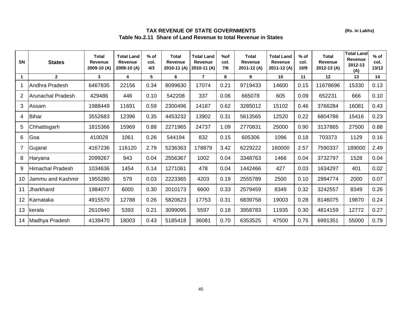## **TAX REVENUE OF STATE GOVERNMENTS Table No.2.11 Share of Land Revenue to total Revenue in States**

| <b>SN</b> | <b>States</b>           | <b>Total</b><br><b>Revenue</b><br>2009-10 (A) | <b>Total Land</b><br>Revenue<br>2009-10 (A) | $%$ of<br>col.<br>4/3 | Total<br>Revenue<br>2010-11 (A) | <b>Total Land</b><br><b>Revenue</b><br>2010-11 (A) | %of<br>col.<br>7/6 | <b>Total</b><br>Revenue<br>2011-12 (A) | <b>Total Land</b><br><b>Revenue</b><br>2011-12 (A) | $%$ of<br>col.<br>10/9 | <b>Total</b><br>Revenue<br>2012-13 (A) | <b>Total Land</b><br><b>Revenue</b><br>2012-13<br>(A) | $%$ of<br>col.<br>13/12 |
|-----------|-------------------------|-----------------------------------------------|---------------------------------------------|-----------------------|---------------------------------|----------------------------------------------------|--------------------|----------------------------------------|----------------------------------------------------|------------------------|----------------------------------------|-------------------------------------------------------|-------------------------|
|           | $\overline{2}$          | 3                                             | 4                                           | 5                     | 6                               | $\overline{7}$                                     | 8                  | 9                                      | 10                                                 | 11                     | 12                                     | 13                                                    | 14                      |
| -1        | Andhra Pradesh          | 6467835                                       | 22156                                       | 0.34                  | 8099630                         | 17074                                              | 0.21               | 9719433                                | 14600                                              | 0.15                   | 11678696                               | 15330                                                 | 0.13                    |
| 2         | Arunachal Pradesh       | 429486                                        | 446                                         | 0.10                  | 542208                          | 337                                                | 0.06               | 665078                                 | 605                                                | 0.09                   | 652231                                 | 666                                                   | 0.10                    |
| 3         | Assam                   | 1988449                                       | 11691                                       | 0.59                  | 2300496                         | 14187                                              | 0.62               | 3285012                                | 15102                                              | 0.46                   | 3766284                                | 16081                                                 | 0.43                    |
| 4         | Bihar                   | 3552683                                       | 12396                                       | 0.35                  | 4453232                         | 13902                                              | 0.31               | 5613565                                | 12520                                              | 0.22                   | 6804786                                | 15416                                                 | 0.23                    |
| 5         | Chhattisgarh            | 1815366                                       | 15969                                       | 0.88                  | 2271965                         | 24737                                              | 1.09               | 2770831                                | 25000                                              | 0.90                   | 3137865                                | 27500                                                 | 0.88                    |
| 6         | Goa                     | 410028                                        | 1061                                        | 0.26                  | 544194                          | 832                                                | 0.15               | 605306                                 | 1096                                               | 0.18                   | 703373                                 | 1129                                                  | 0.16                    |
| 7         | Gujarat                 | 4167236                                       | 116120                                      | 2.79                  | 5236363                         | 178879                                             | 3.42               | 6229222                                | 160000                                             | 2.57                   | 7590337                                | 189000                                                | 2.49                    |
| 8         | Haryana                 | 2099267                                       | 943                                         | 0.04                  | 2556367                         | 1002                                               | 0.04               | 3348763                                | 1466                                               | 0.04                   | 3732797                                | 1528                                                  | 0.04                    |
| 9         | <b>Himachal Pradesh</b> | 1034636                                       | 1454                                        | 0.14                  | 1271061                         | 478                                                | 0.04               | 1442466                                | 427                                                | 0.03                   | 1634297                                | 401                                                   | 0.02                    |
| 10        | Jammu and Kashmir       | 1955280                                       | 579                                         | 0.03                  | 2223365                         | 4203                                               | 0.19               | 2555789                                | 2500                                               | 0.10                   | 2994774                                | 2000                                                  | 0.07                    |
| 11        | Jharkhand               | 1984077                                       | 6000                                        | 0.30                  | 2010173                         | 6600                                               | 0.33               | 2579459                                | 8349                                               | 0.32                   | 3242557                                | 8349                                                  | 0.26                    |
| 12        | Karnataka               | 4915570                                       | 12788                                       | 0.26                  | 5820623                         | 17753                                              | 0.31               | 6839758                                | 19003                                              | 0.28                   | 8146075                                | 19870                                                 | 0.24                    |
| 13        | Ikerala                 | 2610940                                       | 5393                                        | 0.21                  | 3099095                         | 5597                                               | 0.18               | 3958783                                | 11935                                              | 0.30                   | 4814159                                | 12772                                                 | 0.27                    |
| 14        | Madhya Pradesh          | 4139470                                       | 18003                                       | 0.43                  | 5185418                         | 36081                                              | 0.70               | 6353525                                | 47500                                              | 0.75                   | 6991351                                | 55000                                                 | 0.79                    |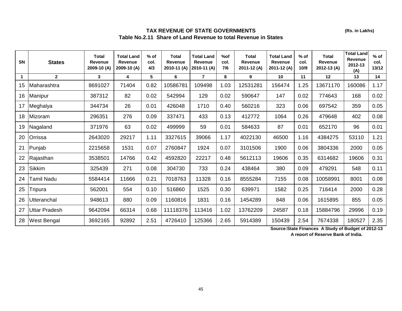## **TAX REVENUE OF STATE GOVERNMENTS Table No.2.11 Share of Land Revenue to total Revenue in States**

| SN | <b>States</b>        | <b>Total</b><br><b>Revenue</b><br>2009-10 (A) | <b>Total Land</b><br><b>Revenue</b><br>2009-10 (A) | $%$ of<br>col.<br>4/3 | <b>Total</b><br>Revenue<br>2010-11 (A) | <b>Total Land</b><br><b>Revenue</b><br>2010-11 (A) | %of<br>col.<br>7/6 | <b>Total</b><br><b>Revenue</b><br>2011-12 (A) | <b>Total Land</b><br><b>Revenue</b><br>2011-12 (A) | $%$ of<br>col.<br>10/9 | Total<br><b>Revenue</b><br>2012-13 (A) | <b>Total Land</b><br><b>Revenue</b><br>2012-13<br>(A) | $%$ of<br>col.<br>13/12 |
|----|----------------------|-----------------------------------------------|----------------------------------------------------|-----------------------|----------------------------------------|----------------------------------------------------|--------------------|-----------------------------------------------|----------------------------------------------------|------------------------|----------------------------------------|-------------------------------------------------------|-------------------------|
|    | $\overline{2}$       | 3                                             | 4                                                  | 5                     | 6                                      | $\overline{7}$                                     | 8                  | 9                                             | 10                                                 | 11                     | 12                                     | 13                                                    | 14                      |
| 15 | Maharashtra          | 8691027                                       | 71404                                              | 0.82                  | 10586781                               | 109498                                             | 1.03               | 12531281                                      | 156474                                             | 1.25                   | 13671170                               | 160086                                                | 1.17                    |
| 16 | Manipur              | 387312                                        | 82                                                 | 0.02                  | 542994                                 | 129                                                | 0.02               | 590647                                        | 147                                                | 0.02                   | 774643                                 | 168                                                   | 0.02                    |
| 17 | Meghalya             | 344734                                        | 26                                                 | 0.01                  | 426048                                 | 1710                                               | 0.40               | 560216                                        | 323                                                | 0.06                   | 697542                                 | 359                                                   | 0.05                    |
| 18 | Mizoram              | 296351                                        | 276                                                | 0.09                  | 337471                                 | 433                                                | 0.13               | 412772                                        | 1064                                               | 0.26                   | 479648                                 | 402                                                   | 0.08                    |
| 19 | Nagaland             | 371976                                        | 63                                                 | 0.02                  | 499999                                 | 59                                                 | 0.01               | 584633                                        | 87                                                 | 0.01                   | 652170                                 | 96                                                    | 0.01                    |
| 20 | Orrissa              | 2643020                                       | 29217                                              | 1.11                  | 3327615                                | 39066                                              | 1.17               | 4022130                                       | 46500                                              | 1.16                   | 4384275                                | 53110                                                 | 1.21                    |
| 21 | Punjab               | 2215658                                       | 1531                                               | 0.07                  | 2760847                                | 1924                                               | 0.07               | 3101506                                       | 1900                                               | 0.06                   | 3804336                                | 2000                                                  | 0.05                    |
| 22 | Rajasthan            | 3538501                                       | 14766                                              | 0.42                  | 4592820                                | 22217                                              | 0.48               | 5612113                                       | 19606                                              | 0.35                   | 6314682                                | 19606                                                 | 0.31                    |
| 23 | <b>Sikkim</b>        | 325439                                        | 271                                                | 0.08                  | 304730                                 | 733                                                | 0.24               | 438464                                        | 380                                                | 0.09                   | 479291                                 | 548                                                   | 0.11                    |
| 24 | Tamil Nadu           | 5584414                                       | 11666                                              | 0.21                  | 7018763                                | 11328                                              | 0.16               | 8555284                                       | 7155                                               | 0.08                   | 10058991                               | 8001                                                  | 0.08                    |
| 25 | Tripura              | 562001                                        | 554                                                | 0.10                  | 516860                                 | 1525                                               | 0.30               | 639971                                        | 1582                                               | 0.25                   | 716414                                 | 2000                                                  | 0.28                    |
| 26 | Utteranchal          | 948613                                        | 880                                                | 0.09                  | 1160816                                | 1831                                               | 0.16               | 1454289                                       | 848                                                | 0.06                   | 1615895                                | 855                                                   | 0.05                    |
| 27 | <b>Uttar Pradesh</b> | 9642094                                       | 66314                                              | 0.68                  | 11118376                               | 113416                                             | 1.02               | 13762209                                      | 24587                                              | 0.18                   | 15884796                               | 29996                                                 | 0.19                    |
| 28 | <b>West Bengal</b>   | 3692165                                       | 92892                                              | 2.51                  | 4726410                                | 125366                                             | 2.65               | 5914389                                       | 150439                                             | 2.54                   | 7674338                                | 180527                                                | 2.35                    |

**Source:State Finances A Study of Budget of 2012-13 A report of Reserve Bank of India.**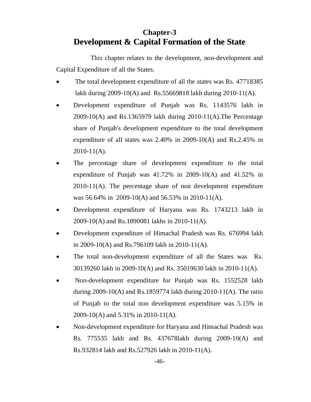# **Chapter-3 Development & Capital Formation of the State**

This chapter relates to the development, non-development and Capital Expenditure of all the States.

- The total development expenditure of all the states was Rs. 47718385 lakh during 2009-10(A) and Rs.55669818 lakh during 2010-11(A).
- Development expenditure of Punjab was Rs. 1143576 lakh in 2009-10(A) and Rs.1365979 lakh during 2010-11(A).The Percentage share of Punjab's development expenditure to the total development expenditure of all states was  $2.40\%$  in  $2009-10(A)$  and Rs.2.45% in 2010-11(A).
- The percentage share of development expenditure to the total expenditure of Punjab was  $41.72\%$  in 2009-10(A) and  $41.52\%$  in 2010-11(A). The percentage share of non development expenditure was 56.64% in 2009-10(A) and 56.53% in 2010-11(A).
- Development expenditure of Haryana was Rs. 1743213 lakh in 2009-10(A) and Rs.1890081 lakhs in 2010-11(A).
- Development expenditure of Himachal Pradesh was Rs. 676994 lakh in 2009-10(A) and Rs.796109 lakh in 2010-11(A).
- The total non-development expenditure of all the States was Rs. 30139260 lakh in 2009-10(A) and Rs. 35019630 lakh in 2010-11(A).
- Non-development expenditure for Punjab was Rs. 1552528 lakh during 2009-10(A) and Rs.1859774 lakh during 2010-11(A). The ratio of Punjab to the total non development expenditure was 5.15% in 2009-10(A) and 5.31% in 2010-11(A).
- Non-development expenditure for Haryana and Himachal Pradesh was Rs. 775535 lakh and Rs. 437678lakh during 2009-10(A) and Rs.932814 lakh and Rs.527926 lakh in 2010-11(A).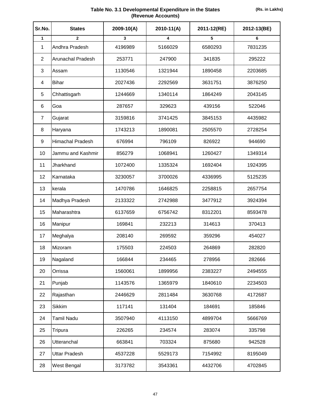### **Table No. 3.1 Developmental Expenditure in the States (Revenue Accounts)**

| Sr.No.         | <b>States</b>            | 2009-10(A) | $2010 - 11(A)$ | 2011-12(RE) | 2012-13(BE) |
|----------------|--------------------------|------------|----------------|-------------|-------------|
| 1              | $\mathbf{2}$             | 3          | 4              | 5           | 6           |
| 1              | Andhra Pradesh           | 4196989    | 5166029        | 6580293     | 7831235     |
| $\overline{2}$ | <b>Arunachal Pradesh</b> | 253771     | 247900         | 341835      | 295222      |
| 3              | Assam                    | 1130546    | 1321944        | 1890458     | 2203685     |
| 4              | <b>Bihar</b>             | 2027436    | 2292569        | 3631751     | 3876250     |
| 5              | Chhattisgarh             | 1244669    | 1340114        | 1864249     | 2043145     |
| 6              | Goa                      | 287657     | 329623         | 439156      | 522046      |
| $\overline{7}$ | Gujarat                  | 3159816    | 3741425        | 3845153     | 4435982     |
| 8              | Haryana                  | 1743213    | 1890081        | 2505570     | 2728254     |
| 9              | <b>Himachal Pradesh</b>  | 676994     | 796109         | 826922      | 944690      |
| 10             | Jammu and Kashmir        | 856279     | 1068941        | 1260427     | 1349314     |
| 11             | Jharkhand                | 1072400    | 1335324        | 1692404     | 1924395     |
| 12             | Karnataka                | 3230057    | 3700026        | 4336995     | 5125235     |
| 13             | kerala                   | 1470786    | 1646825        | 2258815     | 2657754     |
| 14             | Madhya Pradesh           | 2133322    | 2742988        | 3477912     | 3924394     |
| 15             | Maharashtra              | 6137659    | 6756742        | 8312201     | 8593478     |
| 16             | Manipur                  | 169841     | 232213         | 314613      | 370413      |
| 17             | Meghalya                 | 208140     | 269592         | 359296      | 454027      |
| 18             | Mizoram                  | 175503     | 224503         | 264869      | 282820      |
| 19             | Nagaland                 | 166844     | 234465         | 278956      | 282666      |
| 20             | Orrissa                  | 1560061    | 1899956        | 2383227     | 2494555     |
| 21             | Punjab                   | 1143576    | 1365979        | 1840610     | 2234503     |
| 22             | Rajasthan                | 2446629    | 2811484        | 3630768     | 4172687     |
| 23             | Sikkim                   | 117141     | 131404         | 184691      | 185846      |
| 24             | <b>Tamil Nadu</b>        | 3507940    | 4113150        | 4899704     | 5666769     |
| 25             | Tripura                  | 226265     | 234574         | 283074      | 335798      |
| 26             | Utteranchal              | 663841     | 703324         | 875680      | 942528      |
| 27             | <b>Uttar Pradesh</b>     | 4537228    | 5529173        | 7154992     | 8195049     |
| 28             | West Bengal              | 3173782    | 3543361        | 4432706     | 4702845     |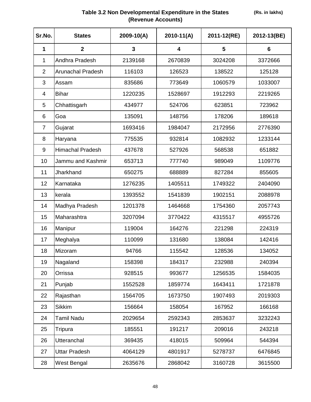# **Table 3.2 Non Developmental Expenditure in the States (Revenue Accounts)**

| Sr.No.         | <b>States</b>            | $2009 - 10(A)$          | $2010 - 11(A)$ | 2011-12(RE) | 2012-13(BE)     |
|----------------|--------------------------|-------------------------|----------------|-------------|-----------------|
| 1              | $\overline{\mathbf{2}}$  | $\overline{\mathbf{3}}$ | 4              | 5           | $6\phantom{1}6$ |
| 1              | Andhra Pradesh           | 2139168                 | 2670839        | 3024208     | 3372666         |
| $\overline{2}$ | <b>Arunachal Pradesh</b> | 116103                  | 126523         | 138522      | 125128          |
| 3              | Assam                    | 835686                  | 773649         | 1060579     | 1033007         |
| 4              | <b>Bihar</b>             | 1220235                 | 1528697        | 1912293     | 2219265         |
| 5              | Chhattisgarh             | 434977                  | 524706         | 623851      | 723962          |
| 6              | Goa                      | 135091                  | 148756         | 178206      | 189618          |
| $\overline{7}$ | Gujarat                  | 1693416                 | 1984047        | 2172956     | 2776390         |
| 8              | Haryana                  | 775535                  | 932814         | 1082932     | 1233144         |
| 9              | <b>Himachal Pradesh</b>  | 437678                  | 527926         | 568538      | 651882          |
| 10             | Jammu and Kashmir        | 653713                  | 777740         | 989049      | 1109776         |
| 11             | Jharkhand                | 650275                  | 688889         | 827284      | 855605          |
| 12             | Karnataka                | 1276235                 | 1405511        | 1749322     | 2404090         |
| 13             | kerala                   | 1393552                 | 1541839        | 1902151     | 2088978         |
| 14             | Madhya Pradesh           | 1201378                 | 1464668        | 1754360     | 2057743         |
| 15             | Maharashtra              | 3207094                 | 3770422        | 4315517     | 4955726         |
| 16             | Manipur                  | 119004                  | 164276         | 221298      | 224319          |
| 17             | Meghalya                 | 110099                  | 131680         | 138084      | 142416          |
| 18             | Mizoram                  | 94766                   | 115542         | 128536      | 134052          |
| 19             | Nagaland                 | 158398                  | 184317         | 232988      | 240394          |
| 20             | Orrissa                  | 928515                  | 993677         | 1256535     | 1584035         |
| 21             | Punjab                   | 1552528                 | 1859774        | 1643411     | 1721878         |
| 22             | Rajasthan                | 1564705                 | 1673750        | 1907493     | 2019303         |
| 23             | <b>Sikkim</b>            | 156664                  | 158054         | 167952      | 166168          |
| 24             | Tamil Nadu               | 2029654                 | 2592343        | 2853637     | 3232243         |
| 25             | Tripura                  | 185551                  | 191217         | 209016      | 243218          |
| 26             | <b>Utteranchal</b>       | 369435                  | 418015         | 509964      | 544394          |
| 27             | <b>Uttar Pradesh</b>     | 4064129                 | 4801917        | 5278737     | 6476845         |
| 28             | West Bengal              | 2635676                 | 2868042        | 3160728     | 3615500         |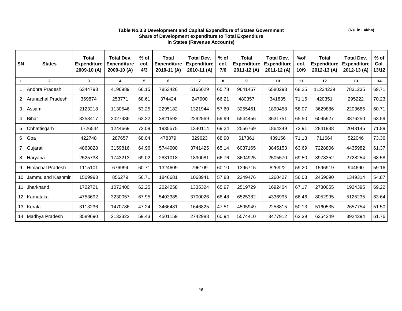#### **Table No.3.3 Development and Capital Expenditure of States Government Share of Development expenditure to Total Expendiure in States (Revenue Accounts)**

| SN               | <b>States</b>     | Total<br><b>Expenditure</b><br>2009-10 (A) | <b>Total Dev.</b><br><b>Expenditure</b><br>2009-10 (A) | $%$ of<br>col.<br>4/3 | Total<br><b>Expenditure</b><br>2010-11 (A) | <b>Total Dev.</b><br><b>Expenditure</b><br>2010-11 (A) | $%$ of<br>col.<br>7/6 | <b>Total</b><br><b>Expenditure</b><br>2011-12 (A) | <b>Total Dev.</b><br><b>Expenditure</b><br>2011-12 (A) | %of<br>col.<br>10/9 | <b>Total</b><br><b>Expenditure</b><br>2012-13 (A) | <b>Total Dev.</b><br><b>Expenditure</b><br>2012-13 (A) | $%$ of<br>Col.<br>13/12 |
|------------------|-------------------|--------------------------------------------|--------------------------------------------------------|-----------------------|--------------------------------------------|--------------------------------------------------------|-----------------------|---------------------------------------------------|--------------------------------------------------------|---------------------|---------------------------------------------------|--------------------------------------------------------|-------------------------|
| $\mathbf{1}$     | $\overline{2}$    | $\mathbf{3}$                               | 4                                                      | 5                     | 6                                          | $\overline{7}$                                         | 8                     | 9                                                 | 10                                                     | 11                  | 12                                                | 13                                                     | 14                      |
|                  | Andhra Pradesh    | 6344793                                    | 4196989                                                | 66.15                 | 7853426                                    | 5166029                                                | 65.78                 | 9641457                                           | 6580293                                                | 68.25               | 11234239                                          | 7831235                                                | 69.71                   |
| $\overline{2}$   | Arunachal Pradesh | 369874                                     | 253771                                                 | 68.61                 | 374424                                     | 247900                                                 | 66.21                 | 480357                                            | 341835                                                 | 71.16               | 420351                                            | 295222                                                 | 70.23                   |
| 3                | Assam             | 2123218                                    | 1130546                                                | 53.25                 | 2295182                                    | 1321944                                                | 57.60                 | 3255461                                           | 1890458                                                | 58.07               | 3629886                                           | 2203685                                                | 60.71                   |
| 4                | <b>Bihar</b>      | 3258417                                    | 2027436                                                | 62.22                 | 3821592                                    | 2292569                                                | 59.99                 | 5544456                                           | 3631751                                                | 65.50               | 6095927                                           | 3876250                                                | 63.59                   |
| 5                | Chhattisgarh      | 1726544                                    | 1244669                                                | 72.09                 | 1935575                                    | 1340114                                                | 69.24                 | 2556769                                           | 1864249                                                | 72.91               | 2841938                                           | 2043145                                                | 71.89                   |
| 6                | Goa               | 422748                                     | 287657                                                 | 68.04                 | 478379                                     | 329623                                                 | 68.90                 | 617361                                            | 439156                                                 | 71.13               | 711664                                            | 522046                                                 | 73.36                   |
| $\overline{7}$   | Gujarat           | 4863828                                    | 3159816                                                | 64.96                 | 5744000                                    | 3741425                                                | 65.14                 | 6037165                                           | 3845153                                                | 63.69               | 7228806                                           | 4435982                                                | 61.37                   |
| 8                | Haryana           | 2525738                                    | 1743213                                                | 69.02                 | 2831018                                    | 1890081                                                | 66.76                 | 3604925                                           | 2505570                                                | 69.50               | 3978352                                           | 2728254                                                | 68.58                   |
| 9                | Himachal Pradesh  | 1115101                                    | 676994                                                 | 60.71                 | 1324609                                    | 796109                                                 | 60.10                 | 1396715                                           | 826922                                                 | 59.20               | 1596919                                           | 944690                                                 | 59.16                   |
| 10               | Jammu and Kashmir | 1509993                                    | 856279                                                 | 56.71                 | 1846681                                    | 1068941                                                | 57.88                 | 2249476                                           | 1260427                                                | 56.03               | 2459090                                           | 1349314                                                | 54.87                   |
| 11               | Jharkhand         | 1722721                                    | 1072400                                                | 62.25                 | 2024258                                    | 1335324                                                | 65.97                 | 2519729                                           | 1692404                                                | 67.17               | 2780055                                           | 1924395                                                | 69.22                   |
| 12               | Karnataka         | 4753692                                    | 3230057                                                | 67.95                 | 5403385                                    | 3700026                                                | 68.48                 | 6525382                                           | 4336995                                                | 66.46               | 8052995                                           | 5125235                                                | 63.64                   |
| 13 <sup>13</sup> | Kerala            | 3113236                                    | 1470786                                                | 47.24                 | 3466481                                    | 1646825                                                | 47.51                 | 4505949                                           | 2258815                                                | 50.13               | 5160535                                           | 2657754                                                | 51.50                   |
| 14 I             | Madhya Pradesh    | 3589690                                    | 2133322                                                | 59.43                 | 4501159                                    | 2742988                                                | 60.94                 | 5574410                                           | 3477912                                                | 62.39               | 6354349                                           | 3924394                                                | 61.76                   |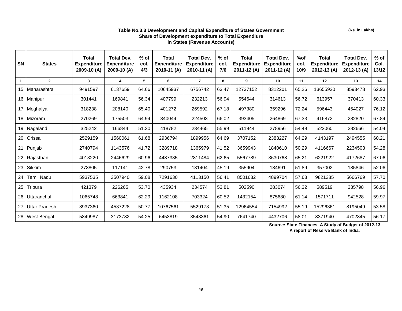#### **Table No.3.3 Development and Capital Expenditure of States Government Share of Development expenditure to Total Expendiure in States (Revenue Accounts)**

| <b>SN</b> | <b>States</b>      | <b>Total</b><br><b>Expenditure</b><br>$2009-10(A)$ | <b>Total Dev.</b><br><b>Expenditure</b><br>$2009-10(A)$ | $%$ of<br>col.<br>4/3 | <b>Total</b><br><b>Expenditure</b><br>2010-11 (A) | <b>Total Dev.</b><br><b>Expenditure</b><br>2010-11 (A) | $%$ of<br>col.<br>7/6 | <b>Total</b><br><b>Expenditure</b><br>2011-12 (A) | <b>Total Dev.</b><br><b>Expenditure</b><br>2011-12 (A) | %of<br>col.<br>10/9 | <b>Total</b><br><b>Expenditure</b><br>2012-13 (A) | <b>Total Dev.</b><br><b>Expenditure</b><br>2012-13 (A) | $%$ of<br>Col.<br>13/12 |
|-----------|--------------------|----------------------------------------------------|---------------------------------------------------------|-----------------------|---------------------------------------------------|--------------------------------------------------------|-----------------------|---------------------------------------------------|--------------------------------------------------------|---------------------|---------------------------------------------------|--------------------------------------------------------|-------------------------|
| 1         | $\overline{2}$     | 3                                                  | 4                                                       | 5                     | 6                                                 | $\overline{7}$                                         | 8                     | 9                                                 | 10                                                     | 11                  | 12                                                | 13                                                     | 14                      |
| 15        | Maharashtra        | 9491597                                            | 6137659                                                 | 64.66                 | 10645937                                          | 6756742                                                | 63.47                 | 12737152                                          | 8312201                                                | 65.26               | 13655920                                          | 8593478                                                | 62.93                   |
|           | 16 Manipur         | 301441                                             | 169841                                                  | 56.34                 | 407799                                            | 232213                                                 | 56.94                 | 554644                                            | 314613                                                 | 56.72               | 613957                                            | 370413                                                 | 60.33                   |
|           | 17 Meghalya        | 318238                                             | 208140                                                  | 65.40                 | 401272                                            | 269592                                                 | 67.18                 | 497380                                            | 359296                                                 | 72.24               | 596443                                            | 454027                                                 | 76.12                   |
|           | 18 Mizoram         | 270269                                             | 175503                                                  | 64.94                 | 340044                                            | 224503                                                 | 66.02                 | 393405                                            | 264869                                                 | 67.33               | 416872                                            | 282820                                                 | 67.84                   |
| 19        | Nagaland           | 325242                                             | 166844                                                  | 51.30                 | 418782                                            | 234465                                                 | 55.99                 | 511944                                            | 278956                                                 | 54.49               | 523060                                            | 282666                                                 | 54.04                   |
| 20        | <b>Orissa</b>      | 2529159                                            | 1560061                                                 | 61.68                 | 2936794                                           | 1899956                                                | 64.69                 | 3707152                                           | 2383227                                                | 64.29               | 4143197                                           | 2494555                                                | 60.21                   |
| 21        | Punjab             | 2740794                                            | 1143576                                                 | 41.72                 | 3289718                                           | 1365979                                                | 41.52                 | 3659943                                           | 1840610                                                | 50.29               | 4116667                                           | 2234503                                                | 54.28                   |
| 22        | Rajasthan          | 4013220                                            | 2446629                                                 | 60.96                 | 4487335                                           | 2811484                                                | 62.65                 | 5567789                                           | 3630768                                                | 65.21               | 6221922                                           | 4172687                                                | 67.06                   |
| 23        | Sikkim             | 273805                                             | 117141                                                  | 42.78                 | 290753                                            | 131404                                                 | 45.19                 | 355904                                            | 184691                                                 | 51.89               | 357002                                            | 185846                                                 | 52.06                   |
| 24        | Tamil Nadu         | 5937535                                            | 3507940                                                 | 59.08                 | 7291630                                           | 4113150                                                | 56.41                 | 8501632                                           | 4899704                                                | 57.63               | 9821385                                           | 5666769                                                | 57.70                   |
| 25        | Tripura            | 421379                                             | 226265                                                  | 53.70                 | 435934                                            | 234574                                                 | 53.81                 | 502590                                            | 283074                                                 | 56.32               | 589519                                            | 335798                                                 | 56.96                   |
| 26        | Uttaranchal        | 1065748                                            | 663841                                                  | 62.29                 | 1162108                                           | 703324                                                 | 60.52                 | 1432154                                           | 875680                                                 | 61.14               | 1571711                                           | 942528                                                 | 59.97                   |
| 27        | Uttar Pradesh      | 8937360                                            | 4537228                                                 | 50.77                 | 10767561                                          | 5529173                                                | 51.35                 | 12964554                                          | 7154992                                                | 55.19               | 15296361                                          | 8195049                                                | 53.58                   |
| 28        | <b>West Bengal</b> | 5849987                                            | 3173782                                                 | 54.25                 | 6453819                                           | 3543361                                                | 54.90                 | 7641740                                           | 4432706                                                | 58.01               | 8371940                                           | 4702845                                                | 56.17                   |

**Source: State Finances A Study of Budget of 2012-13** 

**A report of Reserve Bank of India.**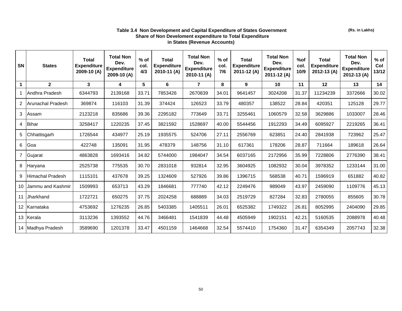#### **Table 3.4 Non Development and Capital Expenditure of States Government Share of Non Develoment expenditure to Total Expenditure in States (Revenue Accounts)**

| SN              | <b>States</b>     | <b>Total</b><br><b>Expenditure</b><br>2009-10 (A) | <b>Total Non</b><br>Dev.<br><b>Expenditure</b><br>2009-10 (A) | $%$ of<br>col.<br>4/3 | Total<br><b>Expenditure</b><br>2010-11 (A) | <b>Total Non</b><br>Dev.<br><b>Expenditure</b><br>2010-11 (A) | $%$ of<br>col.<br>7/6 | Total<br><b>Expenditure</b><br>2011-12 (A) | <b>Total Non</b><br>Dev.<br><b>Expenditure</b><br>2011-12 (A) | %of<br>col.<br>10/9 | Total<br><b>Expenditure</b><br>2012-13 (A) | <b>Total Non</b><br>Dev.<br><b>Expenditure</b><br>2012-13 (A) | $%$ of<br>Col<br>$13/12$ |
|-----------------|-------------------|---------------------------------------------------|---------------------------------------------------------------|-----------------------|--------------------------------------------|---------------------------------------------------------------|-----------------------|--------------------------------------------|---------------------------------------------------------------|---------------------|--------------------------------------------|---------------------------------------------------------------|--------------------------|
| $\mathbf 1$     | $\mathbf{2}$      | $\mathbf{3}$                                      | 4                                                             | 5                     | 6                                          | $\overline{7}$                                                | 8                     | 9                                          | 10                                                            | 11                  | 12                                         | 13                                                            | 14                       |
|                 | lAndhra Pradesh   | 6344793                                           | 2139168                                                       | 33.71                 | 7853426                                    | 2670839                                                       | 34.01                 | 9641457                                    | 3024208                                                       | 31.37               | 11234239                                   | 3372666                                                       | 30.02                    |
| 2               | Arunachal Pradesh | 369874                                            | 116103                                                        | 31.39                 | 374424                                     | 126523                                                        | 33.79                 | 480357                                     | 138522                                                        | 28.84               | 420351                                     | 125128                                                        | 29.77                    |
| 3               | Assam             | 2123218                                           | 835686                                                        | 39.36                 | 2295182                                    | 773649                                                        | 33.71                 | 3255461                                    | 1060579                                                       | 32.58               | 3629886                                    | 1033007                                                       | 28.46                    |
| 4               | <b>Bihar</b>      | 3258417                                           | 1220235                                                       | 37.45                 | 3821592                                    | 1528697                                                       | 40.00                 | 5544456                                    | 1912293                                                       | 34.49               | 6095927                                    | 2219265                                                       | 36.41                    |
| 5               | Chhattisgarh      | 1726544                                           | 434977                                                        | 25.19                 | 1935575                                    | 524706                                                        | 27.11                 | 2556769                                    | 623851                                                        | 24.40               | 2841938                                    | 723962                                                        | 25.47                    |
| 6               | Goa               | 422748                                            | 135091                                                        | 31.95                 | 478379                                     | 148756                                                        | 31.10                 | 617361                                     | 178206                                                        | 28.87               | 711664                                     | 189618                                                        | 26.64                    |
| $\overline{7}$  | Gujarat           | 4863828                                           | 1693416                                                       | 34.82                 | 5744000                                    | 1984047                                                       | 34.54                 | 6037165                                    | 2172956                                                       | 35.99               | 7228806                                    | 2776390                                                       | 38.41                    |
| 8               | Haryana           | 2525738                                           | 775535                                                        | 30.70                 | 2831018                                    | 932814                                                        | 32.95                 | 3604925                                    | 1082932                                                       | 30.04               | 3978352                                    | 1233144                                                       | 31.00                    |
| 9               | Himachal Pradesh  | 1115101                                           | 437678                                                        | 39.25                 | 1324609                                    | 527926                                                        | 39.86                 | 1396715                                    | 568538                                                        | 40.71               | 1596919                                    | 651882                                                        | 40.82                    |
| 10              | Jammu and Kashmir | 1509993                                           | 653713                                                        | 43.29                 | 1846681                                    | 777740                                                        | 42.12                 | 2249476                                    | 989049                                                        | 43.97               | 2459090                                    | 1109776                                                       | 45.13                    |
| 11              | Jharkhand         | 1722721                                           | 650275                                                        | 37.75                 | 2024258                                    | 688889                                                        | 34.03                 | 2519729                                    | 827284                                                        | 32.83               | 2780055                                    | 855605                                                        | 30.78                    |
| 12 <sup>2</sup> | Karnataka         | 4753692                                           | 1276235                                                       | 26.85                 | 5403385                                    | 1405511                                                       | 26.01                 | 6525382                                    | 1749322                                                       | 26.81               | 8052995                                    | 2404090                                                       | 29.85                    |
| 13 <sup>2</sup> | Kerala            | 3113236                                           | 1393552                                                       | 44.76                 | 3466481                                    | 1541839                                                       | 44.48                 | 4505949                                    | 1902151                                                       | 42.21               | 5160535                                    | 2088978                                                       | 40.48                    |
|                 | 14 Madhya Pradesh | 3589690                                           | 1201378                                                       | 33.47                 | 4501159                                    | 1464668                                                       | 32.54                 | 5574410                                    | 1754360                                                       | 31.47               | 6354349                                    | 2057743                                                       | 32.38                    |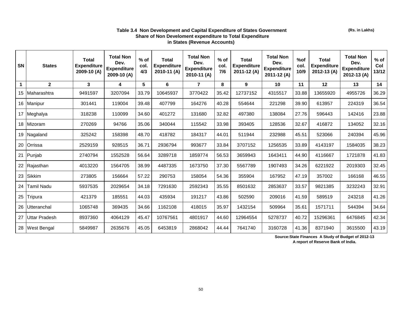#### **Table 3.4 Non Development and Capital Expenditure of States Government Share of Non Develoment expenditure to Total Expenditure in States (Revenue Accounts)**

| <b>SN</b>   | <b>States</b>      | <b>Total</b><br><b>Expenditure</b><br>2009-10 (A) | <b>Total Non</b><br>Dev.<br><b>Expenditure</b><br>2009-10 (A) | $%$ of<br>col.<br>4/3 | <b>Total</b><br><b>Expenditure</b><br>2010-11 (A) | <b>Total Non</b><br>Dev.<br><b>Expenditure</b><br>2010-11 (A) | $%$ of<br>col.<br>7/6 | <b>Total</b><br><b>Expenditure</b><br>2011-12 (A) | <b>Total Non</b><br>Dev.<br><b>Expenditure</b><br>2011-12 (A) | %of<br>col.<br>10/9 | <b>Total</b><br><b>Expenditure</b><br>2012-13 (A) | <b>Total Non</b><br>Dev.<br><b>Expenditure</b><br>2012-13 (A) | $%$ of<br>Col<br>$13/12$ |
|-------------|--------------------|---------------------------------------------------|---------------------------------------------------------------|-----------------------|---------------------------------------------------|---------------------------------------------------------------|-----------------------|---------------------------------------------------|---------------------------------------------------------------|---------------------|---------------------------------------------------|---------------------------------------------------------------|--------------------------|
| $\mathbf 1$ | $\mathbf{2}$       | $\mathbf{3}$                                      | 4                                                             | 5                     | 6                                                 | $\overline{7}$                                                | 8                     | 9                                                 | 10                                                            | 11                  | 12                                                | 13                                                            | 14                       |
| 15          | Maharashtra        | 9491597                                           | 3207094                                                       | 33.79                 | 10645937                                          | 3770422                                                       | 35.42                 | 12737152                                          | 4315517                                                       | 33.88               | 13655920                                          | 4955726                                                       | 36.29                    |
|             | 16 Manipur         | 301441                                            | 119004                                                        | 39.48                 | 407799                                            | 164276                                                        | 40.28                 | 554644                                            | 221298                                                        | 39.90               | 613957                                            | 224319                                                        | 36.54                    |
|             | 17 Meghalya        | 318238                                            | 110099                                                        | 34.60                 | 401272                                            | 131680                                                        | 32.82                 | 497380                                            | 138084                                                        | 27.76               | 596443                                            | 142416                                                        | 23.88                    |
| 18          | Mizoram            | 270269                                            | 94766                                                         | 35.06                 | 340044                                            | 115542                                                        | 33.98                 | 393405                                            | 128536                                                        | 32.67               | 416872                                            | 134052                                                        | 32.16                    |
| 19          | Nagaland           | 325242                                            | 158398                                                        | 48.70                 | 418782                                            | 184317                                                        | 44.01                 | 511944                                            | 232988                                                        | 45.51               | 523066                                            | 240394                                                        | 45.96                    |
| 20          | <b>Orrissa</b>     | 2529159                                           | 928515                                                        | 36.71                 | 2936794                                           | 993677                                                        | 33.84                 | 3707152                                           | 1256535                                                       | 33.89               | 4143197                                           | 1584035                                                       | 38.23                    |
| 21          | Punjab             | 2740794                                           | 1552528                                                       | 56.64                 | 3289718                                           | 1859774                                                       | 56.53                 | 3659943                                           | 1643411                                                       | 44.90               | 4116667                                           | 1721878                                                       | 41.83                    |
| 22          | Rajasthan          | 4013220                                           | 1564705                                                       | 38.99                 | 4487335                                           | 1673750                                                       | 37.30                 | 5567789                                           | 1907493                                                       | 34.26               | 6221922                                           | 2019303                                                       | 32.45                    |
| 23          | Sikkim             | 273805                                            | 156664                                                        | 57.22                 | 290753                                            | 158054                                                        | 54.36                 | 355904                                            | 167952                                                        | 47.19               | 357002                                            | 166168                                                        | 46.55                    |
| 24          | Tamil Nadu         | 5937535                                           | 2029654                                                       | 34.18                 | 7291630                                           | 2592343                                                       | 35.55                 | 8501632                                           | 2853637                                                       | 33.57               | 9821385                                           | 3232243                                                       | 32.91                    |
| 25          | Tripura            | 421379                                            | 185551                                                        | 44.03                 | 435934                                            | 191217                                                        | 43.86                 | 502590                                            | 209016                                                        | 41.59               | 589519                                            | 243218                                                        | 41.26                    |
| 26          | Utteranchal        | 1065748                                           | 369435                                                        | 34.66                 | 1162108                                           | 418015                                                        | 35.97                 | 1432154                                           | 509964                                                        | 35.61               | 1571711                                           | 544394                                                        | 34.64                    |
| 27          | Uttar Pradesh      | 8937360                                           | 4064129                                                       | 45.47                 | 10767561                                          | 4801917                                                       | 44.60                 | 12964554                                          | 5278737                                                       | 40.72               | 15296361                                          | 6476845                                                       | 42.34                    |
| 28          | <b>West Bengal</b> | 5849987                                           | 2635676                                                       | 45.05                 | 6453819                                           | 2868042                                                       | 44.44                 | 7641740                                           | 3160728                                                       | 41.36               | 8371940                                           | 3615500                                                       | 43.19                    |

**Source:State Finances A Study of Budget of 2012-13** 

**A report of Reserve Bank of India.**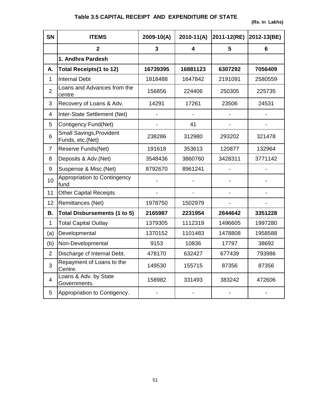# **Table 3.5 CAPITAL RECEIPT AND EXPENDITURE OF STATE**

**(Rs. in Lakhs)**

| <b>SN</b>                | <b>ITEMS</b>                                        | $2009 - 10(A)$ | $2010 - 11(A)$ | 2011-12(RE) | 2012-13(BE) |
|--------------------------|-----------------------------------------------------|----------------|----------------|-------------|-------------|
|                          | $\overline{2}$                                      | $\mathbf{3}$   | 4              | 5           | 6           |
|                          | 1. Andhra Pardesh                                   |                |                |             |             |
| А.                       | <b>Total Receipts(1 to 12)</b>                      | 16739395       | 16881123       | 6307292     | 7056409     |
| 1                        | <b>Internal Debt</b>                                | 1818488        | 1647842        | 2191091     | 2580559     |
| $\overline{2}$           | Loans and Advances from the<br>centre               | 156856         | 224406         | 250305      | 225735      |
| 3                        | Recovery of Loans & Adv.                            | 14291          | 17261          | 23506       | 24531       |
| 4                        | Inter-State Settlement (Net)                        |                |                |             |             |
| 5                        | Contigency Fund(Net)                                |                | 41             |             |             |
| 6                        | <b>Small Savings, Provident</b><br>Funds, etc.(Net) | 238286         | 312980         | 293202      | 321478      |
| $\overline{7}$           | Reserve Funds(Net)                                  | 191618         | 353613         | 120877      | 132964      |
| 8                        | Deposits & Adv.(Net)                                | 3548436        | 3860760        | 3428311     | 3771142     |
| 9                        | Suspense & Misc.(Net)                               | 8792670        | 8961241        |             |             |
| 10                       | Appropriation to Contingency<br>fund                |                |                |             |             |
| 11                       | <b>Other Capital Receipts</b>                       |                |                |             |             |
| 12                       | Remittances (Net)                                   | 1978750        | 1502979        |             |             |
| В.                       | <b>Total Disbursements (1 to 5)</b>                 | 2165987        | 2231954        | 2644642     | 3351228     |
| $\mathbf{1}$             | <b>Total Capital Outlay</b>                         | 1379305        | 1112319        | 1496605     | 1997280     |
| (a)                      | Developmental                                       | 1370152        | 1101483        | 1478808     | 1958588     |
| (b)                      | Non-Developmental                                   | 9153           | 10836          | 17797       | 38692       |
| $\overline{2}$           | Discharge cf Internal Debt.                         | 478170         | 632427         | 677439      | 793986      |
| 3                        | Repayment of Loans to the<br>Centre.                | 149530         | 155715         | 87356       | 87356       |
| $\overline{\mathcal{A}}$ | Loans & Adv. by State<br>Governments.               | 158982         | 331493         | 383242      | 472606      |
| 5                        | Appropriation to Contigency.                        |                |                |             |             |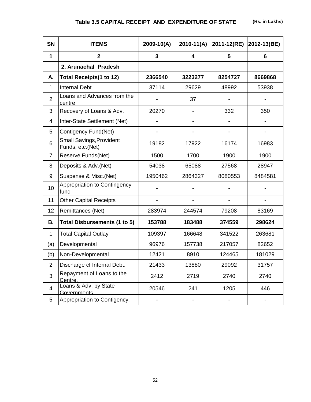# **Table 3.5 CAPITAL RECEIPT AND EXPENDITURE OF STATE (Rs. in Lakhs)**

| <b>SN</b>      | <b>ITEMS</b>                                        | $2009 - 10(A)$ | $2010 - 11(A)$               | 2011-12(RE) | 2012-13(BE)    |
|----------------|-----------------------------------------------------|----------------|------------------------------|-------------|----------------|
| $\mathbf 1$    | $\overline{2}$                                      | 3              | $\overline{\mathbf{4}}$      | 5           | $6\phantom{1}$ |
|                | 2. Arunachal Pradesh                                |                |                              |             |                |
| А.             | Total Receipts(1 to 12)                             | 2366540        | 3223277                      | 8254727     | 8669868        |
| $\mathbf{1}$   | <b>Internal Debt</b>                                | 37114          | 29629                        | 48992       | 53938          |
| $\overline{2}$ | Loans and Advances from the<br>centre               |                | 37                           |             |                |
| 3              | Recovery of Loans & Adv.                            | 20270          |                              | 332         | 350            |
| $\overline{4}$ | Inter-State Settlement (Net)                        |                |                              |             |                |
| 5              | Contigency Fund(Net)                                |                |                              |             |                |
| 6              | <b>Small Savings, Provident</b><br>Funds, etc.(Net) | 19182          | 17922                        | 16174       | 16983          |
| $\overline{7}$ | Reserve Funds(Net)                                  | 1500           | 1700                         | 1900        | 1900           |
| 8              | Deposits & Adv.(Net)                                | 54038          | 65088                        | 27568       | 28947          |
| 9              | Suspense & Misc.(Net)                               | 1950462        | 2864327                      | 8080553     | 8484581        |
| 10             | Appropriation to Contingency<br>fund                |                |                              |             |                |
| 11             | <b>Other Capital Receipts</b>                       |                |                              |             |                |
| 12             | Remittances (Net)                                   | 283974         | 244574                       | 79208       | 83169          |
| В.             | Total Disbursements (1 to 5)                        | 153788         | 183488                       | 374559      | 298624         |
| $\mathbf{1}$   | <b>Total Capital Outlay</b>                         | 109397         | 166648                       | 341522      | 263681         |
| (a)            | Developmental                                       | 96976          | 157738                       | 217057      | 82652          |
| (b)            | Non-Developmental                                   | 12421          | 8910                         | 124465      | 181029         |
| $\overline{2}$ | Discharge cf Internal Debt.                         | 21433          | 13880                        | 29092       | 31757          |
| 3              | Repayment of Loans to the<br>Centre.                | 2412           | 2719                         | 2740        | 2740           |
| $\overline{4}$ | Loans & Adv. by State<br>Governments.               | 20546          | 241                          | 1205        | 446            |
| 5              | Appropriation to Contigency.                        |                | $\qquad \qquad \blacksquare$ |             |                |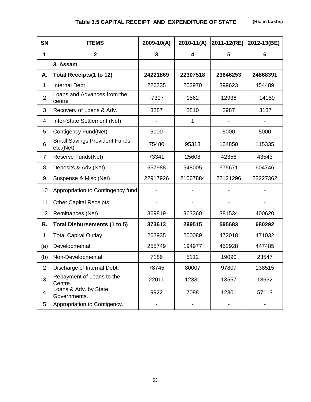| <b>SN</b>      | <b>ITEMS</b>                                 | $2009 - 10(A)$ | $2010-11(A)$ | 2011-12(RE) | 2012-13(BE) |
|----------------|----------------------------------------------|----------------|--------------|-------------|-------------|
| 1              | $\mathbf{2}$                                 | 3              | 4            | 5           | 6           |
|                | 3. Assam                                     |                |              |             |             |
| А.             | <b>Total Receipts(1 to 12)</b>               | 24221869       | 22307518     | 23646253    | 24868391    |
| 1              | <b>Internal Debt</b>                         | 226335         | 202970       | 399623      | 454489      |
| $\overline{2}$ | Loans and Advances from the<br>centre        | $-7307$        | 1562         | 12936       | 14159       |
| 3              | Recovery of Loans & Adv.                     | 3287           | 2810         | 2987        | 3137        |
| 4              | Inter-State Settlement (Net)                 |                | 1            |             |             |
| 5              | Contigency Fund(Net)                         | 5000           |              | 5000        | 5000        |
| 6              | Small Savings, Provident Funds,<br>etc.(Net) | 75480          | 95318        | 104850      | 115335      |
| $\overline{7}$ | Reserve Funds(Net)                           | 73341          | 25608        | 42356       | 43543       |
| 8              | Deposits & Adv. (Net)                        | 557988         | 548005       | 575671      | 604746      |
| 9              | Suspense & Misc.(Net)                        | 22917926       | 21067884     | 22121296    | 23227362    |
| 10             | Appropriation to Contingency fund            |                |              |             |             |
| 11             | <b>Other Capital Receipts</b>                |                |              |             |             |
| 12             | Remittances (Net)                            | 369819         | 363360       | 381534      | 400620      |
| Β.             | <b>Total Disbursements (1 to 5)</b>          | 373613         | 299515       | 595683      | 680292      |
| 1              | <b>Total Capital Outlay</b>                  | 262935         | 200089       | 472018      | 471032      |
| (a)            | Developmental                                | 255749         | 194977       | 452928      | 447485      |
| (b)            | Non-Developmental                            | 7186           | 5112         | 19090       | 23547       |
| $\overline{2}$ | Discharge cf Internal Debt.                  | 78745          | 80007        | 97807       | 138515      |
| 3              | Repayment of Loans to the<br>Centre.         | 22011          | 12331        | 13557       | 13632       |
| $\overline{4}$ | Loans & Adv. by State<br>Governments.        | 9922           | 7088         | 12301       | 57113       |
| 5              | Appropriation to Contigency.                 |                |              |             |             |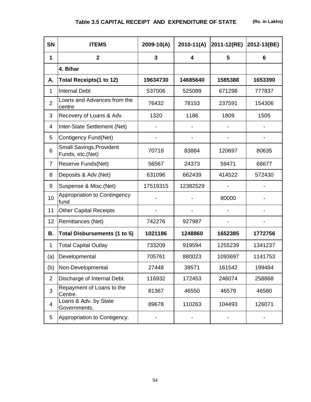| <b>SN</b>      | <b>ITEMS</b>                                        | 2009-10(A) | $2010 - 11(A)$ | 2011-12(RE) | 2012-13(BE) |
|----------------|-----------------------------------------------------|------------|----------------|-------------|-------------|
| 1              | $\overline{2}$                                      | 3          | 4              | 5           | 6           |
|                | 4. Bihar                                            |            |                |             |             |
| А.             | <b>Total Receipts(1 to 12)</b>                      | 19634730   | 14685640       | 1585388     | 1653390     |
| 1              | <b>Internal Debt</b>                                | 537006     | 525089         | 671298      | 777837      |
| $\overline{2}$ | Loans and Advances from the<br>centre               | 76432      | 78153          | 237591      | 154306      |
| 3              | Recovery of Loans & Adv.                            | 1320       | 1186           | 1809        | 1505        |
| 4              | Inter-State Settlement (Net)                        |            |                |             |             |
| 5              | Contigency Fund(Net)                                |            |                |             |             |
| 6              | <b>Small Savings, Provident</b><br>Funds, etc.(Net) | 70718      | 83884          | 120697      | 80635       |
| $\overline{7}$ | Reserve Funds(Net)                                  | 56567      | 24373          | 59471       | 66677       |
| 8              | Deposits & Adv.(Net)                                | 631096     | 662439         | 414522      | 572430      |
| 9              | Suspense & Misc.(Net)                               | 17519315   | 12382529       |             |             |
| 10             | Appropriation to Contingency<br>fund                |            |                | 80000       |             |
| 11             | <b>Other Capital Receipts</b>                       |            |                |             |             |
| 12             | Remittances (Net)                                   | 742276     | 927987         |             |             |
| Β.             | Total Disbursements (1 to 5)                        | 1021186    | 1248860        | 1652385     | 1772756     |
| 1              | <b>Total Capital Outlay</b>                         | 733209     | 919594         | 1255239     | 1341237     |
| (a)            | Developmental                                       | 705761     | 880023         | 1093697     | 1141753     |
| (b)            | Non-Developmental                                   | 27448      | 39571          | 161542      | 199484      |
| $\overline{2}$ | Discharge of Internal Debt.                         | 116932     | 172453         | 246074      | 258868      |
| 3              | Repayment of Loans to the<br>Centre.                | 81367      | 46550          | 46579       | 46580       |
| 4              | Loans & Adv. by State<br>Governments.               | 89678      | 110263         | 104493      | 126071      |
| 5              | Appropriation to Contigency.                        |            |                |             |             |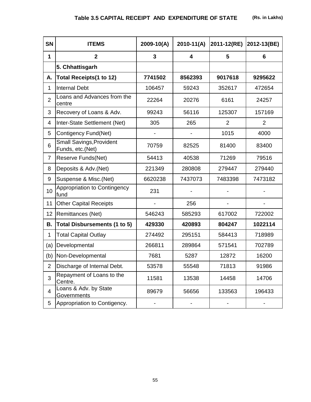| <b>SN</b>      | <b>ITEMS</b>                                        | $2009 - 10(A)$ | $2010-11(A)$ | 2011-12(RE)    | 2012-13(BE)    |
|----------------|-----------------------------------------------------|----------------|--------------|----------------|----------------|
| 1              | $\overline{2}$                                      | 3              | 4            | 5              | 6              |
|                | 5. Chhattisgarh                                     |                |              |                |                |
| А.             | <b>Total Receipts(1 to 12)</b>                      | 7741502        | 8562393      | 9017618        | 9295622        |
| 1              | <b>Internal Debt</b>                                | 106457         | 59243        | 352617         | 472654         |
| $\overline{2}$ | Loans and Advances from the<br>centre               | 22264          | 20276        | 6161           | 24257          |
| 3              | Recovery of Loans & Adv.                            | 99243          | 56116        | 125307         | 157169         |
| 4              | Inter-State Settlement (Net)                        | 305            | 265          | $\overline{2}$ | $\overline{2}$ |
| 5              | Contigency Fund(Net)                                |                |              | 1015           | 4000           |
| 6              | <b>Small Savings, Provident</b><br>Funds, etc.(Net) | 70759          | 82525        | 81400          | 83400          |
| $\overline{7}$ | Reserve Funds(Net)                                  | 54413          | 40538        | 71269          | 79516          |
| 8              | Deposits & Adv.(Net)                                | 221349         | 280808       | 279447         | 279440         |
| 9              | Suspense & Misc.(Net)                               | 6620238        | 7437073      | 7483398        | 7473182        |
| 10             | Appropriation to Contingency<br>fund                | 231            |              |                |                |
| 11             | <b>Other Capital Receipts</b>                       |                | 256          |                |                |
| 12             | Remittances (Net)                                   | 546243         | 585293       | 617002         | 722002         |
| Β.             | <b>Total Disbursements (1 to 5)</b>                 | 429330         | 420893       | 804247         | 1022114        |
| 1              | <b>Total Capital Outlay</b>                         | 274492         | 295151       | 584413         | 718989         |
| (a)            | Developmental                                       | 266811         | 289864       | 571541         | 702789         |
| (b)            | Non-Developmental                                   | 7681           | 5287         | 12872          | 16200          |
| $\overline{2}$ | Discharge of Internal Debt.                         | 53578          | 55548        | 71813          | 91986          |
| 3              | Repayment of Loans to the<br>Centre.                | 11581          | 13538        | 14458          | 14706          |
| 4              | Loans & Adv. by State<br>Governments                | 89679          | 56656        | 133563         | 196433         |
| 5              | Appropriation to Contigency.                        |                |              |                |                |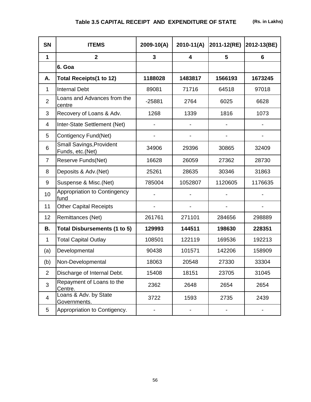| <b>SN</b>      | <b>ITEMS</b>                                        | $2009 - 10(A)$ | $2010-11(A)$            | 2011-12(RE) | 2012-13(BE) |
|----------------|-----------------------------------------------------|----------------|-------------------------|-------------|-------------|
| 1              | $\overline{2}$                                      | 3              | $\overline{\mathbf{4}}$ | 5           | 6           |
|                | 6. Goa                                              |                |                         |             |             |
| А.             | <b>Total Receipts(1 to 12)</b>                      | 1188028        | 1483817                 | 1566193     | 1673245     |
| $\mathbf{1}$   | <b>Internal Debt</b>                                | 89081          | 71716                   | 64518       | 97018       |
| $\overline{2}$ | Loans and Advances from the<br>centre               | $-25881$       | 2764                    | 6025        | 6628        |
| 3              | Recovery of Loans & Adv.                            | 1268           | 1339                    | 1816        | 1073        |
| 4              | Inter-State Settlement (Net)                        |                |                         |             |             |
| 5              | Contigency Fund(Net)                                |                |                         |             |             |
| 6              | <b>Small Savings, Provident</b><br>Funds, etc.(Net) | 34906          | 29396                   | 30865       | 32409       |
| $\overline{7}$ | Reserve Funds(Net)                                  | 16628          | 26059                   | 27362       | 28730       |
| 8              | Deposits & Adv.(Net)                                | 25261          | 28635                   | 30346       | 31863       |
| 9              | Suspense & Misc.(Net)                               | 785004         | 1052807                 | 1120605     | 1176635     |
| 10             | Appropriation to Contingency<br>fund                |                |                         |             |             |
| 11             | <b>Other Capital Receipts</b>                       |                |                         |             |             |
| 12             | Remittances (Net)                                   | 261761         | 271101                  | 284656      | 298889      |
| В.             | Total Disbursements (1 to 5)                        | 129993         | 144511                  | 198630      | 228351      |
| $\mathbf{1}$   | <b>Total Capital Outlay</b>                         | 108501         | 122119                  | 169536      | 192213      |
| (a)            | Developmental                                       | 90438          | 101571                  | 142206      | 158909      |
| (b)            | Non-Developmental                                   | 18063          | 20548                   | 27330       | 33304       |
| $\overline{2}$ | Discharge of Internal Debt.                         | 15408          | 18151                   | 23705       | 31045       |
| 3              | Repayment of Loans to the<br>Centre.                | 2362           | 2648                    | 2654        | 2654        |
| $\overline{4}$ | Loans & Adv. by State<br>Governments.               | 3722           | 1593                    | 2735        | 2439        |
| 5              | Appropriation to Contigency.                        |                |                         |             |             |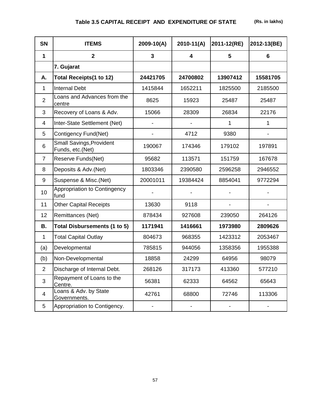| <b>SN</b>      | <b>ITEMS</b>                                        | $2009 - 10(A)$ | $2010-11(A)$ | 2011-12(RE) | 2012-13(BE) |
|----------------|-----------------------------------------------------|----------------|--------------|-------------|-------------|
| 1              | $\overline{2}$                                      | 3              | 4            | 5           | 6           |
|                | 7. Gujarat                                          |                |              |             |             |
| А.             | <b>Total Receipts(1 to 12)</b>                      | 24421705       | 24700802     | 13907412    | 15581705    |
| $\mathbf{1}$   | <b>Internal Debt</b>                                | 1415844        | 1652211      | 1825500     | 2185500     |
| $\overline{2}$ | Loans and Advances from the<br>centre               | 8625           | 15923        | 25487       | 25487       |
| 3              | Recovery of Loans & Adv.                            | 15066          | 28309        | 26834       | 22176       |
| $\overline{4}$ | Inter-State Settlement (Net)                        |                |              | 1           | 1           |
| 5              | Contigency Fund(Net)                                |                | 4712         | 9380        |             |
| 6              | <b>Small Savings, Provident</b><br>Funds, etc.(Net) | 190067         | 174346       | 179102      | 197891      |
| $\overline{7}$ | Reserve Funds(Net)                                  | 95682          | 113571       | 151759      | 167678      |
| 8              | Deposits & Adv.(Net)                                | 1803346        | 2390580      | 2596258     | 2946552     |
| 9              | Suspense & Misc.(Net)                               | 20001011       | 19384424     | 8854041     | 9772294     |
| 10             | Appropriation to Contingency<br>fund                |                |              |             |             |
| 11             | <b>Other Capital Receipts</b>                       | 13630          | 9118         |             |             |
| 12             | Remittances (Net)                                   | 878434         | 927608       | 239050      | 264126      |
| В.             | <b>Total Disbursements (1 to 5)</b>                 | 1171941        | 1416661      | 1973980     | 2809626     |
| 1              | <b>Total Capital Outlay</b>                         | 804673         | 968355       | 1423312     | 2053467     |
| (a)            | Developmental                                       | 785815         | 944056       | 1358356     | 1955388     |
| (b)            | Non-Developmental                                   | 18858          | 24299        | 64956       | 98079       |
| $\overline{2}$ | Discharge of Internal Debt.                         | 268126         | 317173       | 413360      | 577210      |
| 3              | Repayment of Loans to the<br>Centre.                | 56381          | 62333        | 64562       | 65643       |
| 4              | Loans & Adv. by State<br>Governments.               | 42761          | 68800        | 72746       | 113306      |
| 5              | Appropriation to Contigency.                        |                |              |             |             |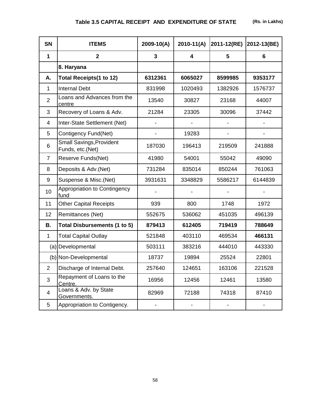| <b>SN</b>      | <b>ITEMS</b>                                        | 2009-10(A) | $2010-11(A)$ | 2011-12(RE) | 2012-13(BE) |
|----------------|-----------------------------------------------------|------------|--------------|-------------|-------------|
| $\mathbf{1}$   | $\overline{2}$                                      | 3          | 4            | 5           | 6           |
|                | 8. Haryana                                          |            |              |             |             |
| А.             | <b>Total Receipts(1 to 12)</b>                      | 6312361    | 6065027      | 8599985     | 9353177     |
| 1              | <b>Internal Debt</b>                                | 831998     | 1020493      | 1382926     | 1576737     |
| $\overline{2}$ | Loans and Advances from the<br>centre               | 13540      | 30827        | 23168       | 44007       |
| 3              | Recovery of Loans & Adv.                            | 21284      | 23305        | 30096       | 37442       |
| $\overline{4}$ | Inter-State Settlement (Net)                        |            |              |             |             |
| 5              | Contigency Fund(Net)                                |            | 19283        |             |             |
| 6              | <b>Small Savings, Provident</b><br>Funds, etc.(Net) | 187030     | 196413       | 219509      | 241888      |
| $\overline{7}$ | Reserve Funds(Net)                                  | 41980      | 54001        | 55042       | 49090       |
| 8              | Deposits & Adv.(Net)                                | 731284     | 835014       | 850244      | 761063      |
| 9              | Suspense & Misc.(Net)                               | 3931631    | 3348829      | 5586217     | 6144839     |
| 10             | Appropriation to Contingency<br>fund                |            |              |             |             |
| 11             | <b>Other Capital Receipts</b>                       | 939        | 800          | 1748        | 1972        |
| 12             | Remittances (Net)                                   | 552675     | 536062       | 451035      | 496139      |
| Β.             | <b>Total Disbursements (1 to 5)</b>                 | 879413     | 612405       | 719419      | 788649      |
| 1              | <b>Total Capital Outlay</b>                         | 521848     | 403110       | 469534      | 466131      |
|                | (a) Developmental                                   | 503111     | 383216       | 444010      | 443330      |
|                | (b) Non-Developmental                               | 18737      | 19894        | 25524       | 22801       |
| $\overline{2}$ | Discharge of Internal Debt.                         | 257640     | 124651       | 163106      | 221528      |
| 3              | Repayment of Loans to the<br>Centre.                | 16956      | 12456        | 12461       | 13580       |
| 4              | Loans & Adv. by State<br>Governments.               | 82969      | 72188        | 74318       | 87410       |
| 5              | Appropriation to Contigency.                        |            |              |             |             |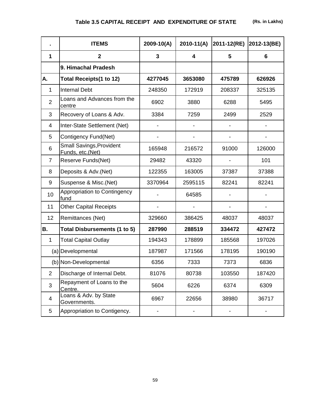# **Table 3.5 CAPITAL RECEIPT AND EXPENDITURE OF STATE (Rs. in Lakhs)**

|                 | <b>ITEMS</b>                                        | 2009-10(A) | $2010 - 11(A)$          | 2011-12(RE) | 2012-13(BE) |
|-----------------|-----------------------------------------------------|------------|-------------------------|-------------|-------------|
| 1               | $\overline{2}$                                      | 3          | $\overline{\mathbf{4}}$ | 5           | 6           |
|                 | 9. Himachal Pradesh                                 |            |                         |             |             |
| А.              | <b>Total Receipts(1 to 12)</b>                      | 4277045    | 3653080                 | 475789      | 626926      |
| 1               | <b>Internal Debt</b>                                | 248350     | 172919                  | 208337      | 325135      |
| $\overline{2}$  | Loans and Advances from the<br>centre               | 6902       | 3880                    | 6288        | 5495        |
| 3               | Recovery of Loans & Adv.                            | 3384       | 7259                    | 2499        | 2529        |
| 4               | Inter-State Settlement (Net)                        |            |                         |             |             |
| 5               | Contigency Fund(Net)                                |            |                         |             |             |
| 6               | <b>Small Savings, Provident</b><br>Funds, etc.(Net) | 165948     | 216572                  | 91000       | 126000      |
| $\overline{7}$  | Reserve Funds(Net)                                  | 29482      | 43320                   |             | 101         |
| 8               | Deposits & Adv.(Net)                                | 122355     | 163005                  | 37387       | 37388       |
| 9               | Suspense & Misc.(Net)                               | 3370964    | 2595115                 | 82241       | 82241       |
| 10              | Appropriation to Contingency<br>fund                |            | 64585                   |             |             |
| 11              | <b>Other Capital Receipts</b>                       |            |                         |             |             |
| 12 <sub>2</sub> | Remittances (Net)                                   | 329660     | 386425                  | 48037       | 48037       |
| Β.              | <b>Total Disbursements (1 to 5)</b>                 | 287990     | 288519                  | 334472      | 427472      |
| 1               | <b>Total Capital Outlay</b>                         | 194343     | 178899                  | 185568      | 197026      |
|                 | (a) Developmental                                   | 187987     | 171566                  | 178195      | 190190      |
|                 | (b) Non-Developmental                               | 6356       | 7333                    | 7373        | 6836        |
| $\overline{2}$  | Discharge of Internal Debt.                         | 81076      | 80738                   | 103550      | 187420      |
| 3               | Repayment of Loans to the<br>Centre.                | 5604       | 6226                    | 6374        | 6309        |
| 4               | Loans & Adv. by State<br>Governments.               | 6967       | 22656                   | 38980       | 36717       |
| 5               | Appropriation to Contigency.                        |            |                         |             |             |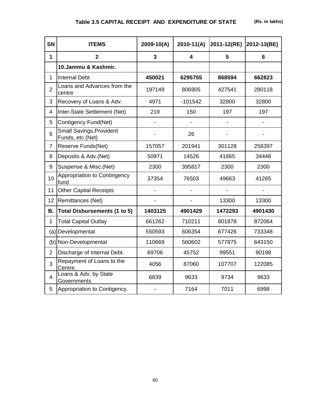| <b>SN</b>      | <b>ITEMS</b>                                        | $2009 - 10(A)$ | $2010 - 11(A)$ | 2011-12(RE)    | 2012-13(BE)    |
|----------------|-----------------------------------------------------|----------------|----------------|----------------|----------------|
| 1              | $\mathbf{2}$                                        | 3              | 4              | 5              | 6              |
|                | 10.Jammu & Kashmir.                                 |                |                |                |                |
| $\mathbf{1}$   | Internal Debt                                       | 450021         | 6295755        | 868594         | 662823         |
| $\overline{2}$ | Loans and Advances from the<br>centre               | 197149         | 806905         | 427541         | 280118         |
| 3              | Recovery of Loans & Adv.                            | 4971           | $-101542$      | 32800          | 32800          |
| 4              | Inter-State Settlement (Net)                        | 219            | 150            | 197            | 197            |
| 5              | Contigency Fund(Net)                                |                |                |                |                |
| 6              | <b>Small Savings, Provident</b><br>Funds, etc.(Net) |                | 26             |                |                |
| $\overline{7}$ | Reserve Funds(Net)                                  | 157057         | 201941         | 301128         | 258397         |
| 8              | Deposits & Adv.(Net)                                | 50971          | 14526          | 41665          | 34446          |
| 9              | Suspense & Misc.(Net)                               | 2300           | 395817         | 2300           | 2300           |
| 10             | Appropriation to Contingency<br>fund                | 37354          | 76503          | 49663          | 41265          |
| 11             | <b>Other Capital Receipts</b>                       |                |                | $\overline{a}$ | $\overline{a}$ |
| 12             | Remittances (Net)                                   |                |                | 13300          | 13300          |
| <b>B.</b>      | <b>Total Disbursements (1 to 5)</b>                 | 1403125        | 4901429        | 1472293        | 4901430        |
| $\mathbf{1}$   | <b>Total Capital Outlay</b>                         | 661262         | 710211         | 801878         | 872064         |
|                | (a) Developmental                                   | 550593         | 606354         | 677426         | 733348         |
|                | (b) Non-Developmental                               | 110669         | 560602         | 577875         | 643150         |
| $\overline{2}$ | Discharge of Internal Debt.                         | 69706          | 45752          | 99551          | 90198          |
| 3              | Repayment of Loans to the<br>Centre.                | 4056           | 87060          | 107707         | 122085         |
| $\overline{4}$ | Loans & Adv. by State<br>Governments                | 6839           | 9633           | 9734           | 9633           |
| 5              | Appropriation to Contigency.                        |                | 7164           | 7011           | 6998           |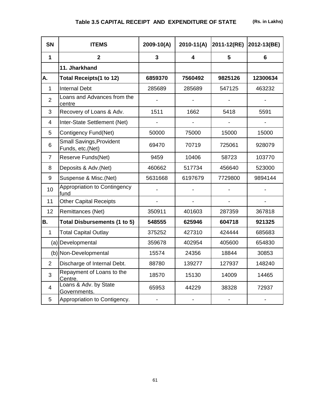# **Table 3.5 CAPITAL RECEIPT AND EXPENDITURE OF STATE (Rs. in Lakhs)**

| <b>SN</b>      | <b>ITEMS</b>                                        | 2009-10(A) | $2010-11(A)$            | 2011-12(RE) | 2012-13(BE) |
|----------------|-----------------------------------------------------|------------|-------------------------|-------------|-------------|
| $\mathbf 1$    | $\mathbf{2}$                                        | 3          | $\overline{\mathbf{4}}$ | 5           | 6           |
|                | 11. Jharkhand                                       |            |                         |             |             |
| A.             | <b>Total Receipts(1 to 12)</b>                      | 6859370    | 7560492                 | 9825126     | 12300634    |
| $\mathbf{1}$   | <b>Internal Debt</b>                                | 285689     | 285689                  | 547125      | 463232      |
| $\overline{2}$ | Loans and Advances from the<br>centre               |            |                         |             |             |
| 3              | Recovery of Loans & Adv.                            | 1511       | 1662                    | 5418        | 5591        |
| 4              | Inter-State Settlement (Net)                        |            |                         |             |             |
| 5              | Contigency Fund(Net)                                | 50000      | 75000                   | 15000       | 15000       |
| 6              | <b>Small Savings, Provident</b><br>Funds, etc.(Net) | 69470      | 70719                   | 725061      | 928079      |
| $\overline{7}$ | Reserve Funds(Net)                                  | 9459       | 10406                   | 58723       | 103770      |
| 8              | Deposits & Adv.(Net)                                | 460662     | 517734                  | 456640      | 523000      |
| 9              | Suspense & Misc.(Net)                               | 5631668    | 6197679                 | 7729800     | 9894144     |
| 10             | Appropriation to Contingency<br>fund                |            |                         |             |             |
| 11             | <b>Other Capital Receipts</b>                       |            |                         |             |             |
| 12             | Remittances (Net)                                   | 350911     | 401603                  | 287359      | 367818      |
| <b>B.</b>      | <b>Total Disbursements (1 to 5)</b>                 | 548555     | 625946                  | 604718      | 921325      |
| 1              | <b>Total Capital Outlay</b>                         | 375252     | 427310                  | 424444      | 685683      |
|                | (a) Developmental                                   | 359678     | 402954                  | 405600      | 654830      |
|                | (b) Non-Developmental                               | 15574      | 24356                   | 18844       | 30853       |
| $\overline{2}$ | Discharge of Internal Debt.                         | 88780      | 139277                  | 127937      | 148240      |
| 3              | Repayment of Loans to the<br>Centre.                | 18570      | 15130                   | 14009       | 14465       |
| 4              | Loans & Adv. by State<br>Governments.               | 65953      | 44229                   | 38328       | 72937       |
| 5              | Appropriation to Contigency.                        |            |                         |             |             |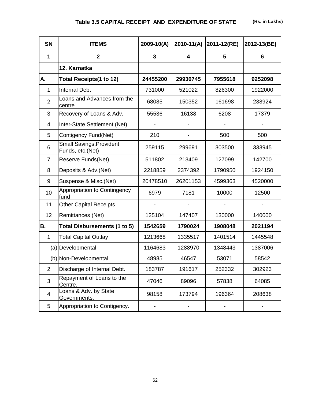| <b>SN</b>      | <b>ITEMS</b>                                 | 2009-10(A) | $2010-11(A)$ | 2011-12(RE) | 2012-13(BE) |
|----------------|----------------------------------------------|------------|--------------|-------------|-------------|
| 1              | $\overline{2}$                               | 3          | 4            | 5           | 6           |
|                | 12. Karnatka                                 |            |              |             |             |
| A.             | <b>Total Receipts(1 to 12)</b>               | 24455200   | 29930745     | 7955618     | 9252098     |
| 1              | <b>Internal Debt</b>                         | 731000     | 521022       | 826300      | 1922000     |
| $\overline{2}$ | Loans and Advances from the<br>centre        | 68085      | 150352       | 161698      | 238924      |
| 3              | Recovery of Loans & Adv.                     | 55536      | 16138        | 6208        | 17379       |
| 4              | Inter-State Settlement (Net)                 |            |              |             |             |
| 5              | Contigency Fund(Net)                         | 210        |              | 500         | 500         |
| 6              | Small Savings, Provident<br>Funds, etc.(Net) | 259115     | 299691       | 303500      | 333945      |
| $\overline{7}$ | Reserve Funds(Net)                           | 511802     | 213409       | 127099      | 142700      |
| 8              | Deposits & Adv.(Net)                         | 2218859    | 2374392      | 1790950     | 1924150     |
| 9              | Suspense & Misc.(Net)                        | 20478510   | 26201153     | 4599363     | 4520000     |
| 10             | Appropriation to Contingency<br>fund         | 6979       | 7181         | 10000       | 12500       |
| 11             | <b>Other Capital Receipts</b>                |            |              |             |             |
| 12             | Remittances (Net)                            | 125104     | 147407       | 130000      | 140000      |
| B.             | Total Disbursements (1 to 5)                 | 1542659    | 1790024      | 1908048     | 2021194     |
| $\mathbf{1}$   | <b>Total Capital Outlay</b>                  | 1213668    | 1335517      | 1401514     | 1445548     |
|                | (a) Developmental                            | 1164683    | 1288970      | 1348443     | 1387006     |
|                | (b) Non-Developmental                        | 48985      | 46547        | 53071       | 58542       |
| $\overline{2}$ | Discharge of Internal Debt.                  | 183787     | 191617       | 252332      | 302923      |
| 3              | Repayment of Loans to the<br>Centre.         | 47046      | 89096        | 57838       | 64085       |
| 4              | Loans & Adv. by State<br>Governments.        | 98158      | 173794       | 196364      | 208638      |
| 5              | Appropriation to Contigency.                 |            |              |             |             |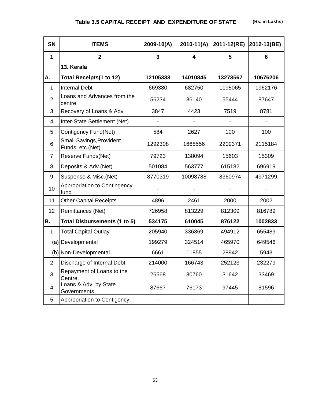| <b>SN</b>      | <b>ITEMS</b>                                        | 2009-10(A) | $2010-11(A)$            | 2011-12(RE) | 2012-13(BE) |
|----------------|-----------------------------------------------------|------------|-------------------------|-------------|-------------|
| 1              | $\overline{2}$                                      | 3          | $\overline{\mathbf{4}}$ | 5           | 6           |
|                | 13. Kerala                                          |            |                         |             |             |
| А.             | <b>Total Receipts(1 to 12)</b>                      | 12105333   | 14010845                | 13273567    | 10676206    |
| $\mathbf{1}$   | <b>Internal Debt</b>                                | 669380     | 682750                  | 1195065     | 1962176     |
| $\overline{2}$ | Loans and Advances from the<br>centre               | 56234      | 36140                   | 55444       | 87647       |
| 3              | Recovery of Loans & Adv.                            | 3847       | 4423                    | 7519        | 8781        |
| 4              | Inter-State Settlement (Net)                        |            |                         |             |             |
| 5              | Contigency Fund(Net)                                | 584        | 2627                    | 100         | 100         |
| 6              | <b>Small Savings, Provident</b><br>Funds, etc.(Net) | 1292308    | 1668556                 | 2209371     | 2115184     |
| $\overline{7}$ | Reserve Funds(Net)                                  | 79723      | 138094                  | 15603       | 15309       |
| 8              | Deposits & Adv.(Net)                                | 501084     | 563777                  | 615182      | 696919      |
| 9              | Suspense & Misc.(Net)                               | 8770319    | 10098788                | 8360974     | 4971299     |
| 10             | Appropriation to Contingency<br>fund                |            |                         |             |             |
| 11             | <b>Other Capital Receipts</b>                       | 4896       | 2461                    | 2000        | 2002        |
| 12             | Remittances (Net)                                   | 726958     | 813229                  | 812309      | 816789      |
| <b>B.</b>      | <b>Total Disbursements (1 to 5)</b>                 | 534175     | 610045                  | 876122      | 1002833     |
| $\mathbf{1}$   | <b>Total Capital Outlay</b>                         | 205940     | 336369                  | 494912      | 655489      |
|                | (a) Developmental                                   | 199279     | 324514                  | 465970      | 649546      |
|                | (b) Non-Developmental                               | 6661       | 11855                   | 28942       | 5943        |
| $\overline{2}$ | Discharge of Internal Debt.                         | 214000     | 166743                  | 252123      | 232279      |
| 3              | Repayment of Loans to the<br>Centre.                | 26568      | 30760                   | 31642       | 33469       |
| $\overline{4}$ | Loans & Adv. by State<br>Governments.               | 87667      | 76173                   | 97445       | 81596       |
| 5              | Appropriation to Contigency.                        |            |                         |             |             |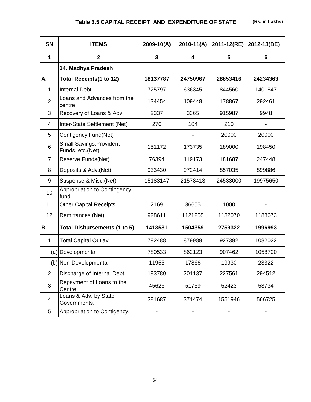| <b>SN</b>      | <b>ITEMS</b>                                        | 2009-10(A) | $2010 - 11(A)$          | 2011-12(RE) | 2012-13(BE)    |
|----------------|-----------------------------------------------------|------------|-------------------------|-------------|----------------|
| $\mathbf 1$    | $\overline{2}$                                      | 3          | $\overline{\mathbf{4}}$ | 5           | $6\phantom{1}$ |
|                | 14. Madhya Pradesh                                  |            |                         |             |                |
| А.             | <b>Total Receipts(1 to 12)</b>                      | 18137787   | 24750967                | 28853416    | 24234363       |
| 1              | <b>Internal Debt</b>                                | 725797     | 636345                  | 844560      | 1401847        |
| 2              | Loans and Advances from the<br>centre               | 134454     | 109448                  | 178867      | 292461         |
| 3              | Recovery of Loans & Adv.                            | 2337       | 3365                    | 915987      | 9948           |
| $\overline{4}$ | Inter-State Settlement (Net)                        | 276        | 164                     | 210         |                |
| 5              | Contigency Fund(Net)                                |            |                         | 20000       | 20000          |
| 6              | <b>Small Savings, Provident</b><br>Funds, etc.(Net) | 151172     | 173735                  | 189000      | 198450         |
| $\overline{7}$ | Reserve Funds(Net)                                  | 76394      | 119173                  | 181687      | 247448         |
| 8              | Deposits & Adv.(Net)                                | 933430     | 972414                  | 857035      | 899886         |
| 9              | Suspense & Misc.(Net)                               | 15183147   | 21578413                | 24533000    | 19975650       |
| 10             | Appropriation to Contingency<br>fund                |            |                         |             |                |
| 11             | <b>Other Capital Receipts</b>                       | 2169       | 36655                   | 1000        |                |
| 12             | Remittances (Net)                                   | 928611     | 1121255                 | 1132070     | 1188673        |
| <b>B.</b>      | <b>Total Disbursements (1 to 5)</b>                 | 1413581    | 1504359                 | 2759322     | 1996993        |
| 1              | <b>Total Capital Outlay</b>                         | 792488     | 879989                  | 927392      | 1082022        |
|                | (a) Developmental                                   | 780533     | 862123                  | 907462      | 1058700        |
|                | (b) Non-Developmental                               | 11955      | 17866                   | 19930       | 23322          |
| $\overline{2}$ | Discharge of Internal Debt.                         | 193780     | 201137                  | 227561      | 294512         |
| 3              | Repayment of Loans to the<br>Centre.                | 45626      | 51759                   | 52423       | 53734          |
| 4              | Loans & Adv. by State<br>Governments.               | 381687     | 371474                  | 1551946     | 566725         |
| 5              | Appropriation to Contigency.                        |            |                         |             |                |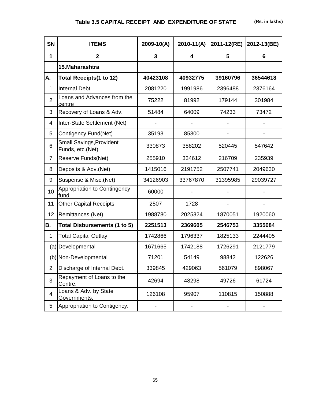| <b>SN</b>      | <b>ITEMS</b>                                        | 2009-10(A) | $2010-11(A)$ | 2011-12(RE) | 2012-13(BE) |
|----------------|-----------------------------------------------------|------------|--------------|-------------|-------------|
| 1              | $\overline{2}$                                      | 3          | 4            | 5           | 6           |
|                | 15. Maharashtra                                     |            |              |             |             |
| А.             | Total Receipts(1 to 12)                             | 40423108   | 40932775     | 39160796    | 36544618    |
| 1              | <b>Internal Debt</b>                                | 2081220    | 1991986      | 2396488     | 2376164     |
| $\overline{2}$ | Loans and Advances from the<br>centre               | 75222      | 81992        | 179144      | 301984      |
| 3              | Recovery of Loans & Adv.                            | 51484      | 64009        | 74233       | 73472       |
| 4              | Inter-State Settlement (Net)                        |            |              |             |             |
| 5              | Contigency Fund(Net)                                | 35193      | 85300        |             |             |
| 6              | <b>Small Savings, Provident</b><br>Funds, etc.(Net) | 330873     | 388202       | 520445      | 547642      |
| 7              | Reserve Funds(Net)                                  | 255910     | 334612       | 216709      | 235939      |
| 8              | Deposits & Adv.(Net)                                | 1415016    | 2191752      | 2507741     | 2049630     |
| 9              | Suspense & Misc.(Net)                               | 34126903   | 33767870     | 31395985    | 29039727    |
| 10             | Appropriation to Contingency<br>fund                | 60000      |              |             |             |
| 11             | <b>Other Capital Receipts</b>                       | 2507       | 1728         |             |             |
| 12             | Remittances (Net)                                   | 1988780    | 2025324      | 1870051     | 1920060     |
| В.             | Total Disbursements (1 to 5)                        | 2251513    | 2369605      | 2546753     | 3355084     |
| $\mathbf{1}$   | <b>Total Capital Outlay</b>                         | 1742866    | 1796337      | 1825133     | 2244405     |
|                | (a) Developmental                                   | 1671665    | 1742188      | 1726291     | 2121779     |
|                | (b) Non-Developmental                               | 71201      | 54149        | 98842       | 122626      |
| $\overline{2}$ | Discharge of Internal Debt.                         | 339845     | 429063       | 561079      | 898067      |
| 3              | Repayment of Loans to the<br>Centre.                | 42694      | 48298        | 49726       | 61724       |
| 4              | Loans & Adv. by State<br>Governments.               | 126108     | 95907        | 110815      | 150888      |
| 5              | Appropriation to Contigency.                        |            |              |             |             |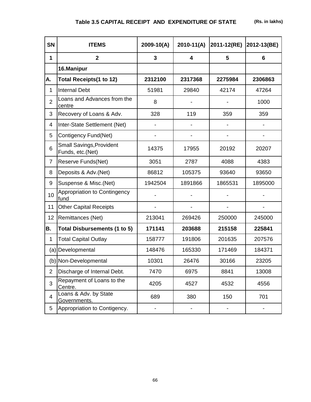| <b>SN</b>      | <b>ITEMS</b>                                        | 2009-10(A)               | $2010-11(A)$            | 2011-12(RE)    | 2012-13(BE) |
|----------------|-----------------------------------------------------|--------------------------|-------------------------|----------------|-------------|
| 1              | $\overline{2}$                                      | $\overline{3}$           | $\overline{\mathbf{4}}$ | 5              | 6           |
|                | 16.Manipur                                          |                          |                         |                |             |
| А.             | <b>Total Receipts(1 to 12)</b>                      | 2312100                  | 2317368                 | 2275984        | 2306863     |
| 1              | <b>Internal Debt</b>                                | 51981                    | 29840                   | 42174          | 47264       |
| $\overline{2}$ | Loans and Advances from the<br>centre               | 8                        |                         |                | 1000        |
| 3              | Recovery of Loans & Adv.                            | 328                      | 119                     | 359            | 359         |
| 4              | Inter-State Settlement (Net)                        |                          |                         |                |             |
| 5              | Contigency Fund(Net)                                |                          |                         | $\blacksquare$ |             |
| 6              | <b>Small Savings, Provident</b><br>Funds, etc.(Net) | 14375                    | 17955                   | 20192          | 20207       |
| $\overline{7}$ | Reserve Funds(Net)                                  | 3051                     | 2787                    | 4088           | 4383        |
| 8              | Deposits & Adv.(Net)                                | 86812                    | 105375                  | 93640          | 93650       |
| 9              | Suspense & Misc.(Net)                               | 1942504                  | 1891866                 | 1865531        | 1895000     |
| 10             | Appropriation to Contingency<br>fund                |                          |                         |                |             |
| 11             | <b>Other Capital Receipts</b>                       | $\overline{\phantom{0}}$ |                         |                | -           |
| 12             | Remittances (Net)                                   | 213041                   | 269426                  | 250000         | 245000      |
| В.             | Total Disbursements (1 to 5)                        | 171141                   | 203688                  | 215158         | 225841      |
| 1              | <b>Total Capital Outlay</b>                         | 158777                   | 191806                  | 201635         | 207576      |
|                | (a) Developmental                                   | 148476                   | 165330                  | 171469         | 184371      |
|                | (b) Non-Developmental                               | 10301                    | 26476                   | 30166          | 23205       |
| $\overline{2}$ | Discharge of Internal Debt.                         | 7470                     | 6975                    | 8841           | 13008       |
| 3              | Repayment of Loans to the<br>Centre.                | 4205                     | 4527                    | 4532           | 4556        |
| 4              | Loans & Adv. by State<br>Governments.               | 689                      | 380                     | 150            | 701         |
| 5              | Appropriation to Contigency.                        |                          | -                       |                |             |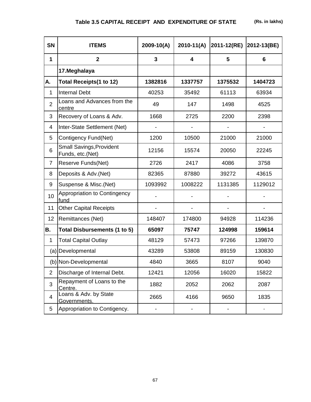**SN ITEMS 2009-10(A) 2010-11(A) 2011-12(RE) 2012-13(BE) 1 2 3 4 5 6 17.Meghalaya A. Total Receipts(1 to 12) 1382816 1337757 1375532 1404723** 1 | Internal Debt | 40253 | 35492 | 61113 | 63934  $\mathfrak{D}$ Loans and Advances from the centre 49 147 1498 4525 3 Recovery of Loans & Adv. | 1668 | 2725 | 2200 | 2398 4 Inter-State Settlement (Net) | - | - | - | -5 Contigency Fund(Net) 1200 10500 21000 21000 6 Small Savings,Provident Sinali Savings, Frovident († 12156 15574 | 20050 | 22245 7 Reserve Funds(Net) 2726 2417 4086 3758 8 Deposits & Adv.(Net) 82365 87880 39272 43615 9 Suspense & Misc.(Net) | 1093992 | 1008222 | 1131385 | 1129012 10 Appropriation to Contingency<br>fund Appropriation to Contingency<br>fund the set of the set of the set of the set of the set of the set of the set of the set of the set of the set 11 Other Capital Receipts | - | - | - | -12 Remittances (Net) 148407 174800 94928 114236 **B. Total Disbursements (1 to 5) 65097 75747 124998 159614** 1 | Total Capital Outlay | 48129 | 57473 | 97266 | 139870 (a) Developmental (a) 23289 | 53808 | 89159 | 130830 (b) Non-Developmental | 4840 | 3665 | 8107 | 9040 2 Discharge of Internal Debt. | 12421 | 12056 | 16020 | 15822 3 Repayment of Loans to the Repayment of Ebans to the 1882 2052 2062 2087 4 Loans & Adv. by State Ebaris & Adv. by State 2665 2665 4166 9650 1835 5 Appropriation to Contigency.  $\begin{vmatrix} 1 & 1 & 1 \\ 1 & -1 & 1 \\ 1 & -1 & 1 \end{vmatrix}$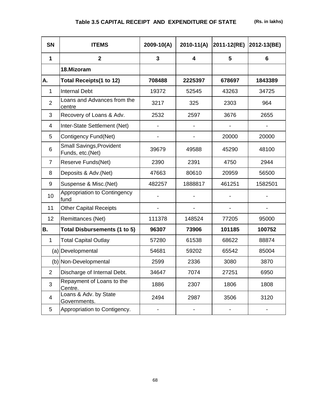| <b>SN</b>      | <b>ITEMS</b>                                        | $2009 - 10(A)$               | $2010-11(A)$             | 2011-12(RE)              | 2012-13(BE) |
|----------------|-----------------------------------------------------|------------------------------|--------------------------|--------------------------|-------------|
| 1              | $\overline{2}$                                      | 3                            | 4                        | 5                        | 6           |
|                | 18.Mizoram                                          |                              |                          |                          |             |
| А.             | Total Receipts(1 to 12)                             | 708488                       | 2225397                  | 678697                   | 1843389     |
| 1              | <b>Internal Debt</b>                                | 19372                        | 52545                    | 43263                    | 34725       |
| $\overline{2}$ | Loans and Advances from the<br>centre               | 3217                         | 325                      | 2303                     | 964         |
| 3              | Recovery of Loans & Adv.                            | 2532                         | 2597                     | 3676                     | 2655        |
| 4              | Inter-State Settlement (Net)                        |                              |                          |                          |             |
| 5              | Contigency Fund(Net)                                |                              |                          | 20000                    | 20000       |
| 6              | <b>Small Savings, Provident</b><br>Funds, etc.(Net) | 39679                        | 49588                    | 45290                    | 48100       |
| $\overline{7}$ | Reserve Funds(Net)                                  | 2390                         | 2391                     | 4750                     | 2944        |
| 8              | Deposits & Adv.(Net)                                | 47663                        | 80610                    | 20959                    | 56500       |
| 9              | Suspense & Misc.(Net)                               | 482257                       | 1888817                  | 461251                   | 1582501     |
| 10             | Appropriation to Contingency<br>fund                |                              |                          |                          |             |
| 11             | <b>Other Capital Receipts</b>                       | $\qquad \qquad \blacksquare$ | $\overline{\phantom{a}}$ | $\overline{\phantom{a}}$ |             |
| 12             | Remittances (Net)                                   | 111378                       | 148524                   | 77205                    | 95000       |
| <b>B.</b>      | Total Disbursements (1 to 5)                        | 96307                        | 73906                    | 101185                   | 100752      |
| 1              | <b>Total Capital Outlay</b>                         | 57280                        | 61538                    | 68622                    | 88874       |
|                | (a) Developmental                                   | 54681                        | 59202                    | 65542                    | 85004       |
|                | (b) Non-Developmental                               | 2599                         | 2336                     | 3080                     | 3870        |
| $\overline{2}$ | Discharge of Internal Debt.                         | 34647                        | 7074                     | 27251                    | 6950        |
| 3              | Repayment of Loans to the<br>Centre.                | 1886                         | 2307                     | 1806                     | 1808        |
| $\overline{4}$ | Loans & Adv. by State<br>Governments.               | 2494                         | 2987                     | 3506                     | 3120        |
| 5              | Appropriation to Contigency.                        |                              |                          |                          |             |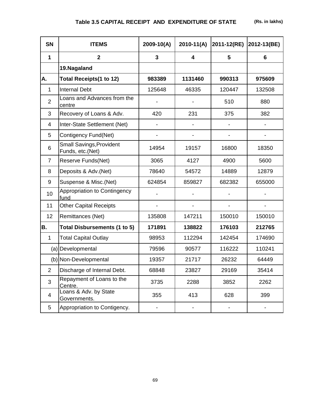| <b>SN</b>      | <b>ITEMS</b>                                        | $2009 - 10(A)$ | $2010-11(A)$            | 2011-12(RE) | 2012-13(BE) |
|----------------|-----------------------------------------------------|----------------|-------------------------|-------------|-------------|
| $\mathbf 1$    | $\overline{2}$                                      | 3              | $\overline{\mathbf{4}}$ | 5           | 6           |
|                | 19. Nagaland                                        |                |                         |             |             |
| А.             | <b>Total Receipts(1 to 12)</b>                      | 983389         | 1131460                 | 990313      | 975609      |
| 1              | <b>Internal Debt</b>                                | 125648         | 46335                   | 120447      | 132508      |
| $\overline{2}$ | Loans and Advances from the<br>centre               |                |                         | 510         | 880         |
| 3              | Recovery of Loans & Adv.                            | 420            | 231                     | 375         | 382         |
| $\overline{4}$ | Inter-State Settlement (Net)                        |                |                         |             |             |
| 5              | Contigency Fund(Net)                                |                |                         |             |             |
| 6              | <b>Small Savings, Provident</b><br>Funds, etc.(Net) | 14954          | 19157                   | 16800       | 18350       |
| $\overline{7}$ | Reserve Funds(Net)                                  | 3065           | 4127                    | 4900        | 5600        |
| 8              | Deposits & Adv. (Net)                               | 78640          | 54572                   | 14889       | 12879       |
| 9              | Suspense & Misc.(Net)                               | 624854         | 859827                  | 682382      | 655000      |
| 10             | Appropriation to Contingency<br>fund                |                |                         |             |             |
| 11             | <b>Other Capital Receipts</b>                       |                |                         |             |             |
| 12             | Remittances (Net)                                   | 135808         | 147211                  | 150010      | 150010      |
| <b>B.</b>      | Total Disbursements (1 to 5)                        | 171891         | 138822                  | 176103      | 212765      |
| $\mathbf{1}$   | <b>Total Capital Outlay</b>                         | 98953          | 112294                  | 142454      | 174690      |
|                | (a) Developmental                                   | 79596          | 90577                   | 116222      | 110241      |
|                | (b) Non-Developmental                               | 19357          | 21717                   | 26232       | 64449       |
| $\overline{2}$ | Discharge of Internal Debt.                         | 68848          | 23827                   | 29169       | 35414       |
| 3              | Repayment of Loans to the<br>Centre.                | 3735           | 2288                    | 3852        | 2262        |
| 4              | Loans & Adv. by State<br>Governments.               | 355            | 413                     | 628         | 399         |
| 5              | Appropriation to Contigency.                        |                |                         |             |             |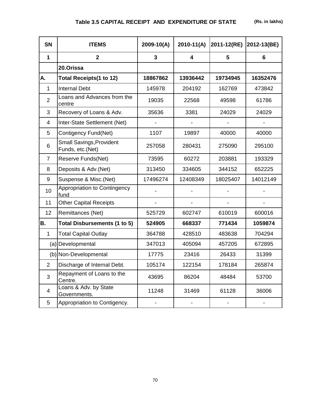| <b>SN</b>      | <b>ITEMS</b>                                        | 2009-10(A) | $2010-11(A)$            | 2011-12(RE) | 2012-13(BE) |
|----------------|-----------------------------------------------------|------------|-------------------------|-------------|-------------|
| 1              | $\overline{2}$                                      | 3          | $\overline{\mathbf{4}}$ | 5           | 6           |
|                | 20.Orissa                                           |            |                         |             |             |
| <b>A.</b>      | Total Receipts(1 to 12)                             | 18867862   | 13936442                | 19734945    | 16352476    |
| $\mathbf{1}$   | <b>Internal Debt</b>                                | 145978     | 204192                  | 162769      | 473842      |
| $\overline{2}$ | Loans and Advances from the<br>centre               | 19035      | 22568                   | 49598       | 61786       |
| 3              | Recovery of Loans & Adv.                            | 35636      | 3381                    | 24029       | 24029       |
| 4              | Inter-State Settlement (Net)                        |            |                         |             |             |
| 5              | Contigency Fund(Net)                                | 1107       | 19897                   | 40000       | 40000       |
| 6              | <b>Small Savings, Provident</b><br>Funds, etc.(Net) | 257058     | 280431                  | 275090      | 295100      |
| 7              | Reserve Funds(Net)                                  | 73595      | 60272                   | 203881      | 193329      |
| 8              | Deposits & Adv.(Net)                                | 313450     | 334605                  | 344152      | 652225      |
| 9              | Suspense & Misc.(Net)                               | 17496274   | 12408349                | 18025407    | 14012149    |
| 10             | Appropriation to Contingency<br>fund                |            |                         |             |             |
| 11             | <b>Other Capital Receipts</b>                       |            |                         |             |             |
| 12             | Remittances (Net)                                   | 525729     | 602747                  | 610019      | 600016      |
| <b>B.</b>      | Total Disbursements (1 to 5)                        | 524905     | 668337                  | 771434      | 1059874     |
| 1              | <b>Total Capital Outlay</b>                         | 364788     | 428510                  | 483638      | 704294      |
|                | (a) Developmental                                   | 347013     | 405094                  | 457205      | 672895      |
|                | (b) Non-Developmental                               | 17775      | 23416                   | 26433       | 31399       |
| 2              | Discharge of Internal Debt.                         | 105174     | 122154                  | 178184      | 265874      |
| 3              | Repayment of Loans to the<br>Centre.                | 43695      | 86204                   | 48484       | 53700       |
| $\overline{4}$ | Loans & Adv. by State<br>Governments.               | 11248      | 31469                   | 61128       | 36006       |
| 5              | Appropriation to Contigency.                        |            |                         |             | -           |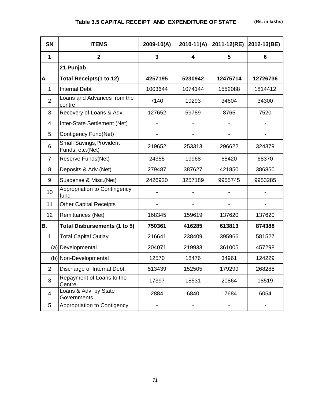| <b>SN</b>      | <b>ITEMS</b>                                        | $2009 - 10(A)$ | $2010-11(A)$ | 2011-12(RE) | 2012-13(BE)              |
|----------------|-----------------------------------------------------|----------------|--------------|-------------|--------------------------|
| 1              | $\overline{2}$                                      | 3              | 4            | 5           | 6                        |
|                | 21.Punjab                                           |                |              |             |                          |
| <b>A.</b>      | <b>Total Receipts(1 to 12)</b>                      | 4257195        | 5230942      | 12475714    | 12726736                 |
| 1              | <b>Internal Debt</b>                                | 1003644        | 1074144      | 1552088     | 1814412                  |
| $\overline{2}$ | Loans and Advances from the<br>centre               | 7140           | 19293        | 34604       | 34300                    |
| 3              | Recovery of Loans & Adv.                            | 127652         | 59789        | 8765        | 7520                     |
| 4              | Inter-State Settlement (Net)                        |                |              |             | $\overline{\phantom{a}}$ |
| 5              | Contigency Fund(Net)                                |                |              |             |                          |
| 6              | <b>Small Savings, Provident</b><br>Funds, etc.(Net) | 219652         | 253313       | 296622      | 324379                   |
| 7              | Reserve Funds(Net)                                  | 24355          | 19968        | 68420       | 68370                    |
| 8              | Deposits & Adv.(Net)                                | 279487         | 387627       | 421850      | 386850                   |
| 9              | Suspense & Misc.(Net)                               | 2426920        | 3257189      | 9955745     | 9953285                  |
| 10             | Appropriation to Contingency<br>fund                |                |              |             |                          |
| 11             | <b>Other Capital Receipts</b>                       |                |              |             |                          |
| 12             | Remittances (Net)                                   | 168345         | 159619       | 137620      | 137620                   |
| B.             | <b>Total Disbursements (1 to 5)</b>                 | 750361         | 416285       | 613813      | 874388                   |
| $\mathbf{1}$   | <b>Total Capital Outlay</b>                         | 216641         | 238409       | 395966      | 581527                   |
|                | (a) Developmental                                   | 204071         | 219933       | 361005      | 457298                   |
|                | (b) Non-Developmental                               | 12570          | 18476        | 34961       | 124229                   |
| $\overline{2}$ | Discharge of Internal Debt.                         | 513439         | 152505       | 179299      | 268288                   |
| 3              | Repayment of Loans to the<br>Centre.                | 17397          | 18531        | 20864       | 18519                    |
| 4              | Loans & Adv. by State<br>Governments.               | 2884           | 6840         | 17684       | 6054                     |
| 5              | Appropriation to Contigency.                        |                |              |             |                          |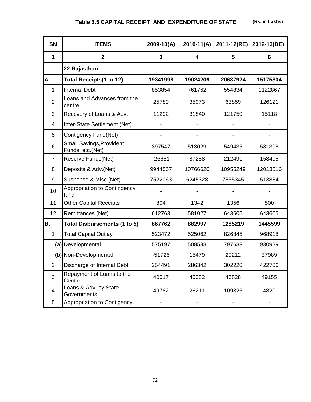| <b>SN</b>      | <b>ITEMS</b>                                        | 2009-10(A) | $2010-11(A)$            | 2011-12(RE) | 2012-13(BE)              |
|----------------|-----------------------------------------------------|------------|-------------------------|-------------|--------------------------|
| 1              | $\overline{2}$                                      | 3          | $\overline{\mathbf{4}}$ | 5           | 6                        |
|                | 22.Rajasthan                                        |            |                         |             |                          |
| <b>A.</b>      | Total Receipts(1 to 12)                             | 19341998   | 19024209                | 20637924    | 15175804                 |
| 1              | <b>Internal Debt</b>                                | 853854     | 761762                  | 554834      | 1122867                  |
| $\overline{2}$ | Loans and Advances from the<br>centre               | 25789      | 35973                   | 63859       | 126121                   |
| 3              | Recovery of Loans & Adv.                            | 11202      | 31840                   | 121750      | 15118                    |
| 4              | Inter-State Settlement (Net)                        |            |                         |             |                          |
| 5              | Contigency Fund(Net)                                |            |                         |             |                          |
| 6              | <b>Small Savings, Provident</b><br>Funds, etc.(Net) | 397547     | 513029                  | 549435      | 581398                   |
| $\overline{7}$ | Reserve Funds(Net)                                  | $-26681$   | 87288                   | 212491      | 158495                   |
| 8              | Deposits & Adv. (Net)                               | 9944567    | 10766620                | 10955249    | 12013516                 |
| 9              | Suspense & Misc.(Net)                               | 7522063    | 6245328                 | 7535345     | 513884                   |
| 10             | Appropriation to Contingency<br>fund                |            |                         |             |                          |
| 11             | <b>Other Capital Receipts</b>                       | 894        | 1342                    | 1356        | 800                      |
| 12             | Remittances (Net)                                   | 612763     | 581027                  | 643605      | 643605                   |
| <b>B.</b>      | Total Disbursements (1 to 5)                        | 867762     | 882997                  | 1285219     | 1445599                  |
| $\mathbf 1$    | <b>Total Capital Outlay</b>                         | 523472     | 525062                  | 826845      | 968918                   |
|                | (a) Developmental                                   | 575197     | 509583                  | 797633      | 930929                   |
|                | (b) Non-Developmental                               | $-51725$   | 15479                   | 29212       | 37989                    |
| $\overline{2}$ | Discharge of Internal Debt.                         | 254491     | 286342                  | 302220      | 422706                   |
| 3              | Repayment of Loans to the<br>Centre.                | 40017      | 45382                   | 46828       | 49155                    |
| $\overline{4}$ | Loans & Adv. by State<br>Governments.               | 49782      | 26211                   | 109326      | 4820                     |
| 5              | Appropriation to Contigency.                        |            | -                       |             | $\overline{\phantom{0}}$ |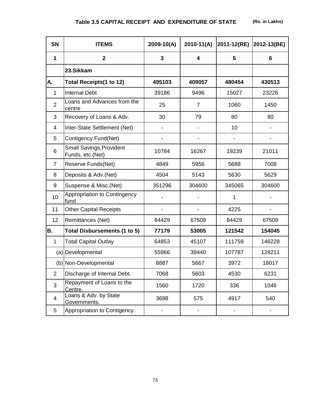| <b>SN</b>      | <b>ITEMS</b>                                        | 2009-10(A) | $2010 - 11(A)$           | 2011-12(RE) | 2012-13(BE)              |
|----------------|-----------------------------------------------------|------------|--------------------------|-------------|--------------------------|
| $\mathbf 1$    | $\mathbf{2}$                                        | 3          | 4                        | 5           | 6                        |
|                | 23.Sikkam                                           |            |                          |             |                          |
| А.             | Total Receipts(1 to 12)                             | 495103     | 409057                   | 480454      | 430513                   |
| $\mathbf{1}$   | <b>Internal Debt</b>                                | 39186      | 9496                     | 15027       | 23226                    |
| $\overline{2}$ | Loans and Advances from the<br>centre               | 25         | $\overline{7}$           | 1060        | 1450                     |
| 3              | Recovery of Loans & Adv.                            | 30         | 79                       | 80          | 80                       |
| 4              | Inter-State Settlement (Net)                        |            | $\overline{\phantom{0}}$ | 10          | $\overline{\phantom{0}}$ |
| 5              | Contigency Fund(Net)                                |            |                          |             |                          |
| 6              | <b>Small Savings, Provident</b><br>Funds, etc.(Net) | 10784      | 16267                    | 19239       | 21011                    |
| $\overline{7}$ | Reserve Funds(Net)                                  | 4849       | 5956                     | 5688        | 7008                     |
| 8              | Deposits & Adv.(Net)                                | 4504       | 5143                     | 5630        | 5629                     |
| 9              | Suspense & Misc.(Net)                               | 351296     | 304600                   | 345065      | 304600                   |
| 10             | Appropriation to Contingency<br>fund                |            |                          | 1           |                          |
| 11             | <b>Other Capital Receipts</b>                       |            |                          | 4225        |                          |
| 12             | Remittances (Net)                                   | 84429      | 67509                    | 84429       | 67509                    |
| В.             | <b>Total Disbursements (1 to 5)</b>                 | 77179      | 53005                    | 121542      | 154045                   |
| $\mathbf{1}$   | <b>Total Capital Outlay</b>                         | 64853      | 45107                    | 111759      | 146228                   |
|                | (a) Developmental                                   | 55966      | 39440                    | 107787      | 128211                   |
|                | (b) Non-Developmental                               | 8887       | 5667                     | 3972        | 18017                    |
| $\overline{2}$ | Discharge of Internal Debt.                         | 7068       | 5603                     | 4530        | 6231                     |
| 3              | Repayment of Loans to the<br>Centre.                | 1560       | 1720                     | 336         | 1046                     |
| 4              | Loans & Adv. by State<br>Governments.               | 3698       | 575                      | 4917        | 540                      |
| 5              | Appropriation to Contigency.                        |            |                          |             |                          |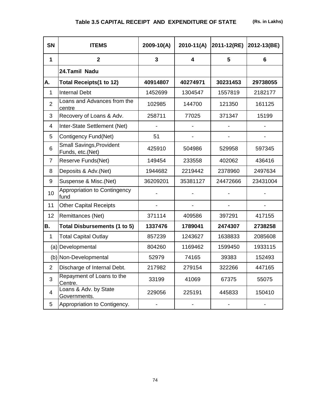| <b>SN</b>               | <b>ITEMS</b>                                        | 2009-10(A) | $2010-11(A)$ | 2011-12(RE) | 2012-13(BE) |
|-------------------------|-----------------------------------------------------|------------|--------------|-------------|-------------|
| 1                       | $\overline{2}$                                      | 3          | 4            | 5           | 6           |
|                         | 24.Tamil Nadu                                       |            |              |             |             |
| А.                      | <b>Total Receipts(1 to 12)</b>                      | 40914807   | 40274971     | 30231453    | 29738055    |
| 1                       | <b>Internal Debt</b>                                | 1452699    | 1304547      | 1557819     | 2182177     |
| $\overline{2}$          | Loans and Advances from the<br>centre               | 102985     | 144700       | 121350      | 161125      |
| 3                       | Recovery of Loans & Adv.                            | 258711     | 77025        | 371347      | 15199       |
| 4                       | Inter-State Settlement (Net)                        |            |              |             |             |
| 5                       | Contigency Fund(Net)                                | 51         |              |             |             |
| 6                       | <b>Small Savings, Provident</b><br>Funds, etc.(Net) | 425910     | 504986       | 529958      | 597345      |
| $\overline{7}$          | Reserve Funds(Net)                                  | 149454     | 233558       | 402062      | 436416      |
| 8                       | Deposits & Adv.(Net)                                | 1944682    | 2219442      | 2378960     | 2497634     |
| 9                       | Suspense & Misc.(Net)                               | 36209201   | 35381127     | 24472666    | 23431004    |
| 10                      | Appropriation to Contingency<br>fund                |            |              |             |             |
| 11                      | <b>Other Capital Receipts</b>                       |            |              |             |             |
| 12                      | Remittances (Net)                                   | 371114     | 409586       | 397291      | 417155      |
| B.                      | Total Disbursements (1 to 5)                        | 1337476    | 1789041      | 2474307     | 2738258     |
| $\mathbf{1}$            | <b>Total Capital Outlay</b>                         | 857239     | 1243627      | 1638833     | 2085608     |
|                         | (a) Developmental                                   | 804260     | 1169462      | 1599450     | 1933115     |
|                         | (b) Non-Developmental                               | 52979      | 74165        | 39383       | 152493      |
| $\overline{2}$          | Discharge of Internal Debt.                         | 217982     | 279154       | 322266      | 447165      |
| 3                       | Repayment of Loans to the<br>Centre.                | 33199      | 41069        | 67375       | 55075       |
| $\overline{\mathbf{4}}$ | Loans & Adv. by State<br>Governments.               | 229056     | 225191       | 445833      | 150410      |
| 5                       | Appropriation to Contigency.                        |            |              |             |             |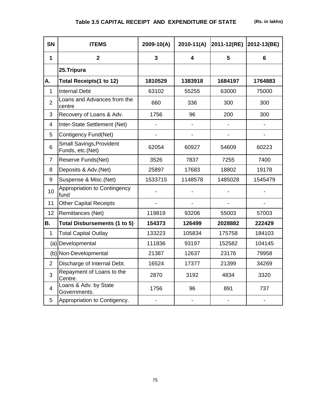| SN             | <b>ITEMS</b>                                        | $2009 - 10(A)$           | $2010 - 11(A)$               | 2011-12(RE) | 2012-13(BE)                  |
|----------------|-----------------------------------------------------|--------------------------|------------------------------|-------------|------------------------------|
| 1              | $\overline{2}$                                      | 3                        | 4                            | 5           | 6                            |
|                | 25.Tripura                                          |                          |                              |             |                              |
| А.             | Total Receipts(1 to 12)                             | 1810529                  | 1383918                      | 1684197     | 1764883                      |
| 1              | <b>Internal Debt</b>                                | 63102                    | 55255                        | 63000       | 75000                        |
| $\overline{2}$ | Loans and Advances from the<br>centre               | 660                      | 336                          | 300         | 300                          |
| 3              | Recovery of Loans & Adv.                            | 1756                     | 96                           | 200         | 300                          |
| 4              | Inter-State Settlement (Net)                        |                          |                              |             |                              |
| 5              | Contigency Fund(Net)                                | $\overline{\phantom{a}}$ | $\qquad \qquad \blacksquare$ |             | $\qquad \qquad \blacksquare$ |
| 6              | <b>Small Savings, Provident</b><br>Funds, etc.(Net) | 62054                    | 60927                        | 54609       | 60223                        |
| $\overline{7}$ | Reserve Funds(Net)                                  | 3526                     | 7837                         | 7255        | 7400                         |
| 8              | Deposits & Adv.(Net)                                | 25897                    | 17683                        | 18802       | 19178                        |
| 9              | Suspense & Misc.(Net)                               | 1533715                  | 1148578                      | 1485028     | 1545479                      |
| 10             | Appropriation to Contingency<br>fund                |                          |                              |             |                              |
| 11             | <b>Other Capital Receipts</b>                       |                          |                              |             |                              |
| 12             | Remittances (Net)                                   | 119819                   | 93206                        | 55003       | 57003                        |
| <b>B.</b>      | <b>Total Disbursements (1 to 5)</b>                 | 154373                   | 126499                       | 2028882     | 222429                       |
| 1              | <b>Total Capital Outlay</b>                         | 133223                   | 105834                       | 175758      | 184103                       |
|                | (a) Developmental                                   | 111836                   | 93197                        | 152582      | 104145                       |
|                | (b) Non-Developmental                               | 21387                    | 12637                        | 23176       | 79958                        |
| $\overline{2}$ | Discharge of Internal Debt.                         | 16524                    | 17377                        | 21399       | 34269                        |
| 3              | Repayment of Loans to the<br>Centre.                | 2870                     | 3192                         | 4834        | 3320                         |
| $\overline{4}$ | Loans & Adv. by State<br>Governments.               | 1756                     | 96                           | 891         | 737                          |
| 5              | Appropriation to Contigency.                        |                          |                              |             |                              |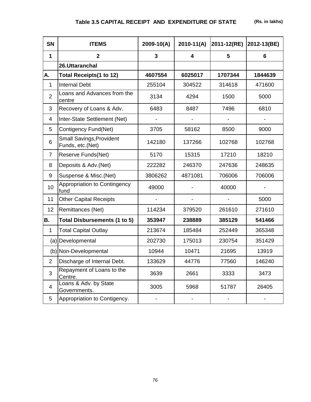| <b>SN</b>      | <b>ITEMS</b>                                        | $2009 - 10(A)$          | $2010-11(A)$ | 2011-12(RE) | 2012-13(BE) |
|----------------|-----------------------------------------------------|-------------------------|--------------|-------------|-------------|
| $\mathbf{1}$   | $\mathbf{2}$                                        | $\overline{\mathbf{3}}$ | 4            | 5           | 6           |
|                | 26.Uttaranchal                                      |                         |              |             |             |
| А.             | Total Receipts(1 to 12)                             | 4607554                 | 6025017      | 1707344     | 1844639     |
| 1              | <b>Internal Debt</b>                                | 255104                  | 304522       | 314618      | 471600      |
| $\overline{2}$ | Loans and Advances from the<br>centre               | 3134                    | 4294         | 1500        | 5000        |
| 3              | Recovery of Loans & Adv.                            | 6483                    | 8487         | 7496        | 6810        |
| 4              | Inter-State Settlement (Net)                        |                         |              |             |             |
| 5              | Contigency Fund(Net)                                | 3705                    | 58162        | 8500        | 9000        |
| 6              | <b>Small Savings, Provident</b><br>Funds, etc.(Net) | 142180                  | 137266       | 102768      | 102768      |
| $\overline{7}$ | Reserve Funds(Net)                                  | 5170                    | 15315        | 17210       | 18210       |
| 8              | Deposits & Adv.(Net)                                | 222282                  | 246370       | 247636      | 248635      |
| 9              | Suspense & Misc.(Net)                               | 3806262                 | 4871081      | 706006      | 706006      |
| 10             | Appropriation to Contingency<br>fund                | 49000                   |              | 40000       |             |
| 11             | <b>Other Capital Receipts</b>                       |                         |              |             | 5000        |
| 12             | Remittances (Net)                                   | 114234                  | 379520       | 261610      | 271610      |
| <b>B.</b>      | Total Disbursements (1 to 5)                        | 353947                  | 238889       | 385129      | 541466      |
| 1              | <b>Total Capital Outlay</b>                         | 213674                  | 185484       | 252449      | 365348      |
|                | (a) Developmental                                   | 202730                  | 175013       | 230754      | 351429      |
|                | (b) Non-Developmental                               | 10944                   | 10471        | 21695       | 13919       |
| $\overline{2}$ | Discharge of Internal Debt.                         | 133629                  | 44776        | 77560       | 146240      |
| 3              | Repayment of Loans to the<br>Centre.                | 3639                    | 2661         | 3333        | 3473        |
| 4              | Loans & Adv. by State<br>Governments.               | 3005                    | 5968         | 51787       | 26405       |
| 5              | Appropriation to Contigency.                        |                         |              |             |             |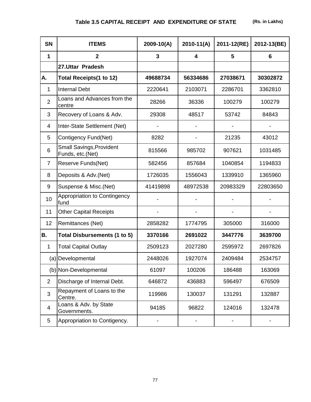| <b>SN</b>      | <b>ITEMS</b>                                        | 2009-10(A)     | $2010 - 11(A)$          | 2011-12(RE) | 2012-13(BE) |
|----------------|-----------------------------------------------------|----------------|-------------------------|-------------|-------------|
| $\mathbf 1$    | $\overline{2}$                                      | $\overline{3}$ | $\overline{\mathbf{4}}$ | 5           | 6           |
|                | 27.Uttar Pradesh                                    |                |                         |             |             |
| А.             | <b>Total Receipts(1 to 12)</b>                      | 49688734       | 56334686                | 27038671    | 30302872    |
| 1              | <b>Internal Debt</b>                                | 2220641        | 2103071                 | 2286701     | 3362810     |
| $\overline{2}$ | Loans and Advances from the<br>centre               | 28266          | 36336                   | 100279      | 100279      |
| 3              | Recovery of Loans & Adv.                            | 29308          | 48517                   | 53742       | 84843       |
| 4              | Inter-State Settlement (Net)                        |                |                         |             |             |
| 5              | Contigency Fund(Net)                                | 8282           |                         | 21235       | 43012       |
| 6              | <b>Small Savings, Provident</b><br>Funds, etc.(Net) | 815566         | 985702                  | 907621      | 1031485     |
| $\overline{7}$ | Reserve Funds(Net)                                  | 582456         | 857684                  | 1040854     | 1194833     |
| 8              | Deposits & Adv.(Net)                                | 1726035        | 1556043<br>1339910      |             | 1365960     |
| 9              | Suspense & Misc.(Net)                               | 41419898       | 48972538                | 20983329    | 22803650    |
| 10             | Appropriation to Contingency<br>fund                |                |                         |             |             |
| 11             | <b>Other Capital Receipts</b>                       |                |                         |             |             |
| 12             | Remittances (Net)                                   | 2858282        | 1774795                 | 305000      | 316000      |
| <b>B.</b>      | <b>Total Disbursements (1 to 5)</b>                 | 3370166        | 2691022                 | 3447776     | 3639700     |
| $\mathbf{1}$   | <b>Total Capital Outlay</b>                         | 2509123        | 2027280                 | 2595972     | 2697826     |
|                | (a) Developmental                                   | 2448026        | 1927074                 | 2409484     | 2534757     |
|                | (b) Non-Developmental                               | 61097          | 100206                  | 186488      | 163069      |
| $\overline{2}$ | Discharge of Internal Debt.                         | 646872         | 436883                  | 596497      | 676509      |
| 3              | Repayment of Loans to the<br>Centre.                | 119986         | 130037                  | 131291      | 132887      |
| 4              | Loans & Adv. by State<br>Governments.               | 94185          | 96822                   | 124016      | 132478      |
| 5              | Appropriation to Contigency.                        |                |                         |             |             |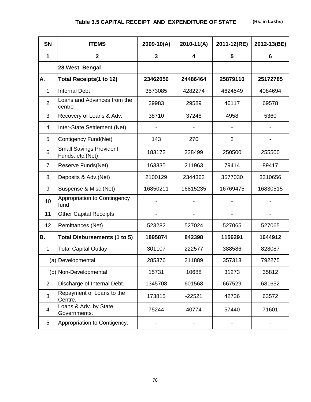| <b>SN</b>      | <b>ITEMS</b>                                        | $2009-10(A)$                     | $2010 - 11(A)$ | 2011-12(RE)    | 2012-13(BE) |
|----------------|-----------------------------------------------------|----------------------------------|----------------|----------------|-------------|
| 1              | $\overline{2}$                                      | $\overline{3}$                   | 4              | 5              | 6           |
|                | 28. West Bengal                                     |                                  |                |                |             |
| А.             | <b>Total Receipts(1 to 12)</b>                      | 23462050                         | 24486464       | 25879110       | 25172785    |
| 1              | <b>Internal Debt</b>                                | 3573085                          | 4282274        | 4624549        | 4084694     |
| $\overline{2}$ | Loans and Advances from the<br>centre               | 29983                            | 29589          | 46117          | 69578       |
| 3              | Recovery of Loans & Adv.                            | 38710                            | 37248          | 4958           | 5360        |
| 4              | Inter-State Settlement (Net)                        |                                  |                |                |             |
| 5              | Contigency Fund(Net)                                | 143                              | 270            | $\overline{2}$ |             |
| 6              | <b>Small Savings, Provident</b><br>Funds, etc.(Net) | 183172                           | 238499         | 250500         | 255500      |
| $\overline{7}$ | Reserve Funds(Net)                                  | 163335                           | 211963         | 79414          | 89417       |
| 8              | Deposits & Adv.(Net)                                | 2100129                          | 2344362        | 3577030        | 3310656     |
| 9              | Suspense & Misc.(Net)                               | 16850211<br>16815235<br>16769475 |                |                | 16830515    |
| 10             | Appropriation to Contingency<br>fund                |                                  |                |                |             |
| 11             | <b>Other Capital Receipts</b>                       |                                  |                |                |             |
| 12             | Remittances (Net)                                   | 523282                           | 527024         | 527065         | 527065      |
| <b>B.</b>      | Total Disbursements (1 to 5)                        | 1895874                          | 842398         | 1156291        | 1644912     |
| $\mathbf{1}$   | <b>Total Capital Outlay</b>                         | 301107                           | 222577         | 388586         | 828087      |
|                | (a) Developmental                                   | 285376                           | 211889         | 357313         | 792275      |
|                | (b) Non-Developmental                               | 15731                            | 10688          | 31273          | 35812       |
| $\overline{2}$ | Discharge of Internal Debt.                         | 1345708                          | 601568         | 667529         | 681652      |
| 3              | Repayment of Loans to the<br>Centre.                | 173815                           | $-22521$       | 42736          | 63572       |
| $\overline{4}$ | Loans & Adv. by State<br>Governments.               | 75244                            | 40774          | 57440          | 71601       |
| 5              | Appropriation to Contigency.                        |                                  |                |                |             |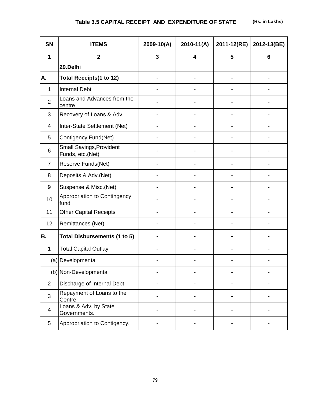| <b>SN</b>      | <b>ITEMS</b>                                        | $2009 - 10(A)$ | $2010-11(A)$            | 2011-12(RE) | 2012-13(BE)    |
|----------------|-----------------------------------------------------|----------------|-------------------------|-------------|----------------|
| $\mathbf 1$    | $\mathbf{2}$                                        | 3              | $\overline{\mathbf{4}}$ | 5           | $6\phantom{1}$ |
|                | 29.Delhi                                            |                |                         |             |                |
| А.             | <b>Total Receipts(1 to 12)</b>                      |                |                         |             |                |
| 1              | <b>Internal Debt</b>                                |                |                         |             |                |
| $\overline{2}$ | Loans and Advances from the<br>centre               |                |                         |             |                |
| 3              | Recovery of Loans & Adv.                            |                |                         |             |                |
| 4              | Inter-State Settlement (Net)                        |                |                         |             |                |
| 5              | Contigency Fund(Net)                                |                |                         |             |                |
| 6              | <b>Small Savings, Provident</b><br>Funds, etc.(Net) |                |                         |             |                |
| 7              | Reserve Funds(Net)                                  |                |                         |             |                |
| 8              | Deposits & Adv.(Net)                                |                |                         |             |                |
| 9              | Suspense & Misc.(Net)                               |                |                         |             |                |
| 10             | Appropriation to Contingency<br>fund                |                |                         |             |                |
| 11             | <b>Other Capital Receipts</b>                       |                |                         |             |                |
| 12             | Remittances (Net)                                   |                |                         |             |                |
| <b>B.</b>      | <b>Total Disbursements (1 to 5)</b>                 |                |                         |             |                |
| 1              | <b>Total Capital Outlay</b>                         |                |                         |             |                |
|                | (a) Developmental                                   |                |                         |             |                |
|                | (b) Non-Developmental                               |                |                         |             |                |
| $\overline{2}$ | Discharge of Internal Debt.                         |                |                         |             |                |
| 3              | Repayment of Loans to the<br>Centre.                |                |                         |             |                |
| 4              | Loans & Adv. by State<br>Governments.               |                |                         |             |                |
| 5              | Appropriation to Contigency.                        |                |                         |             |                |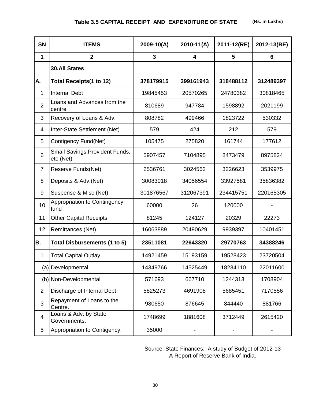| <b>SN</b>               | <b>ITEMS</b>                                 | 2009-10(A)                 | $2010-11(A)$ | 2011-12(RE) | 2012-13(BE) |
|-------------------------|----------------------------------------------|----------------------------|--------------|-------------|-------------|
| 1                       | $\overline{2}$                               | 3                          | 4            | 5           | 6           |
|                         | <b>30.All States</b>                         |                            |              |             |             |
| А.                      | <b>Total Receipts(1 to 12)</b>               | 378179915                  | 399161943    | 318488112   | 312489397   |
| 1                       | <b>Internal Debt</b>                         | 19845453                   | 20570265     | 24780382    | 30818465    |
| $\overline{2}$          | Loans and Advances from the<br>centre        | 810689                     | 947784       | 1598892     | 2021199     |
| 3                       | Recovery of Loans & Adv.                     | 808782                     | 499466       | 1823722     | 530332      |
| 4                       | Inter-State Settlement (Net)                 | 579                        | 424          | 212         | 579         |
| 5                       | Contigency Fund(Net)                         | 161744<br>105475<br>275820 |              | 177612      |             |
| 6                       | Small Savings, Provident Funds,<br>etc.(Net) | 5907457                    | 7104895      | 8473479     | 8975824     |
| $\overline{7}$          | Reserve Funds(Net)                           | 2536761                    | 3024562      | 3226623     | 3539975     |
| 8                       | Deposits & Adv.(Net)                         | 30083018                   | 34056554     | 33927581    | 35836382    |
| 9                       | Suspense & Misc.(Net)                        | 301876567                  | 312067391    | 234415751   | 220165305   |
| 10                      | Appropriation to Contingency<br>fund         | 60000                      | 26           | 120000      |             |
| 11                      | <b>Other Capital Receipts</b>                | 81245                      | 124127       | 20329       | 22273       |
| 12                      | Remittances (Net)                            | 16063889                   | 20490629     | 9939397     | 10401451    |
| B.                      | <b>Total Disbursements (1 to 5)</b>          | 23511081                   | 22643320     | 29770763    | 34388246    |
| 1                       | <b>Total Capital Outlay</b>                  | 14921459                   | 15193159     | 19528423    | 23720504    |
|                         | (a) Developmental                            | 14349766                   | 14525449     | 18284110    | 22011600    |
|                         | (b) Non-Developmental                        | 571693                     | 667710       | 1244313     | 1708904     |
| $\overline{2}$          | Discharge of Internal Debt.                  | 5825273                    | 4691908      | 5685451     | 7170556     |
| 3                       | Repayment of Loans to the<br>Centre.         | 980650                     | 876645       | 844440      | 881766      |
| $\overline{\mathbf{4}}$ | Loans & Adv. by State<br>Governments.        | 1748699                    | 1881608      | 3712449     | 2615420     |
| 5                       | Appropriation to Contigency.                 | 35000                      |              |             |             |

Source: State Finances: A study of Budget of 2012-13 A Report of Reserve Bank of India.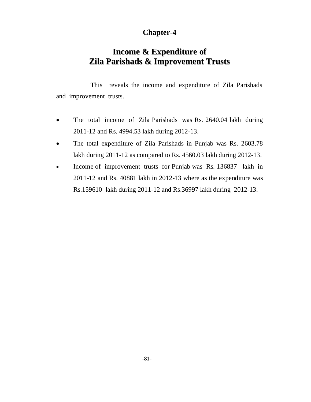## **Chapter-4**

# **Income & Expenditure of Zila Parishads & Improvement Trusts**

This reveals the income and expenditure of Zila Parishads and improvement trusts.

- The total income of Zila Parishads was Rs. 2640.04 lakh during 2011-12 and Rs. 4994.53 lakh during 2012-13.
- The total expenditure of Zila Parishads in Punjab was Rs. 2603.78 lakh during 2011-12 as compared to Rs. 4560.03 lakh during 2012-13.
- Income of improvement trusts for Punjab was Rs. 136837 lakh in 2011-12 and Rs. 40881 lakh in 2012-13 where as the expenditure was Rs.159610 lakh during 2011-12 and Rs.36997 lakh during 2012-13.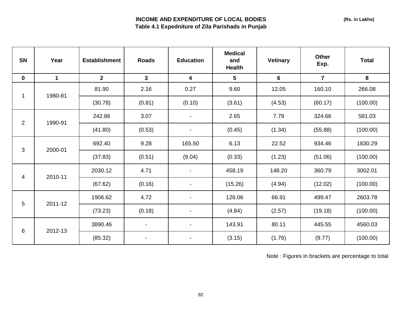### **INCOME AND EXPENDITURE OF LOCAL BODIES Table 4.1 Expedniture of Zila Parishads in Punjab**

| SN             | Year        | <b>Establishment</b> | <b>Roads</b>             | <b>Education</b>         | <b>Medical</b><br>and<br><b>Health</b> | <b>Vetinary</b> | Other<br>Exp.  | <b>Total</b> |
|----------------|-------------|----------------------|--------------------------|--------------------------|----------------------------------------|-----------------|----------------|--------------|
| $\mathbf 0$    | $\mathbf 1$ | 2 <sup>1</sup>       | $\mathbf{3}$             | 4                        | 5                                      | $6\phantom{1}$  | $\overline{7}$ | 8            |
| 1              | 1980-81     | 81.90                | 2.16                     | 0.27                     | 9.60                                   | 12.05           | 160.10         | 266.08       |
|                |             | (30.78)              | (0.81)                   | (0.10)                   | (3.61)                                 | (4.53)          | (60.17)        | (100.00)     |
| $\overline{2}$ | 1990-91     | 242.86               | 3.07                     |                          | 2.65                                   | 7.79            | 324.66         | 581.03       |
|                |             | (41.80)              | (0.53)                   |                          | (0.45)                                 | (1.34)          | (55.88)        | (100.00)     |
|                | 2000-01     | 692.40               | 9.28                     | 165.50                   | 6.13                                   | 22.52           | 934.46         | 1830.29      |
| $\mathbf{3}$   |             | (37.83)              | (0.51)                   | (9.04)                   | (0.33)                                 | (1.23)          | (51.06)        | (100.00)     |
| 4              | 2010-11     | 2030.12              | 4.71                     | $\overline{\phantom{a}}$ | 458.19                                 | 148.20          | 360.79         | 3002.01      |
|                |             | (67.62)              | (0.16)                   | $\blacksquare$           | (15.26)                                | (4.94)          | (12.02)        | (100.00)     |
|                |             | 1906.62              | 4.72                     |                          | 126.06                                 | 66.91           | 499.47         | 2603.78      |
| 5              | 2011-12     | (73.23)              | (0.18)                   | $\blacksquare$           | (4.84)                                 | (2.57)          | (19.18)        | (100.00)     |
|                | 2012-13     | 3890.46              | $\overline{\phantom{a}}$ |                          | 143.91                                 | 80.11           | 445.55         | 4560.03      |
| 6              |             | (85.32)              | $\overline{\phantom{a}}$ | $\blacksquare$           | (3.15)                                 | (1.76)          | (9.77)         | (100.00)     |

Note : Figures in brackets are percentage to total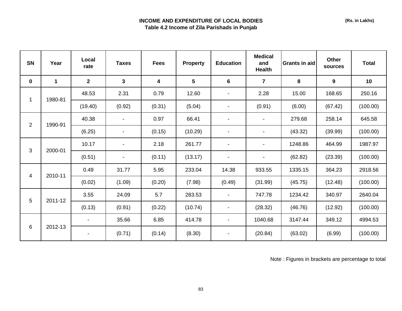### **INCOME AND EXPENDITURE OF LOCAL BODIES Table 4.2 Income of Zila Parishads in Punjab**

| <b>SN</b>               | Year        | Local<br>rate | <b>Taxes</b> | <b>Fees</b> | <b>Property</b> | <b>Education</b> | <b>Medical</b><br>and<br><b>Health</b> | <b>Grants in aid</b> | <b>Other</b><br>sources | <b>Total</b> |
|-------------------------|-------------|---------------|--------------|-------------|-----------------|------------------|----------------------------------------|----------------------|-------------------------|--------------|
| $\mathbf 0$             | $\mathbf 1$ | $\mathbf{2}$  | $\mathbf{3}$ | 4           | $5\phantom{.0}$ | 6                | $\overline{7}$                         | 8                    | 9                       | 10           |
| 1                       | 1980-81     | 48.53         | 2.31         | 0.79        | 12.60           | $\blacksquare$   | 2.28                                   | 15.00                | 168.65                  | 250.16       |
|                         |             | (19.40)       | (0.92)       | (0.31)      | (5.04)          | $\blacksquare$   | (0.91)                                 | (6.00)               | (67.42)                 | (100.00)     |
| $\overline{2}$          | 1990-91     | 40.38         |              | 0.97        | 66.41           | $\blacksquare$   |                                        | 279.68               | 258.14                  | 645.58       |
|                         |             | (6.25)        |              | (0.15)      | (10.29)         |                  |                                        | (43.32)              | (39.99)                 | (100.00)     |
| $\mathfrak{S}$          | 2000-01     | 10.17         |              | 2.18        | 261.77          |                  |                                        | 1248.86              | 464.99                  | 1987.97      |
|                         |             | (0.51)        |              | (0.11)      | (13.17)         | $\blacksquare$   |                                        | (62.82)              | (23.39)                 | (100.00)     |
| $\overline{\mathbf{4}}$ | 2010-11     | 0.49          | 31.77        | 5.95        | 233.04          | 14.38            | 933.55                                 | 1335.15              | 364.23                  | 2918.56      |
|                         |             | (0.02)        | (1.09)       | (0.20)      | (7.98)          | (0.49)           | (31.99)                                | (45.75)              | (12.48)                 | (100.00)     |
| 5                       | 2011-12     | 3.55          | 24.09        | 5.7         | 283.53          | $\blacksquare$   | 747.78                                 | 1234.42              | 340.97                  | 2640.04      |
|                         |             | (0.13)        | (0.91)       | (0.22)      | (10.74)         | $\blacksquare$   | (28.32)                                | (46.76)              | (12.92)                 | (100.00)     |
|                         |             |               | 35.66        | 6.85        | 414.78          | $\blacksquare$   | 1040.68                                | 3147.44              | 349.12                  | 4994.53      |
| 6                       | 2012-13     |               | (0.71)       | (0.14)      | (8.30)          |                  | (20.84)                                | (63.02)              | (6.99)                  | (100.00)     |

Note : Figures in brackets are percentage to total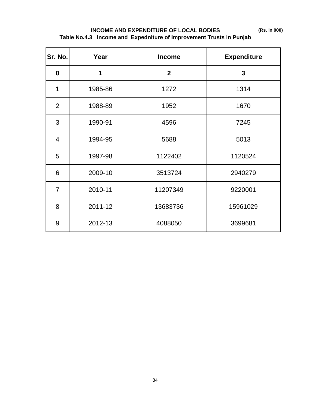**(Rs. in 000)**

## **INCOME AND EXPENDITURE OF LOCAL BODIES Table No.4.3 Income and Expedniture of Improvement Trusts in Punjab**

| Sr. No.        | Year    | <b>Income</b>  | <b>Expenditure</b> |
|----------------|---------|----------------|--------------------|
| $\mathbf 0$    | 1       | $\overline{2}$ | $\overline{3}$     |
| 1              | 1985-86 | 1272           | 1314               |
| $\overline{2}$ | 1988-89 | 1952           | 1670               |
| 3              | 1990-91 | 4596           | 7245               |
| 4              | 1994-95 | 5688           | 5013               |
| 5              | 1997-98 | 1122402        | 1120524            |
| 6              | 2009-10 | 3513724        | 2940279            |
| $\overline{7}$ | 2010-11 | 11207349       | 9220001            |
| 8              | 2011-12 | 13683736       | 15961029           |
| 9              | 2012-13 | 4088050        | 3699681            |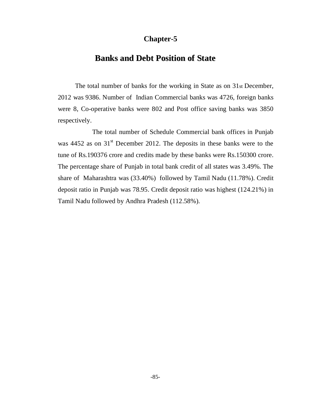## **Chapter-5**

## **Banks and Debt Position of State**

The total number of banks for the working in State as on 31st December, 2012 was 9386. Number of Indian Commercial banks was 4726, foreign banks were 8, Co-operative banks were 802 and Post office saving banks was 3850 respectively.

The total number of Schedule Commercial bank offices in Punjab was  $4452$  as on  $31<sup>st</sup>$  December 2012. The deposits in these banks were to the tune of Rs.190376 crore and credits made by these banks were Rs.150300 crore. The percentage share of Punjab in total bank credit of all states was 3.49%. The share of Maharashtra was (33.40%) followed by Tamil Nadu (11.78%). Credit deposit ratio in Punjab was 78.95. Credit deposit ratio was highest (124.21%) in Tamil Nadu followed by Andhra Pradesh (112.58%).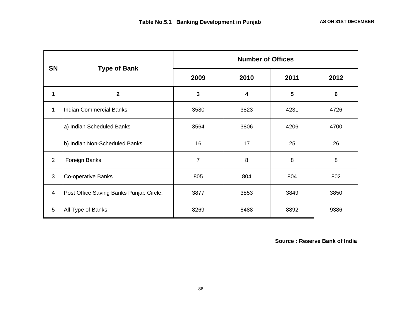| <b>SN</b>      |                                         | <b>Number of Offices</b> |      |      |      |  |  |  |
|----------------|-----------------------------------------|--------------------------|------|------|------|--|--|--|
|                | <b>Type of Bank</b>                     | 2009                     | 2010 | 2011 | 2012 |  |  |  |
| 1              | $\mathbf 2$                             | 3                        | 4    | 5    | 6    |  |  |  |
| $\mathbf{1}$   | <b>Indian Commercial Banks</b>          | 3580                     | 3823 | 4231 | 4726 |  |  |  |
|                | a) Indian Scheduled Banks               | 3564                     | 3806 | 4206 | 4700 |  |  |  |
|                | b) Indian Non-Scheduled Banks           | 16<br>17                 |      | 25   | 26   |  |  |  |
| 2              | Foreign Banks                           | 7                        | 8    | 8    | 8    |  |  |  |
| $\mathbf{3}$   | Co-operative Banks                      | 805                      | 804  | 804  | 802  |  |  |  |
| $\overline{4}$ | Post Office Saving Banks Punjab Circle. | 3877                     | 3853 | 3849 | 3850 |  |  |  |
| 5              | All Type of Banks                       | 8269                     | 8488 | 8892 | 9386 |  |  |  |

 **Source : Reserve Bank of India**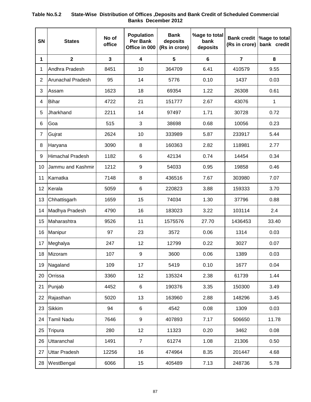## **SN States No of office Population Per Bank Office in 000 Bank deposits (Rs in crore) %age to total bank deposits Bank credit (Rs in crore) %age to total bank credit 1 2 3 4 5 6 7 8** 1 Andhra Pradesh | 8451 | 10 | 364709 | 6.41 | 410579 | 9.55 2 Arunachal Pradesh | 95 | 14 | 5776 | 0.10 | 1437 | 0.03 3 |Assam | 1623 | 18 | 69354 | 1.22 | 26308 | 0.61 4 Bihar 4722 21 151777 2.67 43076 1 5 Jharkhand 2211 14 97497 1.71 30728 0.72 6 Goa 515 3 38698 0.68 10056 0.23 7 Gujrat 2624 10 333989 5.87 233917 5.44 8 |Haryana 3090 8 160363 2.82 118981 2.77 9 | Himachal Pradesh | 1182 | 6 | 42134 | 0.74 | 14454 | 0.34 10 Jammu and Kashmir | 1212 | 9 | 54033 | 0.95 | 19858 | 0.46 11 |Karnatka 7148 | 8 | 436516 | 7.67 | 303980 | 7.07 12 Kerala 5059 6 220823 3.88 159333 3.70 13 Chhattisgarh 1659 | 15 | 74034 | 1.30 | 37796 | 0.88 14 | Madhya Pradesh | 4790 | 16 | 183023 | 3.22 | 103114 | 2.4 15 Maharashtra 9526 11 1575576 27.70 1436453 33.40 16 Manipur 97 23 3572 0.06 1314 0.03 17 Meghalya 247 12 12799 0.22 3027 0.07 18 Mizoram 107 9 3600 0.06 1389 0.03 19 Nagaland 109 17 5419 0.10 1677 0.04 20 Orrissa 3360 12 135324 2.38 61739 1.44 21 Punjab 4452 6 190376 3.35 150300 3.49 22 |Rajasthan 5020 | 13 | 163960 | 2.88 | 148296 | 3.45 23 |Sikkim 94 | 6 | 4542 | 0.08 | 1309 | 0.03 24 |Tamil Nadu | 7646 | 9 | 407893 | 7.17 | 506650 | 11.78 25 Tripura 280 12 11323 0.20 3462 0.08 26 Uttaranchal 1491 7 61274 1.08 21306 0.50 27 Uttar Pradesh | 12256 | 16 | 474964 | 8.35 | 201447 | 4.68 28 WestBengal | 6066 | 15 | 405489 | 7.13 | 248736 | 5.78

#### **Table No.5.2 State-Wise Distribution of Offices ,Deposits and Bank Credit of Scheduled Commercial Banks December 2012**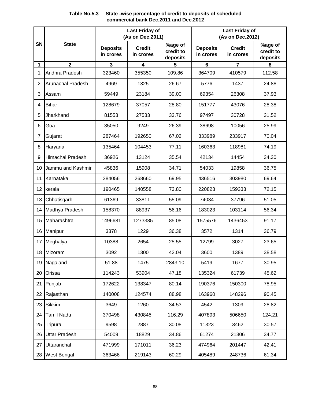### **Table No.5.3 State -wise percentage of credit to deposits of scheduled commercial bank Dec.2011 and Dec.2012**

|    |                          |                              | <b>Last Friday of</b><br>(As on Dec.2011) |                                  |                              | <b>Last Friday of</b><br>(As on Dec.2012) |                                  |
|----|--------------------------|------------------------------|-------------------------------------------|----------------------------------|------------------------------|-------------------------------------------|----------------------------------|
| SN | <b>State</b>             | <b>Deposits</b><br>in crores | <b>Credit</b><br>in crores                | %age of<br>credit to<br>deposits | <b>Deposits</b><br>in crores | <b>Credit</b><br>in crores                | %age of<br>credit to<br>deposits |
| 1  | $\overline{2}$           | 3                            | 4                                         | 5                                | $6\phantom{1}$               | 7                                         | 8                                |
| 1  | Andhra Pradesh           | 323460                       | 355350                                    | 109.86                           | 364709                       | 410579                                    | 112.58                           |
| 2  | <b>Arunachal Pradesh</b> | 4969                         | 1325                                      | 26.67                            | 5776                         | 1437                                      | 24.88                            |
| 3  | Assam                    | 59449                        | 23184                                     | 39.00                            | 69354                        | 26308                                     | 37.93                            |
| 4  | <b>Bihar</b>             | 128679                       | 37057                                     | 28.80                            | 151777                       | 43076                                     | 28.38                            |
| 5  | Jharkhand                | 81553                        | 27533                                     | 33.76                            | 97497                        | 30728                                     | 31.52                            |
| 6  | Goa                      | 35050                        | 9249                                      | 26.39                            | 38698                        | 10056                                     | 25.99                            |
| 7  | Gujarat                  | 287464                       | 192650                                    | 67.02                            | 333989                       | 233917                                    | 70.04                            |
| 8  | Haryana                  | 135464                       | 104453                                    | 77.11                            | 160363                       | 118981                                    | 74.19                            |
| 9  | <b>Himachal Pradesh</b>  | 36926                        | 13124                                     | 35.54                            | 42134                        | 14454                                     | 34.30                            |
| 10 | Jammu and Kashmir        | 45836                        | 15908                                     | 34.71                            | 54033                        | 19858                                     | 36.75                            |
| 11 | Karnataka                | 384056                       | 268660                                    | 69.95                            | 436516                       | 303980                                    | 69.64                            |
| 12 | kerala                   | 190465                       | 140558                                    | 73.80                            | 220823                       | 159333                                    | 72.15                            |
| 13 | Chhatisgarh              | 61369                        | 33811                                     | 55.09                            | 74034                        | 37796                                     | 51.05                            |
| 14 | Madhya Pradesh           | 158370                       | 88937                                     | 56.16                            | 183023                       | 103114                                    | 56.34                            |
| 15 | Maharashtra              | 1496681                      | 1273385                                   | 85.08                            | 1575576                      | 1436453                                   | 91.17                            |
| 16 | Manipur                  | 3378                         | 1229                                      | 36.38                            | 3572                         | 1314                                      | 36.79                            |
| 17 | Meghalya                 | 10388                        | 2654                                      | 25.55                            | 12799                        | 3027                                      | 23.65                            |
| 18 | Mizoram                  | 3092                         | 1300                                      | 42.04                            | 3600                         | 1389                                      | 38.58                            |
|    | 19 Nagaland              | 51.88                        | 1475                                      | 2843.10                          | 5419                         | 1677                                      | 30.95                            |
| 20 | Orissa                   | 114243                       | 53904                                     | 47.18                            | 135324                       | 61739                                     | 45.62                            |
| 21 | Punjab                   | 172622                       | 138347                                    | 80.14                            | 190376                       | 150300                                    | 78.95                            |
| 22 | Rajasthan                | 140008                       | 124574                                    | 88.98                            | 163960                       | 148296                                    | 90.45                            |
| 23 | <b>Sikkim</b>            | 3649                         | 1260                                      | 34.53                            | 4542                         | 1309                                      | 28.82                            |
| 24 | <b>Tamil Nadu</b>        | 370498                       | 430845                                    | 116.29                           | 407893                       | 506650                                    | 124.21                           |
| 25 | Tripura                  | 9598                         | 2887                                      | 30.08                            | 11323                        | 3462                                      | 30.57                            |
| 26 | <b>Uttar Pradesh</b>     | 54009                        | 18829                                     | 34.86                            | 61274                        | 21306                                     | 34.77                            |
| 27 | Uttaranchal              | 471999                       | 171011                                    | 36.23                            | 474964                       | 201447                                    | 42.41                            |
|    | 28 West Bengal           | 363466                       | 219143                                    | 60.29                            | 405489                       | 248736                                    | 61.34                            |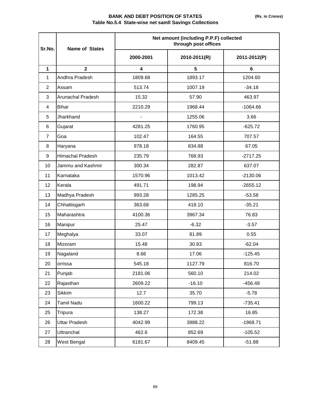#### **BANK AND DEBT POSITION OF STATES Table No.5.4 State-wise net samll Savings Collections**

| Sr.No.         | <b>Name of States</b> |                         | Net amount (including P.P.F) collected<br>through post offices |              |  |  |  |  |
|----------------|-----------------------|-------------------------|----------------------------------------------------------------|--------------|--|--|--|--|
|                |                       | 2000-2001               | 2010-2011(R)                                                   | 2011-2012(P) |  |  |  |  |
| $\mathbf{1}$   | $\overline{2}$        | $\overline{\mathbf{4}}$ | 5                                                              | 6            |  |  |  |  |
| $\mathbf{1}$   | Andhra Pradesh        | 1809.68                 | 1893.17                                                        | 1204.60      |  |  |  |  |
| 2              | Assam                 | 513.74                  | 1007.19                                                        | $-34.18$     |  |  |  |  |
| 3              | Arunachal Pradesh     | 15.32                   | 57.90                                                          | 463.97       |  |  |  |  |
| 4              | <b>Bihar</b>          | 2210.29                 | 1968.44                                                        | $-1064.66$   |  |  |  |  |
| 5              | Jharkhand             |                         | 1255.06                                                        | 3.66         |  |  |  |  |
| 6              | Gujarat               | 4281.25                 | 1760.95                                                        | $-625.72$    |  |  |  |  |
| $\overline{7}$ | Goa                   | 102.47                  | 164.55                                                         | 707.57       |  |  |  |  |
| 8              | Haryana               | 978.18                  | 834.88                                                         | 67.05        |  |  |  |  |
| 9              | Himachal Pradesh      | 235.79                  | 768.93                                                         | $-2717.25$   |  |  |  |  |
| 10             | Jammu and Kashmir     | 300.34                  | 282.87                                                         | 637.07       |  |  |  |  |
| 11             | Karnataka             | 1570.96                 | 1013.42                                                        | $-2130.06$   |  |  |  |  |
| 12             | Kerala                | 491.71                  | 198.94                                                         | $-2655.12$   |  |  |  |  |
| 13             | Madhya Pradesh        | 993.28                  | 1285.25                                                        | $-53.58$     |  |  |  |  |
| 14             | Chhattisgarh          | 363.68                  | 418.10                                                         | $-35.21$     |  |  |  |  |
| 15             | Maharashtra           | 4100.36                 | 3967.34                                                        | 76.83        |  |  |  |  |
| 16             | Manipur               | 25.47                   | $-6.32$                                                        | $-3.57$      |  |  |  |  |
| 17             | Meghalya              | 33.07                   | 81.89                                                          | 0.55         |  |  |  |  |
| 18             | Mizoram               | 15.48                   | 30.83                                                          | $-62.04$     |  |  |  |  |
| 19             | Nagaland              | 8.66                    | 17.06                                                          | $-125.45$    |  |  |  |  |
| 20             | orrissa               | 545.18                  | 1127.79                                                        | 816.70       |  |  |  |  |
| 21             | Punjab                | 2181.06                 | 560.10                                                         | 214.02       |  |  |  |  |
| 22             | Rajasthan             | 2609.22                 | $-16.10$                                                       | $-456.48$    |  |  |  |  |
| 23             | <b>Sikkim</b>         | 12.7                    | 35.70                                                          | $-5.78$      |  |  |  |  |
| 24             | <b>Tamil Nadu</b>     | 1600.22                 | 799.13                                                         | $-735.41$    |  |  |  |  |
| 25             | Tripura               | 138.27                  | 172.38                                                         | 16.85        |  |  |  |  |
| 26             | <b>Uttar Pradesh</b>  | 4042.99                 | 3988.22                                                        | $-1968.71$   |  |  |  |  |
| 27             | Uttranchal            | 462.6                   | 852.69                                                         | $-105.52$    |  |  |  |  |
| 28             | West Bengal           | 6181.67                 | 8409.45                                                        | $-51.88$     |  |  |  |  |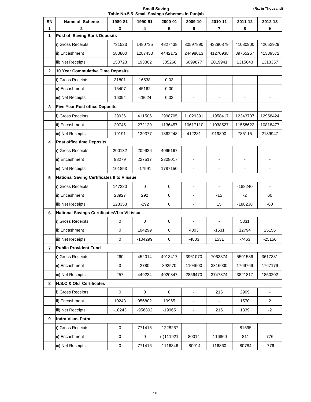**Small Saving Table No.5.5 Small Savings Schemes in Punjab** 

| SN             | Name of Scheme                                | 1980-81     | 1990-91      | 2000-01             | 2009-10                  | 2010-11                  | 2011-12        | 2012-13                  |  |  |
|----------------|-----------------------------------------------|-------------|--------------|---------------------|--------------------------|--------------------------|----------------|--------------------------|--|--|
| 1              | $\mathbf{2}$                                  | 3           | 4            | 5                   | 6                        | 7                        | 8              | 9                        |  |  |
| 1              | Post of Saving Bank Deposits                  |             |              |                     |                          |                          |                |                          |  |  |
|                | i) Gross Receipts                             | 731523      | 1480735      | 4827438             | 30597890                 | 43290879                 | 41080900       | 42652929                 |  |  |
|                | ii) Encashment                                | 580800      | 1287433      | 4442172             | 24498013                 | 41270938                 | 39765257       | 41339572                 |  |  |
|                | iii) Net Receipts                             | 150723      | 193302       | 385266              | 6099877                  | 2019941                  | 1315643        | 1313357                  |  |  |
| $\mathbf{2}$   | 10 Year Commulative Time Deposits             |             |              |                     |                          |                          |                |                          |  |  |
|                | i) Gross Receipts                             | 31801       | 16538        | 0.03                | $\overline{a}$           | $\frac{1}{2}$            | $\overline{a}$ | $\overline{\phantom{a}}$ |  |  |
|                | ii) Encashment                                | 15407       | 45162        | 0.00                | $\overline{a}$           |                          |                |                          |  |  |
|                | iii) Net Receipts                             | 16394       | -28624       | 0.03                | $\overline{a}$           | $\overline{\phantom{a}}$ | $\blacksquare$ | $\blacksquare$           |  |  |
| 3              | <b>Five Year Post office Deposits</b>         |             |              |                     |                          |                          |                |                          |  |  |
|                | i) Gross Receipts                             | 39936       | 411506       | 2998705             | 11029391                 | 11958417                 | 12343737       | 12958424                 |  |  |
|                | ii) Encashment                                | 20745       | 272129       | 1136457             | 10617110                 | 11038527                 | 11558622       | 10818477                 |  |  |
|                | iii) Net Receipts                             | 19191       | 139377       | 1862248             | 412281                   | 919890                   | 785115         | 2139947                  |  |  |
| 4              | <b>Post office time Deposits</b>              |             |              |                     |                          |                          |                |                          |  |  |
|                | i) Gross Receipts                             | 200132      | 209926       | 4095167             | $\overline{\phantom{a}}$ | $\blacksquare$           | $\overline{a}$ | $\overline{\phantom{a}}$ |  |  |
|                | ii) Encashment                                | 98279       | 227517       | 2308017             | $\overline{a}$           |                          |                |                          |  |  |
|                | iii) Net Receipts                             | 101853      | $-17591$     | 1787150             |                          |                          |                |                          |  |  |
| 5              | National Saving Certificates II to V issue    |             |              |                     |                          |                          |                |                          |  |  |
|                | i) Gross Receipts                             | 147280      | $\mathbf 0$  | $\pmb{0}$           | $\overline{a}$           | $\overline{\phantom{a}}$ | $-188240$      | $\overline{a}$           |  |  |
|                | ii) Encashment                                | 23927       | 292          | $\mathbf 0$         | ÷                        | $-15$                    | $-2$           | 60                       |  |  |
|                | iii) Net Receipts                             | 123353      | $-292$       | $\mathbf 0$         | $\overline{a}$           | 15                       | $-188238$      | -60                      |  |  |
| 6              | National Savings Certificates VI to VII issue |             |              |                     |                          |                          |                |                          |  |  |
|                | i) Gross Receipts                             | 0           | $\mathbf{0}$ | $\mathbf 0$         | $\overline{a}$           | $\blacksquare$           | 5331           |                          |  |  |
|                | ii) Encashment                                | 0           | 104299       | $\mathbf 0$         | 4803                     | -1531                    | 12794          | 25156                    |  |  |
|                | iii) Net Receipts                             | 0           | $-104299$    | 0                   | $-4803$                  | 1531                     | -7463          | $-25156$                 |  |  |
| $\overline{7}$ | <b>Public Provident Fund</b>                  |             |              |                     |                          |                          |                |                          |  |  |
|                | i) Gross Receipts                             | 260         | 452014       | 4913417             | 3961070                  | 7063374                  | 5591586        | 3617381                  |  |  |
|                | ii) Encashment                                | 3           | 2780         | 892570              | 1104600                  | 3316000                  | 1769769        | 1767179                  |  |  |
|                | iii) Net Receipts                             | 257         | 449234       | 4020847             | 2856470                  | 3747374                  | 3821817        | 1850202                  |  |  |
| 8              | N.S.C & Old Certificates                      |             |              |                     |                          |                          |                |                          |  |  |
|                | i) Gross Receipts                             | $\mathbf 0$ | $\pmb{0}$    | $\mathsf{O}\xspace$ | $\overline{\phantom{a}}$ | 215                      | 2909           | $\blacksquare$           |  |  |
|                | ii) Encashment                                | 10243       | 956802       | 19965               | $\overline{\phantom{0}}$ | $\blacksquare$           | 1570           | $\overline{2}$           |  |  |
|                | iii) Net Receipts                             | $-10243$    | -956802      | $-19965$            | $\overline{\phantom{0}}$ | 215                      | 1339           | $-2$                     |  |  |
| 9              | Indra Vikas Patra                             |             |              |                     |                          |                          |                |                          |  |  |
|                | i) Gross Receipts                             | $\mathbf 0$ | 771416       | -1228267            | $\overline{a}$           |                          | $-81595$       |                          |  |  |
|                | ii) Encashment                                | 0           | 0            | $(-)111921$         | 80014                    | -116860                  | $-811$         | 776                      |  |  |
|                | iii) Net Receipts                             | 0           | 771416       | -1116346            | $-80014$                 | 116860                   | $-80784$       | $-776$                   |  |  |